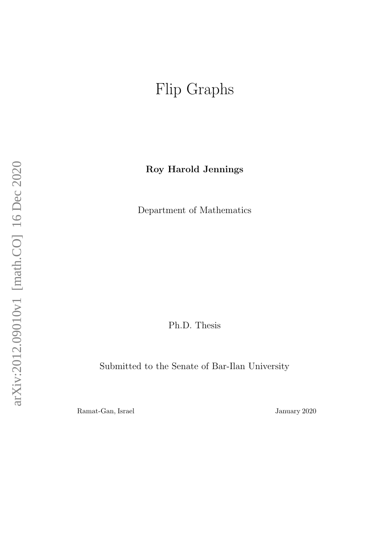# <span id="page-0-0"></span>Flip Graphs

Roy Harold Jennings

Department of Mathematics

Ph.D. Thesis

Submitted to the Senate of Bar-Ilan University

Ramat-Gan, Israel January 2020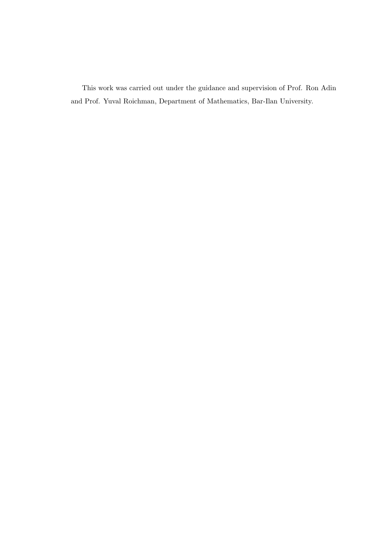This work was carried out under the guidance and supervision of Prof. Ron Adin and Prof. Yuval Roichman, Department of Mathematics, Bar-Ilan University.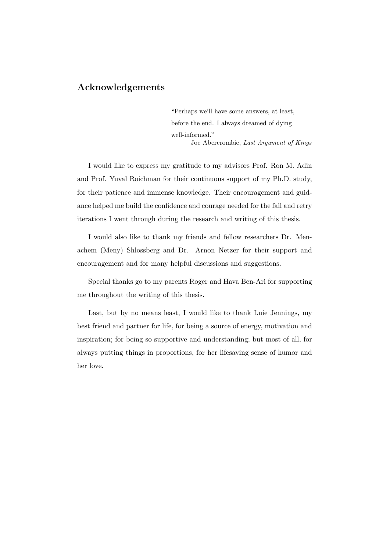### Acknowledgements

"Perhaps we'll have some answers, at least, before the end. I always dreamed of dying well-informed." —Joe Abercrombie, Last Argument of Kings

I would like to express my gratitude to my advisors Prof. Ron M. Adin and Prof. Yuval Roichman for their continuous support of my Ph.D. study, for their patience and immense knowledge. Their encouragement and guidance helped me build the confidence and courage needed for the fail and retry iterations I went through during the research and writing of this thesis.

I would also like to thank my friends and fellow researchers Dr. Menachem (Meny) Shlossberg and Dr. Arnon Netzer for their support and encouragement and for many helpful discussions and suggestions.

Special thanks go to my parents Roger and Hava Ben-Ari for supporting me throughout the writing of this thesis.

Last, but by no means least, I would like to thank Luie Jennings, my best friend and partner for life, for being a source of energy, motivation and inspiration; for being so supportive and understanding; but most of all, for always putting things in proportions, for her lifesaving sense of humor and her love.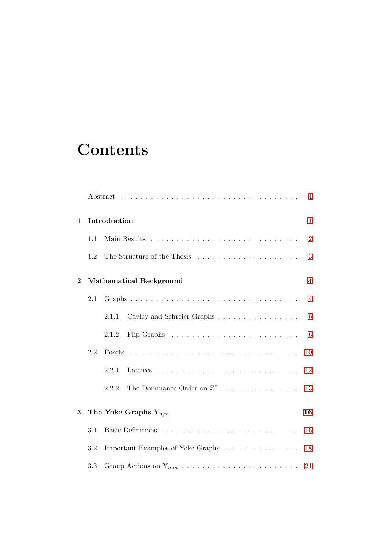# **Contents**

|             |     |                                |                                       | Ι              |  |  |  |
|-------------|-----|--------------------------------|---------------------------------------|----------------|--|--|--|
| $\mathbf 1$ |     | Introduction<br>1              |                                       |                |  |  |  |
|             | 1.1 |                                |                                       | $\overline{2}$ |  |  |  |
|             | 1.2 |                                | The Structure of the Thesis           | 3              |  |  |  |
| $\bf{2}$    |     | <b>Mathematical Background</b> |                                       |                |  |  |  |
|             | 2.1 |                                |                                       | 4              |  |  |  |
|             |     | 2.1.1                          | Cayley and Schreier Graphs            | 6              |  |  |  |
|             |     | 2.1.2                          |                                       | 6              |  |  |  |
|             | 2.2 |                                |                                       | 10             |  |  |  |
|             |     | 2.2.1                          |                                       | 12             |  |  |  |
|             |     | 2.2.2                          | The Dominance Order on $\mathbb{Z}^n$ | 13             |  |  |  |
| 3           |     |                                | The Yoke Graphs $Y_{n,m}$             | 16             |  |  |  |
|             | 3.1 |                                |                                       | 16             |  |  |  |
|             | 3.2 |                                | Important Examples of Yoke Graphs     | 18             |  |  |  |
|             | 3.3 |                                |                                       | 21             |  |  |  |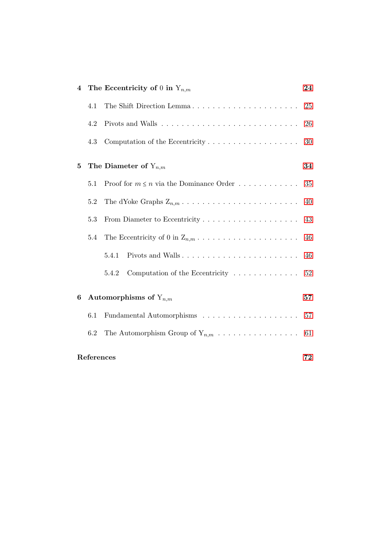| $\overline{\mathbf{4}}$ |                                  | The Eccentricity of 0 in $Y_{n,m}$<br>24                               |    |  |  |  |
|-------------------------|----------------------------------|------------------------------------------------------------------------|----|--|--|--|
|                         | 4.1                              | The Shift Direction Lemma                                              | 25 |  |  |  |
|                         | 4.2                              |                                                                        | 26 |  |  |  |
|                         | 4.3                              |                                                                        | 30 |  |  |  |
| $\bf{5}$                |                                  | The Diameter of $Y_{n,m}$<br>34                                        |    |  |  |  |
|                         | 5.1                              | Proof for $m \leq n$ via the Dominance Order                           | 35 |  |  |  |
|                         | 5.2                              |                                                                        | 40 |  |  |  |
|                         | 5.3                              |                                                                        | 43 |  |  |  |
|                         | 5.4                              |                                                                        | 46 |  |  |  |
|                         |                                  | 5.4.1                                                                  | 46 |  |  |  |
|                         |                                  | Computation of the Eccentricity $\ldots \ldots \ldots \ldots$<br>5.4.2 | 52 |  |  |  |
| 6                       | Automorphisms of $Y_{n,m}$<br>57 |                                                                        |    |  |  |  |
|                         | 6.1                              | Fundamental Automorphisms $\ldots \ldots \ldots \ldots \ldots \ldots$  | 57 |  |  |  |
|                         | 6.2                              | The Automorphism Group of $Y_{n,m}$                                    | 61 |  |  |  |
| References<br>72        |                                  |                                                                        |    |  |  |  |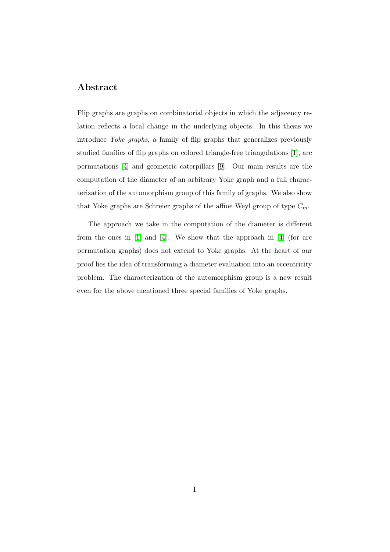## <span id="page-5-0"></span>Abstract

Flip graphs are graphs on combinatorial objects in which the adjacency relation reflects a local change in the underlying objects. In this thesis we introduce Yoke graphs, a family of flip graphs that generalizes previously studied families of flip graphs on colored triangle-free triangulations [\[1\]](#page-77-1), arc permutations [\[4\]](#page-77-2) and geometric caterpillars [\[9\]](#page-78-0). Our main results are the computation of the diameter of an arbitrary Yoke graph and a full characterization of the automorphism group of this family of graphs. We also show that Yoke graphs are Schreier graphs of the affine Weyl group of type  $\tilde{C}_m$ .

The approach we take in the computation of the diameter is different from the ones in [\[1\]](#page-77-1) and [\[4\]](#page-77-2). We show that the approach in [\[4\]](#page-77-2) (for arc permutation graphs) does not extend to Yoke graphs. At the heart of our proof lies the idea of transforming a diameter evaluation into an eccentricity problem. The characterization of the automorphism group is a new result even for the above mentioned three special families of Yoke graphs.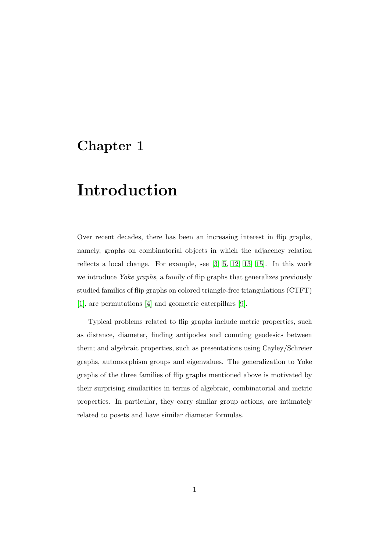# <span id="page-6-0"></span>Chapter 1

# Introduction

Over recent decades, there has been an increasing interest in flip graphs, namely, graphs on combinatorial objects in which the adjacency relation reflects a local change. For example, see [\[3,](#page-77-3) [5,](#page-77-4) [12,](#page-78-1) [13,](#page-78-2) [15\]](#page-78-3). In this work we introduce Yoke graphs, a family of flip graphs that generalizes previously studied families of flip graphs on colored triangle-free triangulations (CTFT) [\[1\]](#page-77-1), arc permutations [\[4\]](#page-77-2) and geometric caterpillars [\[9\]](#page-78-0).

Typical problems related to flip graphs include metric properties, such as distance, diameter, finding antipodes and counting geodesics between them; and algebraic properties, such as presentations using Cayley/Schreier graphs, automorphism groups and eigenvalues. The generalization to Yoke graphs of the three families of flip graphs mentioned above is motivated by their surprising similarities in terms of algebraic, combinatorial and metric properties. In particular, they carry similar group actions, are intimately related to posets and have similar diameter formulas.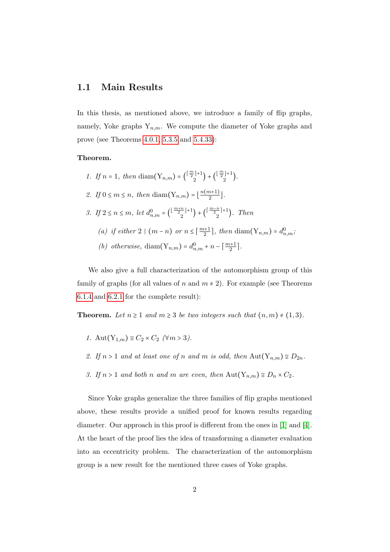#### <span id="page-7-0"></span>1.1 Main Results

In this thesis, as mentioned above, we introduce a family of flip graphs, namely, Yoke graphs  $Y_{n,m}$ . We compute the diameter of Yoke graphs and prove (see Theorems [4.0.1,](#page-29-1) [5.3.5](#page-50-0) and [5.4.33\)](#page-61-0):

#### Theorem.

1. If  $n = 1$ , then  $\text{diam}(Y_{n,m}) = {(\frac{m}{2})^{1}}$  $\binom{\lfloor \frac{m}{2} \rfloor + 1}{2} + \binom{\lfloor \frac{m}{2} \rfloor + 1}{2}$  $\binom{1}{2}$ . 2. If  $0 \leq m \leq n$ , then  $\text{diam}(Y_{n,m}) = \lfloor \frac{n(m+1)}{2} \rfloor$  $\frac{n+1j}{2}$ . 3. If  $2 \le n \le m$ , let  $d_{n,m}^0 = \left(\frac{\lfloor \frac{m+n}{2} \rfloor + 1}{2} \right)$  $\binom{\frac{n}{2}+1}{2} + \binom{\lceil \frac{m-n}{2} \rceil+1}{2}$  $\binom{n}{2}$ . Then (a) if either 2  $\mid$   $(m-n)$  or  $n \leq \lceil \frac{m+1}{2} \rceil$ , then  $\text{diam}(Y_{n,m}) = d_{n,m}^0$ ; (b) otherwise,  $\text{diam}(Y_{n,m}) = d_{n,m}^0 + n - \lceil \frac{m+1}{2} \rceil$ .

We also give a full characterization of the automorphism group of this family of graphs (for all values of n and  $m \neq 2$ ). For example (see Theorems [6.1.4](#page-0-0) and [6.2.1](#page-0-0) for the complete result):

**Theorem.** Let  $n \geq 1$  and  $m \geq 3$  be two integers such that  $(n, m) \neq (1, 3)$ .

- 1. Aut $(Y_{1,m}) \cong C_2 \times C_2$  ( $\forall m > 3$ ).
- 2. If  $n > 1$  and at least one of n and m is odd, then  $\text{Aut}(Y_{n,m}) \cong D_{2n}$ .
- 3. If  $n > 1$  and both n and m are even, then  $\text{Aut}(Y_{n,m}) \cong D_n \times C_2$ .

Since Yoke graphs generalize the three families of flip graphs mentioned above, these results provide a unified proof for known results regarding diameter. Our approach in this proof is different from the ones in [\[1\]](#page-77-1) and [\[4\]](#page-77-2). At the heart of the proof lies the idea of transforming a diameter evaluation into an eccentricity problem. The characterization of the automorphism group is a new result for the mentioned three cases of Yoke graphs.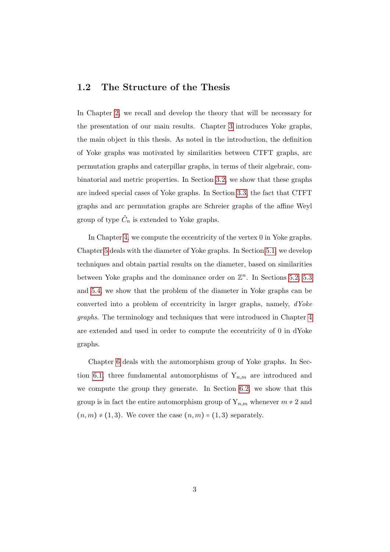### <span id="page-8-0"></span>1.2 The Structure of the Thesis

In Chapter [2,](#page-9-0) we recall and develop the theory that will be necessary for the presentation of our main results. Chapter [3](#page-21-0) introduces Yoke graphs, the main object in this thesis. As noted in the introduction, the definition of Yoke graphs was motivated by similarities between CTFT graphs, arc permutation graphs and caterpillar graphs, in terms of their algebraic, combinatorial and metric properties. In Section [3.2,](#page-23-0) we show that these graphs are indeed special cases of Yoke graphs. In Section [3.3,](#page-26-0) the fact that CTFT graphs and arc permutation graphs are Schreier graphs of the affine Weyl group of type  $\tilde{C}_n$  is extended to Yoke graphs.

In Chapter [4,](#page-29-0) we compute the eccentricity of the vertex 0 in Yoke graphs. Chapter [5](#page-39-0) deals with the diameter of Yoke graphs. In Section [5.1,](#page-40-0) we develop techniques and obtain partial results on the diameter, based on similarities between Yoke graphs and the dominance order on  $\mathbb{Z}^n$ . In Sections [5.2,](#page-45-0) [5.3](#page-48-0) and [5.4,](#page-51-0) we show that the problem of the diameter in Yoke graphs can be converted into a problem of eccentricity in larger graphs, namely, dYoke graphs. The terminology and techniques that were introduced in Chapter [4](#page-29-0) are extended and used in order to compute the eccentricity of 0 in dYoke graphs.

Chapter [6](#page-62-0) deals with the automorphism group of Yoke graphs. In Sec-tion [6.1,](#page-62-1) three fundamental automorphisms of  $Y_{n,m}$  are introduced and we compute the group they generate. In Section [6.2,](#page-66-0) we show that this group is in fact the entire automorphism group of  $Y_{n,m}$  whenever  $m \neq 2$  and  $(n, m) \neq (1, 3)$ . We cover the case  $(n, m) = (1, 3)$  separately.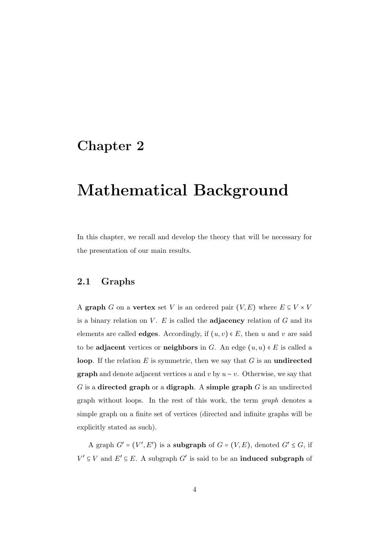# <span id="page-9-0"></span>Chapter 2

# Mathematical Background

In this chapter, we recall and develop the theory that will be necessary for the presentation of our main results.

#### <span id="page-9-1"></span>2.1 Graphs

A graph G on a vertex set V is an ordered pair  $(V, E)$  where  $E \subseteq V \times V$ is a binary relation on  $V$ . E is called the **adjacency** relation of  $G$  and its elements are called **edges**. Accordingly, if  $(u, v) \in E$ , then u and v are said to be adjacent vertices or neighbors in G. An edge  $(u, u) \in E$  is called a loop. If the relation  $E$  is symmetric, then we say that  $G$  is an undirected **graph** and denote adjacent vertices u and v by  $u \sim v$ . Otherwise, we say that  $G$  is a directed graph or a digraph. A simple graph  $G$  is an undirected graph without loops. In the rest of this work, the term graph denotes a simple graph on a finite set of vertices (directed and infinite graphs will be explicitly stated as such).

A graph  $G' = (V', E')$  is a subgraph of  $G = (V, E)$ , denoted  $G' \leq G$ , if  $V' \subseteq V$  and  $E' \subseteq E$ . A subgraph G' is said to be an **induced subgraph** of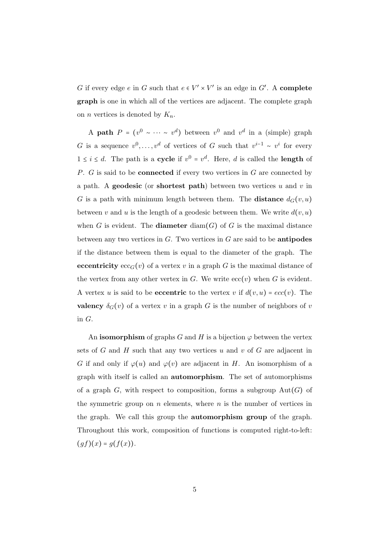G if every edge e in G such that  $e \in V' \times V'$  is an edge in G'. A complete graph is one in which all of the vertices are adjacent. The complete graph on *n* vertices is denoted by  $K_n$ .

A path  $P = (v^0 \sim \cdots \sim v^d)$  between  $v^0$  and  $v^d$  in a (simple) graph G is a sequence  $v^0, \ldots, v^d$  of vertices of G such that  $v^{i-1} \sim v^i$  for every  $1 \leq i \leq d$ . The path is a **cycle** if  $v^0 = v^d$ . Here, d is called the **length** of P. G is said to be **connected** if every two vertices in G are connected by a path. A **geodesic** (or **shortest path**) between two vertices u and v in G is a path with minimum length between them. The distance  $d_G(v, u)$ between v and u is the length of a geodesic between them. We write  $d(v, u)$ when G is evident. The **diameter** diam(G) of G is the maximal distance between any two vertices in  $G$ . Two vertices in  $G$  are said to be **antipodes** if the distance between them is equal to the diameter of the graph. The eccentricity  $ecc_G(v)$  of a vertex v in a graph G is the maximal distance of the vertex from any other vertex in G. We write  $ecc(v)$  when G is evident. A vertex u is said to be **eccentric** to the vertex v if  $d(v, u) = ecc(v)$ . The valency  $\delta_G(v)$  of a vertex v in a graph G is the number of neighbors of v in G.

An **isomorphism** of graphs G and H is a bijection  $\varphi$  between the vertex sets of G and H such that any two vertices u and v of G are adjacent in G if and only if  $\varphi(u)$  and  $\varphi(v)$  are adjacent in H. An isomorphism of a graph with itself is called an automorphism. The set of automorphisms of a graph  $G$ , with respect to composition, forms a subgroup  $Aut(G)$  of the symmetric group on  $n$  elements, where  $n$  is the number of vertices in the graph. We call this group the automorphism group of the graph. Throughout this work, composition of functions is computed right-to-left:  $(gf)(x) = g(f(x)).$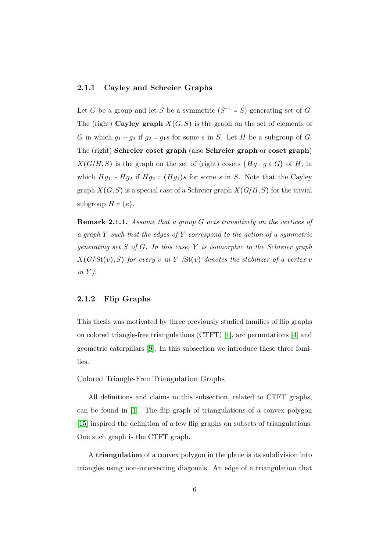#### <span id="page-11-0"></span>2.1.1 Cayley and Schreier Graphs

Let G be a group and let S be a symmetric  $(S^{-1} = S)$  generating set of G. The (right) Cayley graph  $X(G, S)$  is the graph on the set of elements of G in which  $g_1 \sim g_2$  if  $g_2 = g_1 s$  for some s in S. Let H be a subgroup of G. The (right) Schreier coset graph (also Schreier graph or coset graph)  $X(G/H, S)$  is the graph on the set of (right) cosets  $\{Hg : g \in G\}$  of H, in which  $Hg_1 \sim Hg_2$  if  $Hg_2 = (Hg_1)s$  for some s in S. Note that the Cayley graph  $X(G, S)$  is a special case of a Schreier graph  $X(G/H, S)$  for the trivial subgroup  $H = \{e\}.$ 

<span id="page-11-2"></span>Remark 2.1.1. Assume that a group G acts transitively on the vertices of a graph  $Y$  such that the edges of  $Y$  correspond to the action of a symmetric generating set  $S$  of  $G$ . In this case,  $Y$  is isomorphic to the Schreier graph  $X(G/\mathrm{St}(v), S)$  for every v in Y ( $\mathrm{St}(v)$ ) denotes the stabilizer of a vertex v  $in Y$ ).

#### <span id="page-11-1"></span>2.1.2 Flip Graphs

This thesis was motivated by three previously studied families of flip graphs on colored triangle-free triangulations (CTFT) [\[1\]](#page-77-1), arc permutations [\[4\]](#page-77-2) and geometric caterpillars [\[9\]](#page-78-0). In this subsection we introduce these three families.

#### Colored Triangle-Free Triangulation Graphs

All definitions and claims in this subsection, related to CTFT graphs, can be found in [\[1\]](#page-77-1). The flip graph of triangulations of a convex polygon [\[15\]](#page-78-3) inspired the definition of a few flip graphs on subsets of triangulations. One such graph is the CTFT graph.

A triangulation of a convex polygon in the plane is its subdivision into triangles using non-intersecting diagonals. An edge of a triangulation that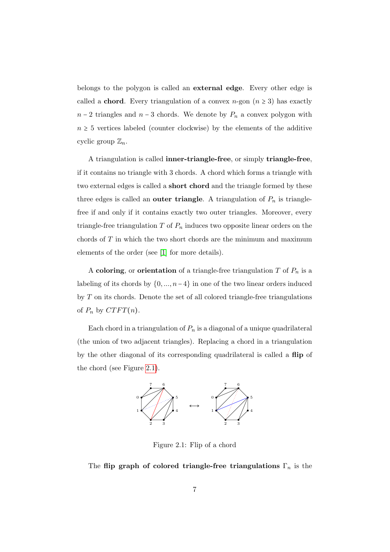belongs to the polygon is called an external edge. Every other edge is called a **chord**. Every triangulation of a convex  $n$ -gon  $(n \geq 3)$  has exactly  $n-2$  triangles and  $n-3$  chords. We denote by  $P_n$  a convex polygon with  $n \geq 5$  vertices labeled (counter clockwise) by the elements of the additive cyclic group  $\mathbb{Z}_n$ .

A triangulation is called inner-triangle-free, or simply triangle-free, if it contains no triangle with 3 chords. A chord which forms a triangle with two external edges is called a short chord and the triangle formed by these three edges is called an **outer triangle**. A triangulation of  $P_n$  is trianglefree if and only if it contains exactly two outer triangles. Moreover, every triangle-free triangulation  $T$  of  $P_n$  induces two opposite linear orders on the chords of  $T$  in which the two short chords are the minimum and maximum elements of the order (see [\[1\]](#page-77-1) for more details).

A coloring, or orientation of a triangle-free triangulation  $T$  of  $P_n$  is a labeling of its chords by  $\{0, ..., n-4\}$  in one of the two linear orders induced by  $T$  on its chords. Denote the set of all colored triangle-free triangulations of  $P_n$  by  $CTFT(n)$ .

Each chord in a triangulation of  $P_n$  is a diagonal of a unique quadrilateral (the union of two adjacent triangles). Replacing a chord in a triangulation by the other diagonal of its corresponding quadrilateral is called a flip of the chord (see Figure [2.1\)](#page-12-0).



<span id="page-12-0"></span>Figure 2.1: Flip of a chord

The flip graph of colored triangle-free triangulations  $\Gamma_n$  is the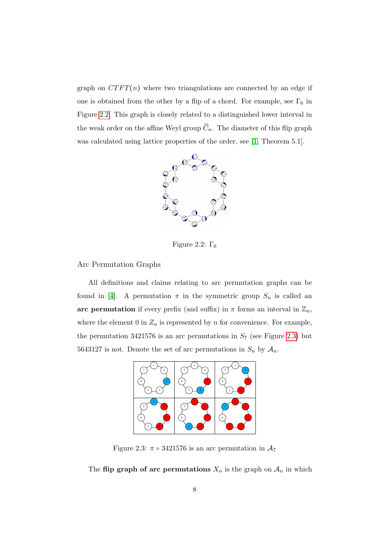graph on  $CTFT(n)$  where two triangulations are connected by an edge if one is obtained from the other by a flip of a chord. For example, see  $\Gamma_6$  in Figure [2.2.](#page-13-0) This graph is closely related to a distinguished lower interval in the weak order on the affine Weyl group  $\widetilde{C}_n$ . The diameter of this flip graph was calculated using lattice properties of the order, see [\[1,](#page-77-1) Theorem 5.1].

<span id="page-13-0"></span>

Figure 2.2:  $\Gamma_6$ 

Arc Permutation Graphs

All definitions and claims relating to arc permutation graphs can be found in [\[4\]](#page-77-2). A permutation  $\pi$  in the symmetric group  $S_n$  is called an arc permutation if every prefix (and suffix) in  $\pi$  forms an interval in  $\mathbb{Z}_n$ , where the element 0 in  $Z_n$  is represented by n for convenience. For example, the permutation 3421576 is an arc permutations in  $S_7$  (see Figure [2.3\)](#page-13-1) but 5643127 is not. Denote the set of arc permutations in  $S_n$  by  $\mathcal{A}_n$ .



<span id="page-13-1"></span>Figure 2.3:  $\pi = 3421576$  is an arc permutation in  $\mathcal{A}_7$ 

The flip graph of arc permutations  $X_n$  is the graph on  $A_n$  in which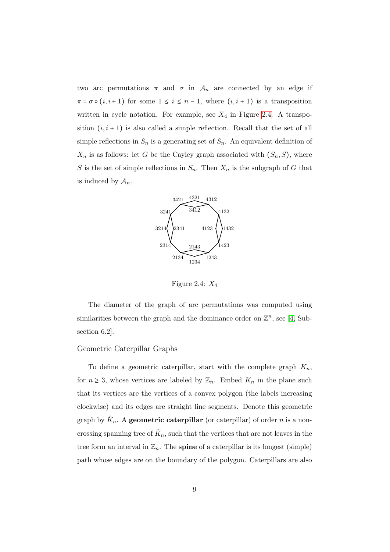two arc permutations  $\pi$  and  $\sigma$  in  $\mathcal{A}_n$  are connected by an edge if  $\pi = \sigma \circ (i, i + 1)$  for some  $1 \leq i \leq n - 1$ , where  $(i, i + 1)$  is a transposition written in cycle notation. For example, see  $X_4$  in Figure [2.4.](#page-14-0) A transposition  $(i, i + 1)$  is also called a simple reflection. Recall that the set of all simple reflections in  $S_n$  is a generating set of  $S_n$ . An equivalent definition of  $X_n$  is as follows: let G be the Cayley graph associated with  $(S_n, S)$ , where S is the set of simple reflections in  $S_n$ . Then  $X_n$  is the subgraph of G that is induced by  $A_n$ .



<span id="page-14-0"></span>Figure 2.4:  $X_4$ 

The diameter of the graph of arc permutations was computed using similarities between the graph and the dominance order on  $\mathbb{Z}^n$ , see [\[4,](#page-77-2) Subsection 6.2].

#### Geometric Caterpillar Graphs

To define a geometric caterpillar, start with the complete graph  $K_n$ , for  $n \geq 3$ , whose vertices are labeled by  $\mathbb{Z}_n$ . Embed  $K_n$  in the plane such that its vertices are the vertices of a convex polygon (the labels increasing clockwise) and its edges are straight line segments. Denote this geometric graph by  $\hat{K}_n$ . A **geometric caterpillar** (or caterpillar) of order n is a noncrossing spanning tree of  $\hat{K}_n$ , such that the vertices that are not leaves in the tree form an interval in  $\mathbb{Z}_n$ . The **spine** of a caterpillar is its longest (simple) path whose edges are on the boundary of the polygon. Caterpillars are also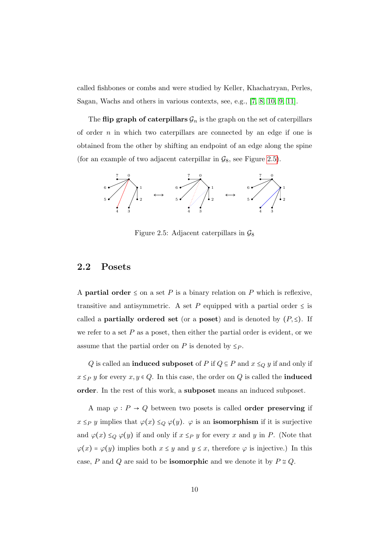called fishbones or combs and were studied by Keller, Khachatryan, Perles, Sagan, Wachs and others in various contexts, see, e.g., [\[7,](#page-77-5) [8,](#page-78-4) [10,](#page-78-5) [9,](#page-78-0) [11\]](#page-78-6).

The flip graph of caterpillars  $\mathcal{G}_n$  is the graph on the set of caterpillars of order  $n$  in which two caterpillars are connected by an edge if one is obtained from the other by shifting an endpoint of an edge along the spine (for an example of two adjacent caterpillar in  $\mathcal{G}_8$ , see Figure [2.5\)](#page-15-1).



<span id="page-15-1"></span>Figure 2.5: Adjacent caterpillars in  $\mathcal{G}_8$ 

### <span id="page-15-0"></span>2.2 Posets

A **partial order**  $\leq$  on a set P is a binary relation on P which is reflexive, transitive and antisymmetric. A set P equipped with a partial order  $\leq$  is called a **partially ordered set** (or a **poset**) and is denoted by  $(P, \le)$ . If we refer to a set  $P$  as a poset, then either the partial order is evident, or we assume that the partial order on P is denoted by  $\leq_P$ .

Q is called an **induced subposet** of P if  $Q \subseteq P$  and  $x \leq_Q y$  if and only if  $x \leq_P y$  for every  $x, y \in Q$ . In this case, the order on Q is called the **induced** order. In the rest of this work, a subposet means an induced subposet.

A map  $\varphi : P \to Q$  between two posets is called **order preserving** if  $x \leq_P y$  implies that  $\varphi(x) \leq_Q \varphi(y)$ .  $\varphi$  is an **isomorphism** if it is surjective and  $\varphi(x) \leq_Q \varphi(y)$  if and only if  $x \leq_P y$  for every x and y in P. (Note that  $\varphi(x) = \varphi(y)$  implies both  $x \leq y$  and  $y \leq x$ , therefore  $\varphi$  is injective.) In this case, P and Q are said to be **isomorphic** and we denote it by  $P \cong Q$ .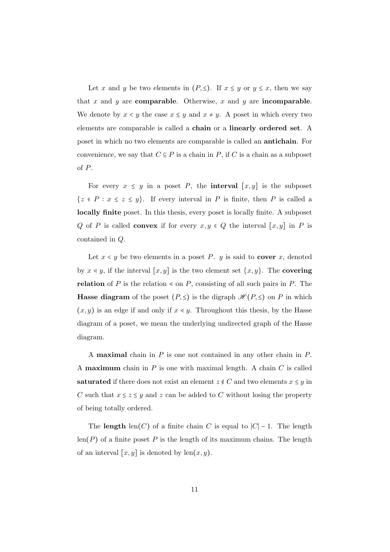Let x and y be two elements in  $(P, \leq)$ . If  $x \leq y$  or  $y \leq x$ , then we say that x and y are comparable. Otherwise, x and y are incomparable. We denote by  $x \leq y$  the case  $x \leq y$  and  $x \neq y$ . A poset in which every two elements are comparable is called a chain or a linearly ordered set. A poset in which no two elements are comparable is called an antichain. For convenience, we say that  $C \subseteq P$  is a chain in P, if C is a chain as a subposet of P.

For every  $x \leq y$  in a poset P, the **interval**  $[x, y]$  is the subposet  $\{z \in P : x \leq z \leq y\}$ . If every interval in P is finite, then P is called a locally finite poset. In this thesis, every poset is locally finite. A subposet Q of P is called **convex** if for every  $x, y \in Q$  the interval  $[x, y]$  in P is contained in Q.

Let  $x < y$  be two elements in a poset P. y is said to **cover** x, denoted by  $x \leq y$ , if the interval  $[x, y]$  is the two element set  $\{x, y\}$ . The **covering** relation of P is the relation  $\leq$  on P, consisting of all such pairs in P. The **Hasse diagram** of the poset  $(P, \leq)$  is the digraph  $\mathcal{H}(P, \leq)$  on P in which  $(x, y)$  is an edge if and only if  $x \lessdot y$ . Throughout this thesis, by the Hasse diagram of a poset, we mean the underlying undirected graph of the Hasse diagram.

A **maximal** chain in  $P$  is one not contained in any other chain in  $P$ . A **maximum** chain in  $P$  is one with maximal length. A chain  $C$  is called saturated if there does not exist an element  $z \notin C$  and two elements  $x \leq y$  in C such that  $x \leq z \leq y$  and z can be added to C without losing the property of being totally ordered.

The **length** len(C) of a finite chain C is equal to  $|C|$  – 1. The length  $len(P)$  of a finite poset P is the length of its maximum chains. The length of an interval  $[x, y]$  is denoted by len $(x, y)$ .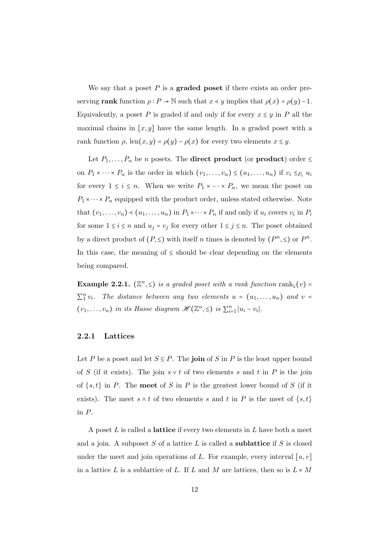We say that a poset  $P$  is a graded poset if there exists an order preserving rank function  $\rho : P \to \mathbb{N}$  such that  $x \leq y$  implies that  $\rho(x) = \rho(y) - 1$ . Equivalently, a poset P is graded if and only if for every  $x \leq y$  in P all the maximal chains in  $[x, y]$  have the same length. In a graded poset with a rank function  $\rho$ , len $(x, y) = \rho(y) - \rho(x)$  for every two elements  $x \leq y$ .

Let  $P_1, \ldots, P_n$  be n posets. The **direct product** (or **product**) order  $\leq$ on  $P_1 \times \cdots \times P_n$  is the order in which  $(v_1, \ldots, v_n) \leq (u_1, \ldots, u_n)$  if  $v_i \leq_{P_i} u_i$ for every  $1 \leq i \leq n$ . When we write  $P_1 \times \cdots \times P_n$ , we mean the poset on  $P_1 \times \cdots \times P_n$  equipped with the product order, unless stated otherwise. Note that  $(v_1, \ldots, v_n) \triangleleft (u_1, \ldots, u_n)$  in  $P_1 \times \cdots \times P_n$  if and only if  $u_i$  covers  $v_i$  in  $P_i$ for some  $1 \le i \le n$  and  $u_j = v_j$  for every other  $1 \le j \le n$ . The poset obtained by a direct product of  $(P, \leq)$  with itself n times is denoted by  $(P^n, \leq)$  or  $P^n$ . In this case, the meaning of  $\leq$  should be clear depending on the elements being compared.

<span id="page-17-1"></span>**Example 2.2.1.**  $(\mathbb{Z}^n, \leq)$  is a graded poset with a rank function rank<sub> $\leq$ </sub>(v) =  $\sum_1^n v_i$ . The distance between any two elements  $u = (u_1, \ldots, u_n)$  and  $v =$  $(v_1, \ldots, v_n)$  in its Hasse diagram  $\mathscr{H}(\mathbb{Z}^n, \leq)$  is  $\sum_{i=1}^n |u_i - v_i|$ .

#### <span id="page-17-0"></span>2.2.1 Lattices

Let P be a poset and let  $S \subseteq P$ . The join of S in P is the least upper bound of S (if it exists). The join  $s \vee t$  of two elements s and t in P is the join of  $\{s, t\}$  in P. The **meet** of S in P is the greatest lower bound of S (if it exists). The meet  $s \wedge t$  of two elements s and t in P is the meet of  $\{s, t\}$ in P.

A poset  $L$  is called a **lattice** if every two elements in  $L$  have both a meet and a join. A subposet  $S$  of a lattice  $L$  is called a **sublattice** if  $S$  is closed under the meet and join operations of L. For example, every interval  $[u, v]$ in a lattice L is a sublattice of L. If L and M are lattices, then so is  $L \times M$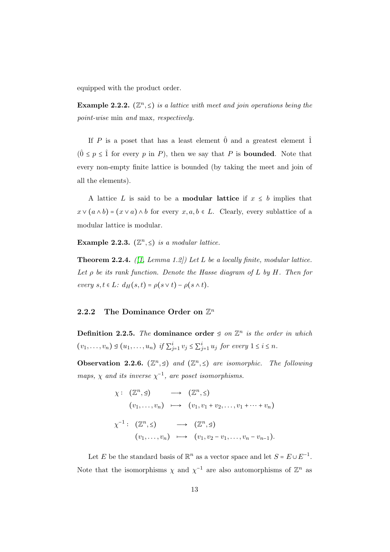equipped with the product order.

<span id="page-18-1"></span>**Example 2.2.2.**  $(\mathbb{Z}^n, \leq)$  is a lattice with meet and join operations being the point-wise min and max, respectively.

If P is a poset that has a least element  $\hat{0}$  and a greatest element  $\hat{1}$  $(0 \le p \le \hat{1}$  for every p in P), then we say that P is **bounded**. Note that every non-empty finite lattice is bounded (by taking the meet and join of all the elements).

A lattice L is said to be a **modular lattice** if  $x \leq b$  implies that  $x \vee (a \wedge b) = (x \vee a) \wedge b$  for every  $x, a, b \in L$ . Clearly, every sublattice of a modular lattice is modular.

Example 2.2.3.  $(\mathbb{Z}^n, \leq)$  is a modular lattice.

**Theorem 2.2.4.** ([\[1,](#page-77-1) Lemma 1.2]) Let L be a locally finite, modular lattice. Let  $\rho$  be its rank function. Denote the Hasse diagram of L by H. Then for every  $s, t \in L$ :  $d_H(s,t) = \rho(s \vee t) - \rho(s \wedge t)$ .

#### <span id="page-18-0"></span>2.2.2 The Dominance Order on  $\mathbb{Z}^n$

Definition 2.2.5. The dominance order  $\leq$  on  $\mathbb{Z}^n$  is the order in which  $(v_1, \ldots, v_n) \trianglelefteq (u_1, \ldots, u_n)$  if  $\sum_{j=1}^i v_j \leq \sum_{j=1}^i u_j$  for every  $1 \leq i \leq n$ .

<span id="page-18-2"></span>Observation 2.2.6.  $(\mathbb{Z}^n, \leq)$  and  $(\mathbb{Z}^n, \leq)$  are isomorphic. The following maps,  $\chi$  and its inverse  $\chi^{-1}$ , are poset isomorphisms.

> $\chi: (\mathbb{Z}^n, \leq) \longrightarrow (\mathbb{Z}^n, \leq)$  $(v_1, \ldots, v_n) \mapsto (v_1, v_1 + v_2, \ldots, v_1 + \cdots + v_n)$  $\chi^{-1}: (\mathbb{Z}^n, \leq) \longrightarrow (\mathbb{Z}^n, \leq)$  $(v_1, \ldots, v_n) \mapsto (v_1, v_2 - v_1, \ldots, v_n - v_{n-1}).$

Let E be the standard basis of  $\mathbb{R}^n$  as a vector space and let  $S = E \cup E^{-1}$ . Note that the isomorphisms  $\chi$  and  $\chi^{-1}$  are also automorphisms of  $\mathbb{Z}^n$  as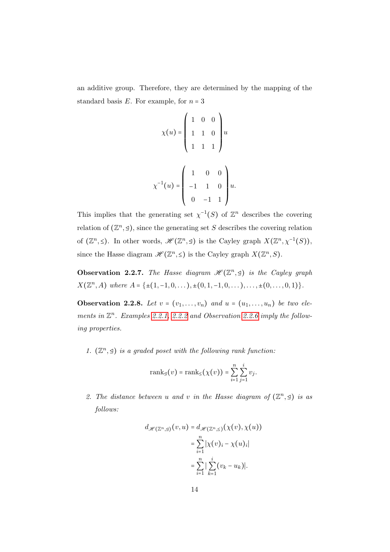an additive group. Therefore, they are determined by the mapping of the standard basis  $E$ . For example, for  $n = 3$ 

$$
\chi(u) = \begin{pmatrix} 1 & 0 & 0 \\ 1 & 1 & 0 \\ 1 & 1 & 1 \end{pmatrix} u
$$

$$
\chi^{-1}(u) = \begin{pmatrix} 1 & 0 & 0 \\ -1 & 1 & 0 \\ 0 & -1 & 1 \end{pmatrix} u.
$$

This implies that the generating set  $\chi^{-1}(S)$  of  $\mathbb{Z}^n$  describes the covering relation of  $(\mathbb{Z}^n, \leq)$ , since the generating set S describes the covering relation of  $(\mathbb{Z}^n, \leq)$ . In other words,  $\mathscr{H}(\mathbb{Z}^n, \leq)$  is the Cayley graph  $X(\mathbb{Z}^n, \chi^{-1}(S))$ , since the Hasse diagram  $\mathscr{H}(\mathbb{Z}^n, \leq)$  is the Cayley graph  $X(\mathbb{Z}^n, S)$ .

Observation 2.2.7. The Hasse diagram  $\mathscr{H}(\mathbb{Z}^n, \trianglelefteq)$  is the Cayley graph  $X(\mathbb{Z}^n, A)$  where  $A = \{\pm (1, -1, 0, \dots), \pm (0, 1, -1, 0, \dots), \dots, \pm (0, \dots, 0, 1)\}.$ 

**Observation 2.2.8.** Let  $v = (v_1, \ldots, v_n)$  and  $u = (u_1, \ldots, u_n)$  be two elements in  $\mathbb{Z}^n$ . Examples [2.2.1,](#page-17-1) [2.2.2](#page-18-1) and Observation [2.2.6](#page-18-2) imply the following properties.

1.  $(\mathbb{Z}^n, \leq)$  is a graded poset with the following rank function:

$$
\operatorname{rank}_{\mathfrak{Q}}(v)=\operatorname{rank}_{\leq}(\chi(v))=\sum_{i=1}^n\sum_{j=1}^iv_j.
$$

2. The distance between u and v in the Hasse diagram of  $(\mathbb{Z}^n, \leq)$  is as follows:

$$
d_{\mathcal{H}(\mathbb{Z}^n,\mathfrak{Q})}(v,u) = d_{\mathcal{H}(\mathbb{Z}^n,\mathfrak{L})}(\chi(v),\chi(u))
$$
  

$$
= \sum_{i=1}^n |\chi(v)_i - \chi(u)_i|
$$
  

$$
= \sum_{i=1}^n |\sum_{k=1}^i (v_k - u_k)|.
$$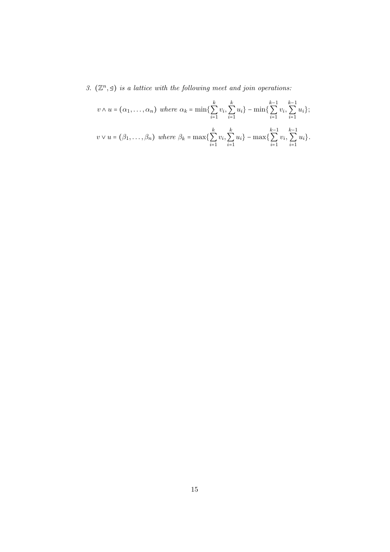3.  $(\mathbb{Z}^n, \leq)$  is a lattice with the following meet and join operations:

$$
v \wedge u = (\alpha_1, ..., \alpha_n) \text{ where } \alpha_k = \min\{\sum_{i=1}^k v_i, \sum_{i=1}^k u_i\} - \min\{\sum_{i=1}^{k-1} v_i, \sum_{i=1}^{k-1} u_i\};
$$
  

$$
v \vee u = (\beta_1, ..., \beta_n) \text{ where } \beta_k = \max\{\sum_{i=1}^k v_i, \sum_{i=1}^k u_i\} - \max\{\sum_{i=1}^{k-1} v_i, \sum_{i=1}^{k-1} u_i\}.
$$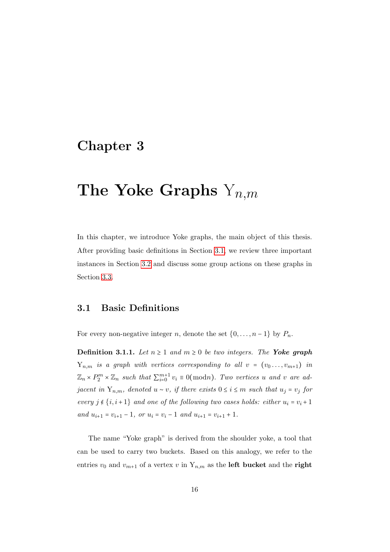## <span id="page-21-0"></span>Chapter 3

# The Yoke Graphs  $Y_{n,m}$

In this chapter, we introduce Yoke graphs, the main object of this thesis. After providing basic definitions in Section [3.1,](#page-21-1) we review three important instances in Section [3.2](#page-23-0) and discuss some group actions on these graphs in Section [3.3.](#page-26-0)

### <span id="page-21-1"></span>3.1 Basic Definitions

For every non-negative integer n, denote the set  $\{0, \ldots, n-1\}$  by  $P_n$ .

<span id="page-21-2"></span>**Definition 3.1.1.** Let  $n \geq 1$  and  $m \geq 0$  be two integers. The Yoke graph  $Y_{n,m}$  is a graph with vertices corresponding to all  $v = (v_0 \ldots, v_{m+1})$  in  $\mathbb{Z}_n \times P_2^m \times \mathbb{Z}_n$  such that  $\sum_{i=0}^{m+1} v_i \equiv 0 \pmod{n}$ . Two vertices u and v are adjacent in  $Y_{n,m}$ , denoted  $u \sim v$ , if there exists  $0 \le i \le m$  such that  $u_j = v_j$  for every  $j \notin \{i, i+1\}$  and one of the following two cases holds: either  $u_i = v_i + 1$ and  $u_{i+1} = v_{i+1} - 1$ , or  $u_i = v_i - 1$  and  $u_{i+1} = v_{i+1} + 1$ .

The name "Yoke graph" is derived from the shoulder yoke, a tool that can be used to carry two buckets. Based on this analogy, we refer to the entries  $v_0$  and  $v_{m+1}$  of a vertex v in  $Y_{n,m}$  as the **left bucket** and the **right**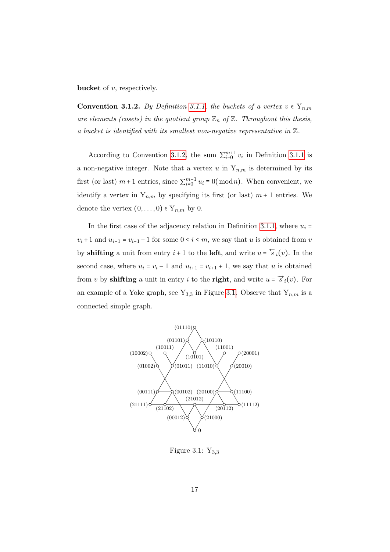**bucket** of  $v$ , respectively.

<span id="page-22-0"></span>**Convention 3.1.2.** By Definition [3.1.1,](#page-21-2) the buckets of a vertex  $v \in Y_{n,m}$ are elements (cosets) in the quotient group  $\mathbb{Z}_n$  of  $\mathbb{Z}$ . Throughout this thesis, a bucket is identified with its smallest non-negative representative in Z.

According to Convention [3.1.2,](#page-22-0) the sum  $\sum_{i=0}^{m+1} v_i$  in Definition [3.1.1](#page-21-2) is a non-negative integer. Note that a vertex u in  $Y_{n,m}$  is determined by its first (or last)  $m+1$  entries, since  $\sum_{i=0}^{m+1} u_i \equiv 0 \pmod{n}$ . When convenient, we identify a vertex in  $Y_{n,m}$  by specifying its first (or last)  $m + 1$  entries. We denote the vertex  $(0, \ldots, 0) \in Y_{n,m}$  by 0.

In the first case of the adjacency relation in Definition [3.1.1,](#page-21-2) where  $u_i =$  $v_i + 1$  and  $u_{i+1} = v_{i+1} - 1$  for some  $0 \le i \le m$ , we say that u is obtained from v by **shifting** a unit from entry  $i + 1$  to the **left**, and write  $u = \frac{\epsilon}{s}i(v)$ . In the second case, where  $u_i = v_i - 1$  and  $u_{i+1} = v_{i+1} + 1$ , we say that u is obtained from v by **shifting** a unit in entry i to the **right**, and write  $u = \vec{s}_i(v)$ . For an example of a Yoke graph, see Y<sub>3,3</sub> in Figure [3.1.](#page-22-1) Observe that  $Y_{n,m}$  is a connected simple graph.



<span id="page-22-1"></span>Figure 3.1:  $Y_{3,3}$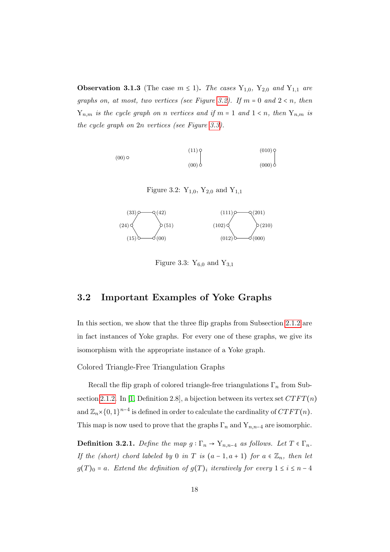<span id="page-23-3"></span>**Observation 3.1.3** (The case  $m \le 1$ ). The cases  $Y_{1,0}$ ,  $Y_{2,0}$  and  $Y_{1,1}$  are graphs on, at most, two vertices (see Figure [3.2\)](#page-23-1). If  $m = 0$  and  $2 < n$ , then  $Y_{n,m}$  is the cycle graph on n vertices and if  $m = 1$  and  $1 \le n$ , then  $Y_{n,m}$  is the cycle graph on 2n vertices (see Figure [3.3\)](#page-23-2).

$$
(00) \circ (010) \circ (00)
$$
\n
$$
(00) \circ (00)
$$

<span id="page-23-1"></span>Figure 3.2:  $Y_{1,0}$ ,  $Y_{2,0}$  and  $Y_{1,1}$ 



<span id="page-23-2"></span>Figure 3.3:  $Y_{6,0}$  and  $Y_{3,1}$ 

## <span id="page-23-0"></span>3.2 Important Examples of Yoke Graphs

In this section, we show that the three flip graphs from Subsection [2.1.2](#page-11-1) are in fact instances of Yoke graphs. For every one of these graphs, we give its isomorphism with the appropriate instance of a Yoke graph.

Colored Triangle-Free Triangulation Graphs

Recall the flip graph of colored triangle-free triangulations  $\Gamma_n$  from Sub-section [2.1.2.](#page-11-1) In [\[1,](#page-77-1) Definition 2.8], a bijection between its vertex set  $CTFT(n)$ and  $\mathbb{Z}_n\times\{0,1\}^{n-4}$  is defined in order to calculate the cardinality of  $CTFT(n)$ . This map is now used to prove that the graphs  $\Gamma_n$  and  $Y_{n,n-4}$  are isomorphic.

**Definition 3.2.1.** Define the map  $g : \Gamma_n \to Y_{n,n-4}$  as follows. Let  $T \in \Gamma_n$ . If the (short) chord labeled by 0 in T is  $(a-1, a+1)$  for  $a \in \mathbb{Z}_n$ , then let  $g(T)_0 = a$ . Extend the definition of  $g(T)_i$  iteratively for every  $1 \leq i \leq n-4$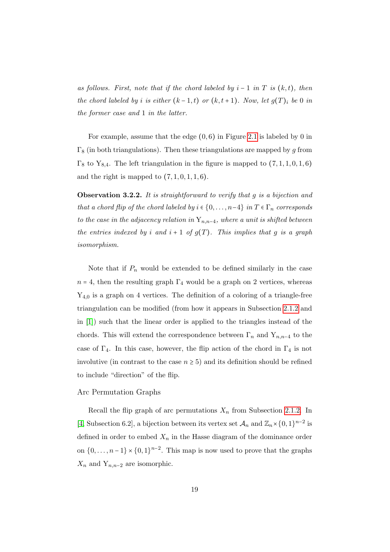as follows. First, note that if the chord labeled by  $i-1$  in T is  $(k, t)$ , then the chord labeled by i is either  $(k-1,t)$  or  $(k,t+1)$ . Now, let  $g(T)_i$  be 0 in the former case and 1 in the latter.

For example, assume that the edge  $(0,6)$  in Figure [2.1](#page-12-0) is labeled by 0 in  $\Gamma_8$  (in both triangulations). Then these triangulations are mapped by g from  $\Gamma_8$  to  $Y_{8,4}$ . The left triangulation in the figure is mapped to  $(7,1,1,0,1,6)$ and the right is mapped to  $(7, 1, 0, 1, 1, 6)$ .

Observation 3.2.2. It is straightforward to verify that g is a bijection and that a chord flip of the chord labeled by  $i \in \{0, \ldots, n-4\}$  in  $T \in \Gamma_n$  corresponds to the case in the adjacency relation in  $Y_{n,n-4}$ , where a unit is shifted between the entries indexed by i and  $i + 1$  of  $g(T)$ . This implies that g is a graph isomorphism.

Note that if  $P_n$  would be extended to be defined similarly in the case  $n = 4$ , then the resulting graph  $\Gamma_4$  would be a graph on 2 vertices, whereas  $Y_{4,0}$  is a graph on 4 vertices. The definition of a coloring of a triangle-free triangulation can be modified (from how it appears in Subsection [2.1.2](#page-11-1) and in [\[1\]](#page-77-1)) such that the linear order is applied to the triangles instead of the chords. This will extend the correspondence between  $\Gamma_n$  and  $Y_{n,n-4}$  to the case of  $\Gamma_4$ . In this case, however, the flip action of the chord in  $\Gamma_4$  is not involutive (in contrast to the case  $n \geq 5$ ) and its definition should be refined to include "direction" of the flip.

#### Arc Permutation Graphs

Recall the flip graph of arc permutations  $X_n$  from Subsection [2.1.2.](#page-11-1) In [\[4,](#page-77-2) Subsection 6.2], a bijection between its vertex set  $\mathcal{A}_n$  and  $\mathbb{Z}_n \times \{0,1\}^{n-2}$  is defined in order to embed  $X_n$  in the Hasse diagram of the dominance order on  $\{0,\ldots,n-1\}\times\{0,1\}^{n-2}$ . This map is now used to prove that the graphs  $X_n$  and  $Y_{n,n-2}$  are isomorphic.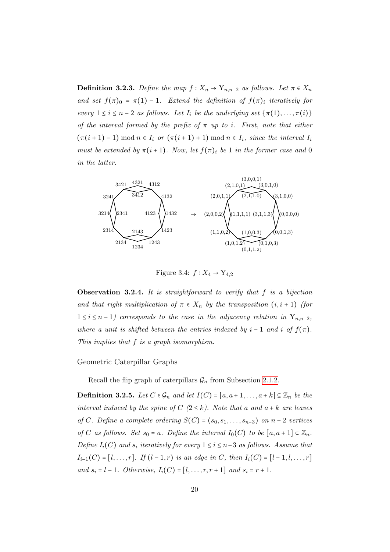**Definition 3.2.3.** Define the map  $f: X_n \to Y_{n,n-2}$  as follows. Let  $\pi \in X_n$ and set  $f(\pi)_0 = \pi(1) - 1$ . Extend the definition of  $f(\pi)_i$  iteratively for every  $1 \le i \le n-2$  as follows. Let  $I_i$  be the underlying set  $\{\pi(1), \ldots, \pi(i)\}$ of the interval formed by the prefix of  $\pi$  up to i. First, note that either  $(\pi(i+1)-1) \mod n \in I_i$  or  $(\pi(i+1)+1) \mod n \in I_i$ , since the interval  $I_i$ must be extended by  $\pi(i+1)$ . Now, let  $f(\pi)_i$  be 1 in the former case and 0 in the latter.



Figure 3.4:  $f: X_4 \to Y_{4,2}$ 

**Observation 3.2.4.** It is straightforward to verify that  $f$  is a bijection and that right multiplication of  $\pi \in X_n$  by the transposition  $(i, i + 1)$  (for  $1 \leq i \leq n-1$ ) corresponds to the case in the adjacency relation in Y<sub>n,n-2</sub>, where a unit is shifted between the entries indexed by  $i - 1$  and i of  $f(\pi)$ . This implies that f is a graph isomorphism.

Geometric Caterpillar Graphs

Recall the flip graph of caterpillars  $\mathcal{G}_n$  from Subsection [2.1.2.](#page-11-1)

<span id="page-25-0"></span>**Definition 3.2.5.** Let  $C \in \mathcal{G}_n$  and let  $I(C) = [a, a+1, \ldots, a+k] \subseteq \mathbb{Z}_n$  be the interval induced by the spine of  $C$  ( $2 \le k$ ). Note that a and  $a + k$  are leaves of C. Define a complete ordering  $S(C) = (s_0, s_1, \ldots, s_{n-3})$  on  $n-2$  vertices of C as follows. Set  $s_0 = a$ . Define the interval  $I_0(C)$  to be  $[a, a + 1] \subset \mathbb{Z}_n$ . Define  $I_i(C)$  and  $s_i$  iteratively for every  $1 \leq i \leq n-3$  as follows. Assume that  $I_{i-1}(C) = [l, \ldots, r]$ . If  $(l-1, r)$  is an edge in C, then  $I_i(C) = [l-1, l, \ldots, r]$ and  $s_i = l - 1$ . Otherwise,  $I_i(C) = [l, \ldots, r, r + 1]$  and  $s_i = r + 1$ .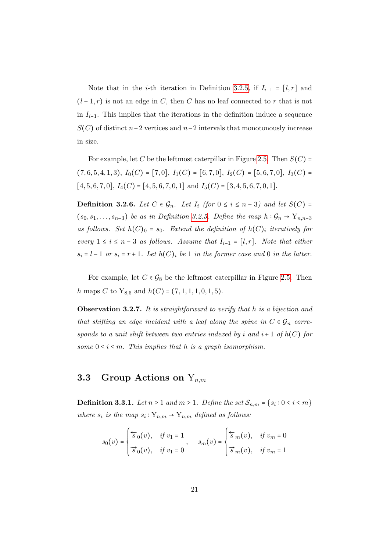Note that in the *i*-th iteration in Definition [3.2.5,](#page-25-0) if  $I_{i-1} = [l, r]$  and  $(l-1,r)$  is not an edge in C, then C has no leaf connected to r that is not in  $I_{i-1}$ . This implies that the iterations in the definition induce a sequence  $S(C)$  of distinct n−2 vertices and n−2 intervals that monotonously increase in size.

For example, let C be the leftmost caterpillar in Figure [2.5.](#page-15-1) Then  $S(C)$  =  $(7, 6, 5, 4, 1, 3), I_0(C) = [7, 0], I_1(C) = [6, 7, 0], I_2(C) = [5, 6, 7, 0], I_3(C) =$  $[4, 5, 6, 7, 0], I_4(C) = [4, 5, 6, 7, 0, 1]$  and  $I_5(C) = [3, 4, 5, 6, 7, 0, 1].$ 

**Definition 3.2.6.** Let  $C \in \mathcal{G}_n$ . Let  $I_i$  (for  $0 \leq i \leq n-3$ ) and let  $S(C)$  =  $(s_0, s_1, \ldots, s_{n-3})$  be as in Definition [3.2.5.](#page-25-0) Define the map  $h : \mathcal{G}_n \to Y_{n,n-3}$ as follows. Set  $h(C)_0 = s_0$ . Extend the definition of  $h(C)_i$  iteratively for every  $1 \le i \le n-3$  as follows. Assume that  $I_{i-1} = [l, r]$ . Note that either  $s_i = l - 1$  or  $s_i = r + 1$ . Let  $h(C)_i$  be 1 in the former case and 0 in the latter.

For example, let  $C \in \mathcal{G}_8$  be the leftmost caterpillar in Figure [2.5.](#page-15-1) Then h maps C to Y<sub>8,5</sub> and  $h(C) = (7, 1, 1, 1, 0, 1, 5)$ .

**Observation 3.2.7.** It is straightforward to verify that h is a bijection and that shifting an edge incident with a leaf along the spine in  $C \in \mathcal{G}_n$  corresponds to a unit shift between two entries indexed by i and  $i+1$  of  $h(C)$  for some  $0 \le i \le m$ . This implies that h is a graph isomorphism.

## <span id="page-26-0"></span>3.3 Group Actions on  $Y_{n,m}$

<span id="page-26-1"></span>**Definition 3.3.1.** Let  $n \ge 1$  and  $m \ge 1$ . Define the set  $\mathcal{S}_{n,m} = \{s_i : 0 \le i \le m\}$ where  $s_i$  is the map  $s_i: Y_{n,m} \to Y_{n,m}$  defined as follows:

$$
s_0(v) = \begin{cases} \overleftarrow{s}_0(v), & \text{if } v_1 = 1 \\ \overrightarrow{s}_0(v), & \text{if } v_1 = 0 \end{cases}, \quad s_m(v) = \begin{cases} \overleftarrow{s}_m(v), & \text{if } v_m = 0 \\ \overrightarrow{s}_m(v), & \text{if } v_m = 1 \end{cases}
$$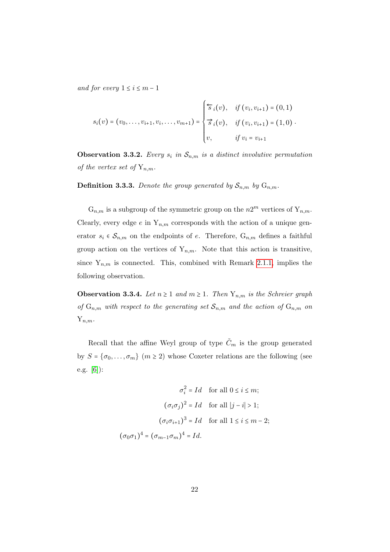and for every  $1 \leq i \leq m-1$ 

$$
s_i(v) = (v_0, \ldots, v_{i+1}, v_i, \ldots, v_{m+1}) = \begin{cases} \overleftarrow{s}_i(v), & \text{if } (v_i, v_{i+1}) = (0, 1) \\ \overrightarrow{s}_i(v), & \text{if } (v_i, v_{i+1}) = (1, 0) \\ v, & \text{if } v_i = v_{i+1} \end{cases}
$$

**Observation 3.3.2.** Every  $s_i$  in  $\mathcal{S}_{n,m}$  is a distinct involutive permutation of the vertex set of  $Y_{n,m}$ .

**Definition 3.3.3.** Denote the group generated by  $S_{n,m}$  by  $G_{n,m}$ .

 $G_{n,m}$  is a subgroup of the symmetric group on the  $n2^m$  vertices of  $Y_{n,m}$ . Clearly, every edge e in  $Y_{n,m}$  corresponds with the action of a unique generator  $s_i \in S_{n,m}$  on the endpoints of e. Therefore,  $G_{n,m}$  defines a faithful group action on the vertices of  $Y_{n,m}$ . Note that this action is transitive, since  $Y_{n,m}$  is connected. This, combined with Remark [2.1.1,](#page-11-2) implies the following observation.

**Observation 3.3.4.** Let  $n \geq 1$  and  $m \geq 1$ . Then  $Y_{n,m}$  is the Schreier graph of  $G_{n,m}$  with respect to the generating set  $S_{n,m}$  and the action of  $G_{n,m}$  on  $Y_{n,m}$ .

Recall that the affine Weyl group of type  $\tilde{C}_m$  is the group generated by  $S = {\sigma_0, ..., \sigma_m}$  ( $m \ge 2$ ) whose Coxeter relations are the following (see e.g. [\[6\]](#page-77-6)):

$$
\sigma_i^2 = Id \quad \text{for all } 0 \le i \le m;
$$

$$
(\sigma_i \sigma_j)^2 = Id \quad \text{for all } |j - i| > 1;
$$

$$
(\sigma_i \sigma_{i+1})^3 = Id \quad \text{for all } 1 \le i \le m - 2;
$$

$$
(\sigma_0 \sigma_1)^4 = (\sigma_{m-1} \sigma_m)^4 = Id.
$$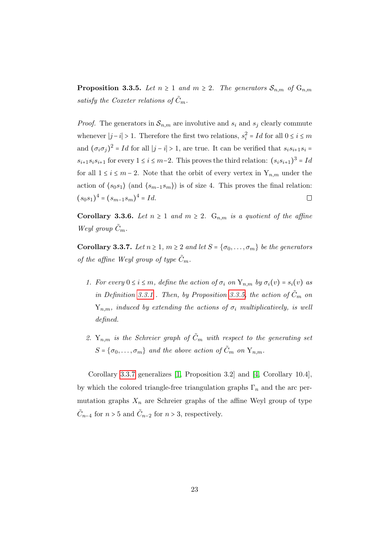<span id="page-28-0"></span>**Proposition 3.3.5.** Let  $n \geq 1$  and  $m \geq 2$ . The generators  $S_{n,m}$  of  $G_{n,m}$ satisfy the Coxeter relations of  $\tilde{C}_m$ .

*Proof.* The generators in  $\mathcal{S}_{n,m}$  are involutive and  $s_i$  and  $s_j$  clearly commute whenever  $|j - i| > 1$ . Therefore the first two relations,  $s_i^2 = Id$  for all  $0 \le i \le m$ and  $(\sigma_i \sigma_j)^2 = Id$  for all  $|j - i| > 1$ , are true. It can be verified that  $s_i s_{i+1} s_i =$  $s_{i+1}s_i s_{i+1}$  for every  $1 \le i \le m-2$ . This proves the third relation:  $(s_i s_{i+1})^3 = Id$ for all  $1 \leq i \leq m-2$ . Note that the orbit of every vertex in  $Y_{n,m}$  under the action of  $\langle s_0 s_1 \rangle$  (and  $\langle s_{m-1} s_m \rangle$ ) is of size 4. This proves the final relation:  $(s_0s_1)^4 = (s_{m-1}s_m)^4 = Id.$  $\Box$ 

Corollary 3.3.6. Let  $n \geq 1$  and  $m \geq 2$ .  $G_{n,m}$  is a quotient of the affine Weyl group  $\tilde{C}_m$ .

<span id="page-28-1"></span>Corollary 3.3.7. Let  $n \geq 1$ ,  $m \geq 2$  and let  $S = \{\sigma_0, \ldots, \sigma_m\}$  be the generators of the affine Weyl group of type  $\tilde{C}_m$ .

- 1. For every  $0 \le i \le m$ , define the action of  $\sigma_i$  on  $Y_{n,m}$  by  $\sigma_i(v) = s_i(v)$  as in Definition [3.3.1](#page-26-1). Then, by Proposition [3.3.5,](#page-28-0) the action of  $\tilde{C}_m$  on  $Y_{n,m}$ , induced by extending the actions of  $\sigma_i$  multiplicatively, is well defined.
- 2.  $Y_{n,m}$  is the Schreier graph of  $\tilde{C}_m$  with respect to the generating set  $S = \{\sigma_0, \ldots, \sigma_m\}$  and the above action of  $\tilde{C}_m$  on  $Y_{n,m}$ .

Corollary [3.3.7](#page-28-1) generalizes [\[1,](#page-77-1) Proposition 3.2] and [\[4,](#page-77-2) Corollary 10.4], by which the colored triangle-free triangulation graphs  $\Gamma_n$  and the arc permutation graphs  $X_n$  are Schreier graphs of the affine Weyl group of type  $\tilde{C}_{n-4}$  for  $n > 5$  and  $\tilde{C}_{n-2}$  for  $n > 3$ , respectively.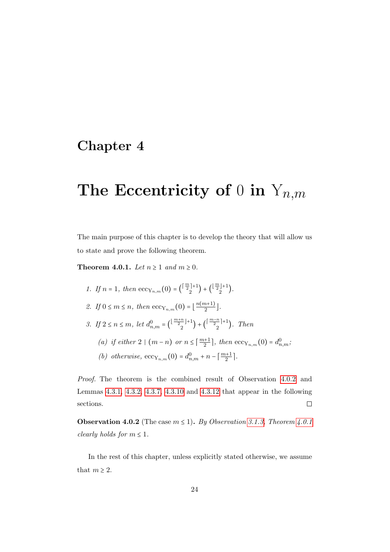## <span id="page-29-0"></span>Chapter 4

# The Eccentricity of 0 in  $Y_{n,m}$

The main purpose of this chapter is to develop the theory that will allow us to state and prove the following theorem.

<span id="page-29-1"></span>Theorem 4.0.1. Let  $n \geq 1$  and  $m \geq 0$ .

- 1. If  $n = 1$ , then  $\mathrm{ecc}_{Y_{n,m}}(0) = {(\frac{m}{2})+1 \choose 2}$  $\binom{\lfloor \frac{m}{2} \rfloor + 1}{2} + \binom{\lfloor \frac{m}{2} \rfloor + 1}{2}$  $\binom{1+1}{2}$ .
- 2. If  $0 \leq m \leq n$ , then  $\operatorname{ecc}_{Y_{n,m}}(0) = \lfloor \frac{n(m+1)}{2} \rfloor$  $\frac{n+1j}{2}$ .
- 3. If  $2 \le n \le m$ , let  $d_{n,m}^0 = \left(\frac{\lfloor \frac{m+n}{2} \rfloor + 1}{2} \right)$  $\binom{\frac{n}{2}+1}{2} + \binom{\lceil \frac{m-n}{2} \rceil+1}{2}$  $\binom{n}{2}$ . Then
	- (a) if either  $2 \mid (m-n)$  or  $n \leq \lceil \frac{m+1}{2} \rceil$ , then  $\operatorname{ecc}_{Y_{n,m}}(0) = d_{n,m}^0$ ;
	- (b) otherwise,  $ecc_{Y_{n,m}}(0) = d_{n,m}^0 + n \lceil \frac{m+1}{2} \rceil$ .

Proof. The theorem is the combined result of Observation [4.0.2](#page-29-2) and Lemmas [4.3.1,](#page-35-1) [4.3.2,](#page-35-2) [4.3.7,](#page-37-0) [4.3.10](#page-38-0) and [4.3.12](#page-38-1) that appear in the following sections.  $\Box$ 

<span id="page-29-2"></span>**Observation 4.0.2** (The case  $m \le 1$ ). By Observation [3.1.3,](#page-23-3) Theorem [4.0.1](#page-29-1) clearly holds for  $m \leq 1$ .

In the rest of this chapter, unless explicitly stated otherwise, we assume that  $m \geq 2$ .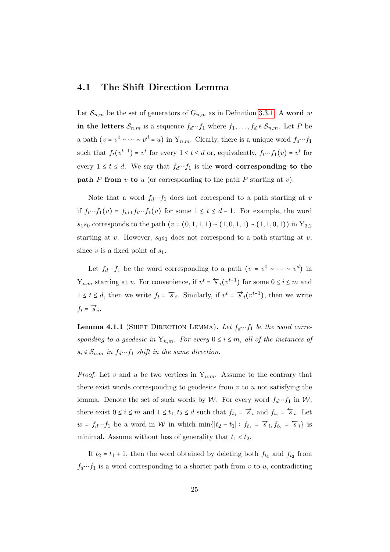### <span id="page-30-0"></span>4.1 The Shift Direction Lemma

Let  $\mathcal{S}_{n,m}$  be the set of generators of  $G_{n,m}$  as in Definition [3.3.1.](#page-26-1) A word w in the letters  $S_{n,m}$  is a sequence  $f_d \cdots f_1$  where  $f_1, \ldots, f_d \in S_{n,m}$ . Let P be a path  $(v = v^0 \sim \cdots \sim v^d = u)$  in  $Y_{n,m}$ . Clearly, there is a unique word  $f_d \cdots f_1$ such that  $f_t(v^{t-1}) = v^t$  for every  $1 \le t \le d$  or, equivalently,  $f_t \cdots f_1(v) = v^t$  for every  $1 \le t \le d$ . We say that  $f_d \cdots f_1$  is the **word corresponding to the path** P from v to u (or corresponding to the path P starting at v).

Note that a word  $f_d \cdots f_1$  does not correspond to a path starting at v if  $f_t \cdots f_1(v) = f_{t+1}f_t \cdots f_1(v)$  for some  $1 \le t \le d-1$ . For example, the word s<sub>1</sub>s<sub>0</sub> corresponds to the path  $(v = (0, 1, 1, 1) \sim (1, 0, 1, 1) \sim (1, 1, 0, 1))$  in Y<sub>3,2</sub> starting at v. However,  $s_0s_1$  does not correspond to a path starting at v, since v is a fixed point of  $s_1$ .

Let  $f_d \cdots f_1$  be the word corresponding to a path  $(v = v^0 \sim \cdots \sim v^d)$  in  $Y_{n,m}$  starting at v. For convenience, if  $v^t = \overleftarrow{s}_i(v^{t-1})$  for some  $0 \le i \le m$  and  $1 \le t \le d$ , then we write  $f_t = \overleftarrow{s}_i$ . Similarly, if  $v^t = \overrightarrow{s}_i(v^{t-1})$ , then we write  $f_t = \overrightarrow{s}_i.$ 

<span id="page-30-1"></span>**Lemma 4.1.1** (SHIFT DIRECTION LEMMA). Let  $f_d \cdots f_1$  be the word corresponding to a geodesic in  $Y_{n,m}$ . For every  $0 \leq i \leq m$ , all of the instances of  $s_i \in \mathcal{S}_{n,m}$  in  $f_d \cdots f_1$  shift in the same direction.

*Proof.* Let v and u be two vertices in  $Y_{n,m}$ . Assume to the contrary that there exist words corresponding to geodesics from  $v$  to  $u$  not satisfying the lemma. Denote the set of such words by W. For every word  $f_d \cdots f_1$  in W, there exist  $0 \le i \le m$  and  $1 \le t_1, t_2 \le d$  such that  $f_{t_1} = \overrightarrow{s}_i$  and  $f_{t_2} = \overleftarrow{s}_i$ . Let  $w = f_d \cdots f_1$  be a word in W in which min{ $|t_2 - t_1| : f_{t_1} = \overrightarrow{s}_i, f_{t_2} = \overleftarrow{s}_i$ } is minimal. Assume without loss of generality that  $t_1 < t_2$ .

If  $t_2 = t_1 + 1$ , then the word obtained by deleting both  $f_{t_1}$  and  $f_{t_2}$  from  $f_d \cdots f_1$  is a word corresponding to a shorter path from v to u, contradicting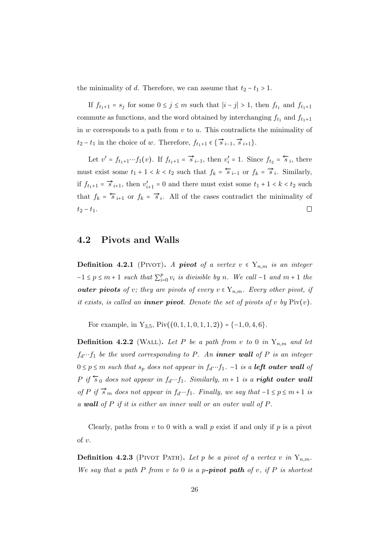the minimality of d. Therefore, we can assume that  $t_2 - t_1 > 1$ .

If  $f_{t_1+1} = s_j$  for some  $0 \le j \le m$  such that  $|i - j| > 1$ , then  $f_{t_1}$  and  $f_{t_1+1}$ commute as functions, and the word obtained by interchanging  $f_{t_1}$  and  $f_{t_1+1}$ in w corresponds to a path from  $v$  to  $u$ . This contradicts the minimality of  $t_2 - t_1$  in the choice of w. Therefore,  $f_{t_1+1} \in \{ \overrightarrow{s}_{i-1}, \overrightarrow{s}_{i+1} \}.$ 

Let  $v' = f_{t_1+1} \cdots f_1(v)$ . If  $f_{t_1+1} = \vec{s}_{i-1}$ , then  $v'_i = 1$ . Since  $f_{t_2} = \vec{s}_i$ , there must exist some  $t_1 + 1 < k < t_2$  such that  $f_k = \overleftarrow{s}_{i-1}$  or  $f_k = \overrightarrow{s}_i$ . Similarly, if  $f_{t_1+1} = \overrightarrow{s}_{i+1}$ , then  $v'_{i+1} = 0$  and there must exist some  $t_1 + 1 < k < t_2$  such that  $f_k = \overleftarrow{s}_{i+1}$  or  $f_k = \overrightarrow{s}_i$ . All of the cases contradict the minimality of  $t_2 - t_1.$  $\Box$ 

#### <span id="page-31-0"></span>4.2 Pivots and Walls

**Definition 4.2.1** (PIVOT). A **pivot** of a vertex  $v \in Y_{n,m}$  is an integer  $-1 \leq p \leq m+1$  such that  $\sum_{i=1}^{p}$  $_{i=0}^{p} v_i$  is divisible by n. We call -1 and  $m+1$  the outer pivots of v; they are pivots of every  $v \in Y_{n,m}$ . Every other pivot, if it exists, is called an **inner pivot**. Denote the set of pivots of v by  $\text{Piv}(v)$ .

For example, in  $Y_{3,5}$ ,  $Piv((0,1,1,0,1,1,2)) = \{-1,0,4,6\}.$ 

**Definition 4.2.2** (WALL). Let P be a path from v to 0 in  $Y_{n,m}$  and let  $f_d \cdots f_1$  be the word corresponding to P. An **inner wall** of P is an integer  $0 \le p \le m$  such that  $s_p$  does not appear in  $f_d \cdots f_1$ . -1 is a **left outer wall** of P if  $\overleftarrow{s}_0$  does not appear in  $f_d \cdots f_1$ . Similarly,  $m + 1$  is a **right outer wall** of P if  $\overrightarrow{s}_m$  does not appear in  $f_d \cdots f_1$ . Finally, we say that  $-1 \le p \le m+1$  is a wall of P if it is either an inner wall or an outer wall of P.

Clearly, paths from  $v$  to 0 with a wall  $p$  exist if and only if  $p$  is a pivot of v.

**Definition 4.2.3** (PIVOT PATH). Let p be a pivot of a vertex v in  $Y_{n,m}$ . We say that a path P from v to 0 is a p-pivot path of v, if P is shortest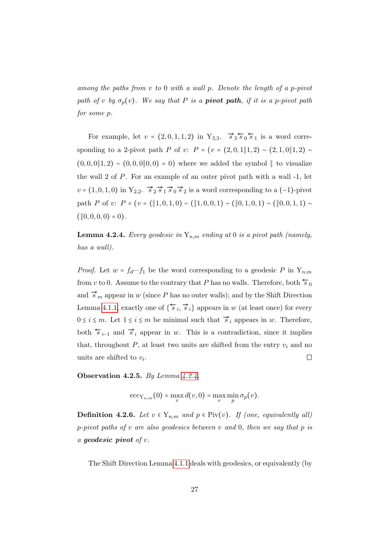among the paths from v to 0 with a wall p. Denote the length of a p-pivot path of v by  $\sigma_p(v)$ . We say that P is a **pivot path**, if it is a p-pivot path for some p.

For example, let  $v = (2, 0, 1, 1, 2)$  in  $Y_{3,3}$ .  $\overrightarrow{s}_3 \overleftarrow{s}_0 \overleftarrow{s}_1$  is a word corresponding to a 2-pivot path P of v:  $P = (v = (2, 0, 1||1, 2) \sim (2, 1, 0||1, 2)$  $(0, 0, 0\, 1, 2) \sim (0, 0, 0\, 0, 0) = 0$  where we added the symbol  $\|$  to visualize the wall 2 of P. For an example of an outer pivot path with a wall -1, let  $v = (1, 0, 1, 0)$  in  $Y_{2,2}$ .  $\vec{s}_2 \vec{s}_1 \vec{s}_0 \vec{s}_2$  is a word corresponding to a  $(-1)$ -pivot path P of v:  $P = (v = (\|1, 0, 1, 0) \sim (\|1, 0, 0, 1) \sim (\|0, 1, 0, 1) \sim (\|0, 0, 1, 1) \sim$  $(\parallel 0, 0, 0, 0) = 0$ .

<span id="page-32-0"></span>**Lemma 4.2.4.** Every geodesic in  $Y_{n,m}$  ending at 0 is a pivot path (namely, has a wall).

*Proof.* Let  $w = f_d \cdots f_1$  be the word corresponding to a geodesic P in  $Y_{n,m}$ from v to 0. Assume to the contrary that P has no walls. Therefore, both  $\overline{s}_0$ and  $\vec{s}_m$  appear in w (since P has no outer walls); and by the Shift Direction Lemma [4.1.1,](#page-30-1) exactly one of  $\{\overleftrightarrow{s}_i, \overrightarrow{s}_i\}$  appears in w (at least once) for every  $0 \le i \le m$ . Let  $1 \le i \le m$  be minimal such that  $\vec{s}_i$  appears in w. Therefore, both  $\overleftarrow{s}_{i-1}$  and  $\overrightarrow{s}_i$  appear in w. This is a contradiction, since it implies that, throughout  $P$ , at least two units are shifted from the entry  $v_i$  and no units are shifted to  $v_i$ .  $\Box$ 

Observation 4.2.5. By Lemma  $4.2.4$ ,

$$
\mathrm{ecc}_{Y_{n,m}}(0) = \max_{v} d(v,0) = \max_{v} \min_{p} \sigma_p(v).
$$

**Definition 4.2.6.** Let  $v \in Y_{n,m}$  and  $p \in \text{Piv}(v)$ . If (one, equivalently all) p-pivot paths of  $v$  are also geodesics between  $v$  and  $0$ , then we say that  $p$  is a geodesic pivot of v.

The Shift Direction Lemma [4.1.1](#page-30-1) deals with geodesics, or equivalently (by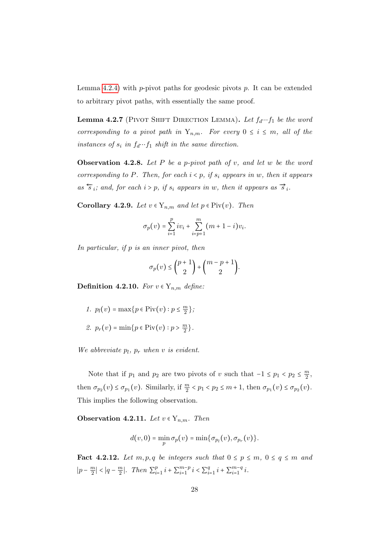Lemma [4.2.4\)](#page-32-0) with p-pivot paths for geodesic pivots p. It can be extended to arbitrary pivot paths, with essentially the same proof.

**Lemma 4.2.7** (PIVOT SHIFT DIRECTION LEMMA). Let  $f_d \cdots f_1$  be the word corresponding to a pivot path in  $Y_{n,m}$ . For every  $0 \leq i \leq m$ , all of the instances of  $s_i$  in  $f_d \cdots f_1$  shift in the same direction.

**Observation 4.2.8.** Let P be a p-pivot path of v, and let w be the word corresponding to P. Then, for each  $i < p$ , if  $s_i$  appears in w, then it appears as  $\overleftarrow{s}_i$ ; and, for each  $i > p$ , if  $s_i$  appears in w, then it appears as  $\overrightarrow{s}_i$ .

<span id="page-33-1"></span>Corollary 4.2.9. Let  $v \in Y_{n,m}$  and let  $p \in \text{Piv}(v)$ . Then

$$
\sigma_p(v) = \sum_{i=1}^p iv_i + \sum_{i=p+1}^m (m+1-i)v_i.
$$

In particular, if p is an inner pivot, then

$$
\sigma_p(v) \leq {p+1 \choose 2} + {m-p+1 \choose 2}.
$$

**Definition 4.2.10.** For  $v \in Y_{n,m}$  define:

\n- 1. 
$$
p_l(v) = \max\{p \in \text{Piv}(v) : p \leq \frac{m}{2}\};
$$
\n- 2.  $p_r(v) = \min\{p \in \text{Piv}(v) : p > \frac{m}{2}\}.$
\n

We abbreviate  $p_l$ ,  $p_r$  when v is evident.

Note that if  $p_1$  and  $p_2$  are two pivots of v such that  $-1 \le p_1 < p_2 \le \frac{m}{2}$  $\frac{m}{2}$ then  $\sigma_{p_2}(v) \leq \sigma_{p_1}(v)$ . Similarly, if  $\frac{m}{2} < p_1 < p_2 \leq m+1$ , then  $\sigma_{p_1}(v) \leq \sigma_{p_2}(v)$ . This implies the following observation.

<span id="page-33-0"></span>Observation 4.2.11. Let  $v \in Y_{n,m}$ . Then

$$
d(v,0) = \min_{p} \sigma_p(v) = \min{\{\sigma_{p_l}(v), \sigma_{p_r}(v)\}}.
$$

<span id="page-33-2"></span>**Fact 4.2.12.** Let  $m, p, q$  be integers such that  $0 \leq p \leq m$ ,  $0 \leq q \leq m$  and  $|p - \frac{m}{2}|$  $\left|\frac{m}{2}\right| < \left|q - \frac{m}{2}\right|$  $\frac{m}{2}$ . Then  $\sum_{i=1}^{p}$  $_{i=1}^{p} i + \sum_{i=1}^{m-p}$  $_{i=1}^{m-p} i < \sum_{i=1}^{q}$  $_{i=1}^{q}$   $i + \sum_{i=1}^{m-q}$  $\frac{m-q}{i=1}i$ .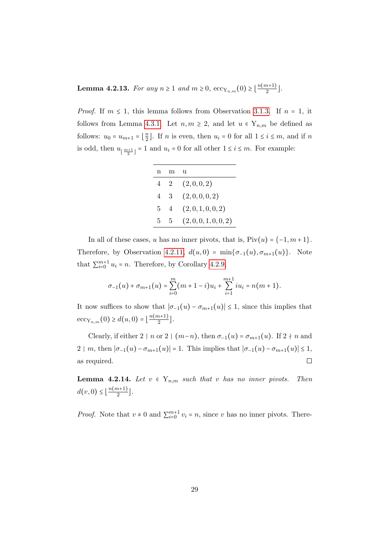<span id="page-34-0"></span>**Lemma 4.2.13.** For any  $n \ge 1$  and  $m \ge 0$ ,  $\operatorname{ecc}_{Y_{n,m}}(0) \ge \lfloor \frac{n(m+1)}{2} \rfloor$  $\frac{n+1j}{2}$ .

*Proof.* If  $m \leq 1$ , this lemma follows from Observation [3.1.3.](#page-23-3) If  $n = 1$ , it follows from Lemma [4.3.1.](#page-35-1) Let  $n, m \geq 2$ , and let  $u \in Y_{n,m}$  be defined as follows:  $u_0 = u_{m+1} = \left\lfloor \frac{n}{2} \right\rfloor$  $\frac{n}{2}$ . If *n* is even, then  $u_i = 0$  for all  $1 \le i \le m$ , and if *n* is odd, then  $u_{\lfloor \frac{m+1}{2} \rfloor} = 1$  and  $u_i = 0$  for all other  $1 \le i \le m$ . For example:

| n |                | 11              |
|---|----------------|-----------------|
| 4 | $\overline{2}$ | (2,0,0,2)       |
| 4 | -3             | (2,0,0,0,2)     |
| 5 | 4              | (2,0,1,0,0,2)   |
| 5 | 5              | (2,0,0,1,0,0,2) |

In all of these cases, u has no inner pivots, that is,  $Piv(u) = \{-1, m+1\}.$ Therefore, by Observation [4.2.11,](#page-33-0)  $d(u, 0) = \min{\lbrace \sigma_{-1}(u), \sigma_{m+1}(u) \rbrace}$ . Note that  $\sum_{i=0}^{m+1} u_i = n$ . Therefore, by Corollary [4.2.9,](#page-33-1)

$$
\sigma_{-1}(u) + \sigma_{m+1}(u) = \sum_{i=0}^{m} (m+1-i)u_i + \sum_{i=1}^{m+1} i u_i = n(m+1).
$$

It now suffices to show that  $|\sigma_{-1}(u) - \sigma_{m+1}(u)| \leq 1$ , since this implies that  $ecc_{Y_{n,m}}(0) \geq d(u,0) = \lfloor \frac{n(m+1)}{2} \rfloor$  $\frac{n+1j}{2}$ .

Clearly, if either 2 | n or 2 |  $(m-n)$ , then  $\sigma_{-1}(u) = \sigma_{m+1}(u)$ . If 2 + n and 2 | m, then  $|\sigma_{-1}(u) - \sigma_{m+1}(u)| = 1$ . This implies that  $|\sigma_{-1}(u) - \sigma_{m+1}(u)| \leq 1$ , as required.  $\Box$ 

<span id="page-34-1"></span>**Lemma 4.2.14.** Let  $v \in Y_{n,m}$  such that v has no inner pivots. Then  $d(v, 0) \leq \lfloor \frac{n(m+1)}{2} \rfloor$  $\frac{n+1j}{2}$ .

*Proof.* Note that  $v \neq 0$  and  $\sum_{i=0}^{m+1} v_i = n$ , since v has no inner pivots. There-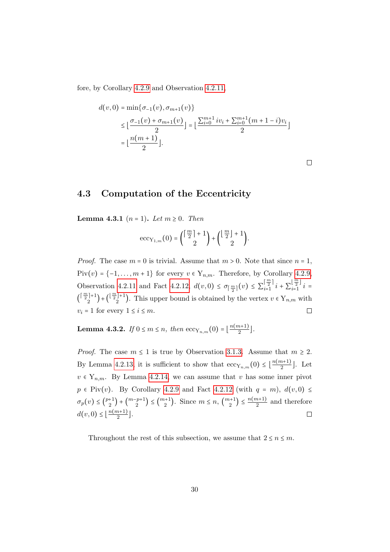fore, by Corollary [4.2.9](#page-33-1) and Observation [4.2.11,](#page-33-0)

$$
d(v, 0) = \min\{\sigma_{-1}(v), \sigma_{m+1}(v)\}
$$
  
\n
$$
\leq \lfloor \frac{\sigma_{-1}(v) + \sigma_{m+1}(v)}{2} \rfloor = \lfloor \frac{\sum_{i=0}^{m+1} iv_i + \sum_{i=0}^{m+1} (m+1-i)v_i}{2} \rfloor
$$
  
\n
$$
= \lfloor \frac{n(m+1)}{2} \rfloor.
$$

 $\Box$ 

### <span id="page-35-0"></span>4.3 Computation of the Eccentricity

<span id="page-35-1"></span>**Lemma 4.3.1** ( $n = 1$ ). Let  $m \ge 0$ . Then

$$
\mathrm{ecc}_{\mathrm{Y}_{1,m}}(0) = \binom{\lceil\frac{m}{2}\rceil+1}{2} + \binom{\lfloor\frac{m}{2}\rfloor+1}{2}.
$$

*Proof.* The case  $m = 0$  is trivial. Assume that  $m > 0$ . Note that since  $n = 1$ , Piv $(v) = \{-1, \ldots, m+1\}$  for every  $v \in Y_{n,m}$ . Therefore, by Corollary [4.2.9,](#page-33-1) Observation [4.2.11](#page-33-0) and Fact [4.2.12,](#page-33-2)  $d(v, 0) \leq \sigma_{\lceil \frac{m}{2} \rceil}(v) \leq \sum_{i=1}^{\lceil \frac{m}{2} \rceil}$  $\left[\frac{m}{2}\right]$   $i + \sum_{i=1}^{\lfloor \frac{m}{2} \rfloor}$  $\sum_{i=1}^{\lfloor 2 \rfloor} i =$  $\left(\left\lceil \frac{m}{2}\right\rceil +1\right)$  $\binom{\lfloor \frac{m}{2} \rfloor + 1}{2}$  +  $\binom{\lfloor \frac{m}{2} \rfloor + 1}{2}$  $2^{j+1}$ ). This upper bound is obtained by the vertex  $v \in Y_{n,m}$  with  $v_i = 1$  for every  $1 \leq i \leq m$ .  $\Box$ 

<span id="page-35-2"></span>**Lemma 4.3.2.** If  $0 \le m \le n$ , then  ${\rm ecc}_{Y_{n,m}}(0) = \lfloor \frac{n(m+1)}{2} \rfloor$  $\frac{n+1}{2}$ .

*Proof.* The case  $m \leq 1$  is true by Observation [3.1.3.](#page-23-3) Assume that  $m \geq 2$ . By Lemma [4.2.13,](#page-34-0) it is sufficient to show that  $\mathrm{ecc}_{Y_{n,m}}(0) \leq \lfloor \frac{n(m+1)}{2} \rfloor$  $\frac{n+1}{2}$ . Let  $v \in Y_{n,m}$ . By Lemma [4.2.14,](#page-34-1) we can assume that v has some inner pivot  $p \in \text{Piv}(v)$ . By Corollary [4.2.9](#page-33-1) and Fact [4.2.12](#page-33-2) (with  $q = m$ ),  $d(v, 0) \leq$  $\sigma_p(v) \leq {p+1 \choose 2}$  $\binom{+1}{2} + \binom{m-p+1}{2}$  ${2^{p+1}}\choose{2} \le {m+1}$  $\binom{n+1}{2}$ . Since  $m \leq n, \binom{m+1}{2}$  $\binom{n+1}{2} \leq \frac{n(m+1)}{2}$  $\frac{n+1}{2}$  and therefore  $d(v, 0) \leq \left\lfloor \frac{n(m+1)}{2} \right\rfloor$  $\frac{n+1j}{2}$ .  $\Box$ 

Throughout the rest of this subsection, we assume that  $2 \le n \le m$ .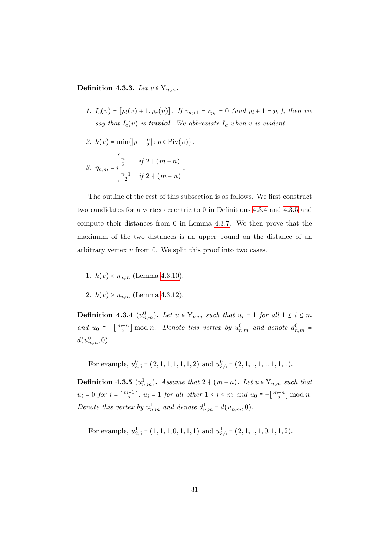<span id="page-36-2"></span>Definition 4.3.3. Let  $v \in Y_{n,m}$ .

- 1.  $I_c(v) = [p_l(v) + 1, p_r(v)]$ . If  $v_{p_l+1} = v_{p_r} = 0$  (and  $p_l + 1 = p_r$ ), then we say that  $I_c(v)$  is **trivial**. We abbreviate  $I_c$  when v is evident.
- 2.  $h(v) = \min\{|p \frac{m}{2}\}\$  $\frac{m}{2}|: p \in \text{Piv}(v)\}.$

3. 
$$
\eta_{n,m} = \begin{cases} \frac{n}{2} & \text{if } 2 \mid (m-n) \\ \frac{n+1}{2} & \text{if } 2 \nmid (m-n) \end{cases}
$$
.

The outline of the rest of this subsection is as follows. We first construct two candidates for a vertex eccentric to 0 in Definitions [4.3.4](#page-36-0) and [4.3.5](#page-36-1) and compute their distances from 0 in Lemma [4.3.7.](#page-37-0) We then prove that the maximum of the two distances is an upper bound on the distance of an arbitrary vertex  $v$  from 0. We split this proof into two cases.

- 1.  $h(v) < \eta_{n,m}$  (Lemma [4.3.10\)](#page-38-0).
- 2.  $h(v) \geq \eta_{n,m}$  (Lemma [4.3.12\)](#page-38-1).

<span id="page-36-0"></span>**Definition 4.3.4**  $(u_{n,m}^0)$ . Let  $u \in Y_{n,m}$  such that  $u_i = 1$  for all  $1 \leq i \leq m$ and  $u_0 = -\left[\frac{m-n}{2}\right] \mod n$ . Denote this vertex by  $u_{n,m}^0$  and denote  $d_{n,m}^0$  $d(u_{n,m}^0, 0)$ .

For example,  $u_{3,5}^0 = (2, 1, 1, 1, 1, 1, 2)$  and  $u_{3,6}^0 = (2, 1, 1, 1, 1, 1, 1, 1)$ .

<span id="page-36-1"></span>**Definition 4.3.5**  $(u_{n,m}^1)$ . Assume that  $2 \nmid (m-n)$ . Let  $u \in Y_{n,m}$  such that  $u_i = 0$  for  $i = \left\lceil \frac{m+1}{2} \right\rceil$ ,  $u_i = 1$  for all other  $1 \le i \le m$  and  $u_0 = -\left\lfloor \frac{m-n}{2} \right\rfloor \mod n$ . Denote this vertex by  $u_{n,m}^1$  and denote  $d_{n,m}^1 = d(u_{n,m}^1, 0)$ .

For example,  $u_{2,5}^1 = (1, 1, 1, 0, 1, 1, 1)$  and  $u_{3,6}^1 = (2, 1, 1, 1, 0, 1, 1, 2)$ .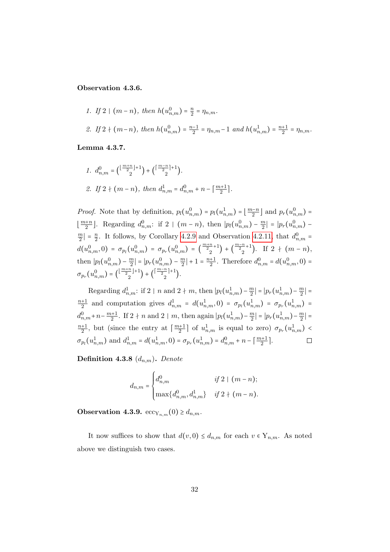#### <span id="page-37-1"></span>Observation 4.3.6.

1. If 
$$
2 \mid (m-n)
$$
, then  $h(u_{n,m}^0) = \frac{n}{2} = \eta_{n,m}$ .  
\n2. If  $2 \nmid (m-n)$ , then  $h(u_{n,m}^0) = \frac{n-1}{2} = \eta_{n,m} - 1$  and  $h(u_{n,m}^1) = \frac{n+1}{2} = \eta_{n,m}$ .

<span id="page-37-0"></span>Lemma 4.3.7.

1. 
$$
d_{n,m}^0 = \left(\frac{\lfloor \frac{m+n}{2} \rfloor + 1}{2}\right) + \left(\frac{\lceil \frac{m-n}{2} \rceil + 1}{2}\right).
$$
  
2. If  $2 \nmid (m-n)$ , then  $d_{n,m}^1 = d_{n,m}^0 + n - \lceil \frac{m+1}{2} \rceil$ .

*Proof.* Note that by definition,  $p_l(u_{n,m}^0) = p_l(u_{n,m}^1) = \lfloor \frac{m-n}{2} \rfloor$  and  $p_r(u_{n,m}^0) =$  $\lfloor \frac{m+n}{2} \rfloor$ . Regarding  $d_{n,m}^0$ : if 2 |  $(m-n)$ , then  $\lfloor p_l(u_{n,m}^0) - \frac{m}{2} \rfloor$  $\left| \frac{m}{2} \right| = |p_r(u_{n,m}^0)$ m  $\frac{m}{2}$  =  $\frac{n}{2}$  $\frac{n}{2}$ . It follows, by Corollary [4.2.9](#page-33-0) and Observation [4.2.11,](#page-33-1) that  $d_{n,m}^0$  =  $d(u^0_{n,m},0) = \sigma_{p_l}(u^0_{n,m}) = \sigma_{p_r}(u^0_{n,m}) = \left(\frac{m+n}{2}+1\right)$  $\binom{n}{2} + \binom{\frac{m-n}{2}+1}{2}$  $\binom{-+1}{2}$ . If 2 +  $(m-n)$ , then  $|p_l(u_{n,m}^0) - \frac{m}{2}|$  $\left| \frac{m}{2} \right| = \left| p_r(u_{n,m}^0) - \frac{m}{2} \right|$  $\frac{m}{2}$  | + 1 =  $\frac{n+1}{2}$ . Therefore  $d_{n,m}^0 = d(u_{n,m}^0, 0)$  =  $\sigma_{p_r}(u_{n,m}^0) = \left(\frac{\lfloor \frac{m+n}{2} \rfloor + 1}{2} \right)$  $\binom{\frac{n}{2}+1}{2} + \binom{\lceil \frac{m-n}{2} \rceil + 1}{2}$  $\binom{2}{1}$ .

Regarding  $d_{n,m}^1$ : if 2 | n and 2 + m, then  $|p_l(u_{n,m}^1) - \frac{m}{2}$  $\left| \frac{m}{2} \right| = \left| p_r(u_{n,m}^1) - \frac{m}{2} \right|$  $\frac{m}{2}$ | =  $\frac{n+1}{2}$  and computation gives  $d_{n,m}^1 = d(u_{n,m}^1, 0) = \sigma_{p_l}(u_{n,m}^1) = \sigma_{p_r}(u_{n,m}^1) =$  $d_{n,m}^0 + n - \frac{m+1}{2}$ . If 2 + n and 2 | m, then again  $|p_l(u_{n,m}^1) - \frac{m}{2}$  $\left| \frac{m}{2} \right| = \left| p_r(u_{n,m}^1) - \frac{m}{2} \right|$  $\left|\frac{m}{2}\right|$  =  $\frac{n+1}{2}$ , but (since the entry at  $\left\lceil \frac{m+1}{2} \right\rceil$  of  $u_{n,m}^1$  is equal to zero)  $\sigma_{p_r}(u_{n,m}^1)$  $\sigma_{p_l}(u_{n,m}^1)$  and  $d_{n,m}^1 = d(u_{n,m}^1, 0) = \sigma_{p_r}(u_{n,m}^1) = d_{n,m}^0 + n - \lceil \frac{m+1}{2} \rceil$ .  $\Box$ 

<span id="page-37-2"></span>**Definition 4.3.8**  $(d_{n,m})$ . Denote

$$
d_{n,m} = \begin{cases} d_{n,m}^0 & \text{if } 2 \mid (m-n); \\ \max\{d_{n,m}^0, d_{n,m}^1\} & \text{if } 2 \nmid (m-n). \end{cases}
$$

Observation 4.3.9.  $\mathrm{ecc}_{Y_{n,m}}(0) \geq d_{n,m}$ .

It now suffices to show that  $d(v, 0) \leq d_{n,m}$  for each  $v \in Y_{n,m}$ . As noted above we distinguish two cases.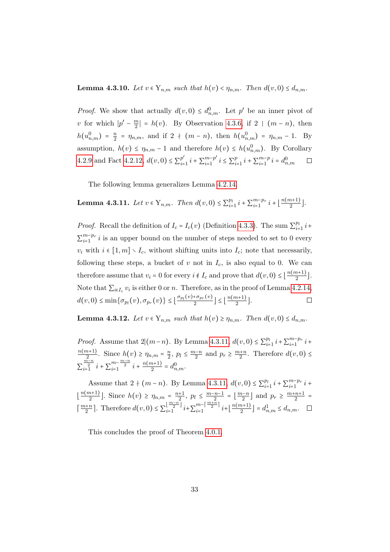#### <span id="page-38-0"></span>**Lemma 4.3.10.** Let  $v \in Y_{n,m}$  such that  $h(v) < \eta_{n,m}$ . Then  $d(v, 0) \leq d_{n,m}$ .

*Proof.* We show that actually  $d(v, 0) \leq d_{n,m}^0$ . Let p' be an inner pivot of v for which  $|p'-\frac{m}{2}|$  $\left|\frac{m}{2}\right| = h(v)$ . By Observation [4.3.6,](#page-37-1) if 2 |  $(m - n)$ , then  $h(u_{n,m}^0) = \frac{n}{2}$  $\frac{n}{2}$  =  $\eta_{n,m}$ , and if 2 +  $(m - n)$ , then  $h(u_{n,m}^0)$  =  $\eta_{n,m}$  - 1. By assumption,  $h(v) \leq \eta_{n,m} - 1$  and therefore  $h(v) \leq h(u_{n,m}^0)$ . By Corollary [4.2.9](#page-33-0) and Fact [4.2.12,](#page-33-2)  $d(v, 0) \le \sum_{i=1}^{p}$  $_{i=1}^{p'} i + \sum_{i=1}^{m-p'}$  $\sum_{i=1}^{m-p'} i \leq \sum_{i=1}^{p}$  $_{i=1}^{p} i + \sum_{i=1}^{m-p}$  $\sum_{i=1}^{m-p} i = d_{n,m}^0$  $\Box$ 

The following lemma generalizes Lemma [4.2.14.](#page-34-0)

<span id="page-38-2"></span>**Lemma 4.3.11.** Let  $v \in Y_{n,m}$ . Then  $d(v, 0) \leq \sum_{i=1}^{p_i}$  $_{i=1}^{p_l} i + \sum_{i=1}^{m-p_r}$  $_{i=1}^{m-p_r} i + \left\lfloor \frac{n(m+1)}{2} \right\rfloor$  $\frac{n+1j}{2}$ .

*Proof.* Recall the definition of  $I_c = I_c(v)$  (Definition [4.3.3\)](#page-36-2). The sum  $\sum_{i=1}^{p_l}$  $\frac{p_l}{i=1}$   $i+$  $\sum_{i=1}^{m-p_r}$  $\sum_{i=1}^{m-p_r} i$  is an upper bound on the number of steps needed to set to 0 every  $v_i$  with  $i \in [1, m] \setminus I_c$ , without shifting units into  $I_c$ ; note that necessarily, following these steps, a bucket of  $v$  not in  $I_c$ , is also equal to 0. We can therefore assume that  $v_i = 0$  for every  $i \notin I_c$  and prove that  $d(v, 0) \leq \lfloor \frac{n(m+1)}{2} \rfloor$  $\frac{n+1j}{2}$ . Note that  $\sum_{i \in I_c} v_i$  is either 0 or n. Therefore, as in the proof of Lemma [4.2.14,](#page-34-0)  $d(v, 0) \le \min\{\sigma_{p_l}(v), \sigma_{p_r}(v)\} \le \lfloor \frac{\sigma_{p_l}(v) + \sigma_{p_r}(v)}{2}$  $\left\lfloor \frac{n(m+1)}{2} \right\rfloor \leq \left\lfloor \frac{n(m+1)}{2} \right\rfloor$  $\frac{n+1j}{2}$ .  $\Box$ 

<span id="page-38-1"></span>**Lemma 4.3.12.** Let  $v \in Y_{n,m}$  such that  $h(v) \ge \eta_{n,m}$ . Then  $d(v, 0) \le d_{n,m}$ .

*Proof.* Assume that  $2|(m-n)$ . By Lemma [4.3.11,](#page-38-2)  $d(v, 0) \le \sum_{i=1}^{p}$  $_{i=1}^{p_l} i + \sum_{i=1}^{m-p_r}$  $\sum_{i=1}^{m-p_r} i +$  $n(m+1)$  $\frac{n+1}{2}$ . Since  $h(v) \geq \eta_{n,m} = \frac{n}{2}$  $\frac{n}{2}$ ,  $p_l \le \frac{m-n}{2}$  and  $p_r \ge \frac{m+n}{2}$ . Therefore  $d(v, 0) \le$  $\sum_{i=1}^{\frac{m-n}{2}} i + \sum_{i=1}^{m-\frac{m-n}{2}} i + \frac{n(m+1)}{2}$  $\frac{n+1}{2} = d^0_{n,m}.$ 

Assume that  $2 + (m - n)$ . By Lemma [4.3.11,](#page-38-2)  $d(v, 0) \le \sum_{i=1}^{p}$  $_{i=1}^{p_l} i + \sum_{i=1}^{m-p_r}$  $\sum_{i=1}^{m-p_r} i +$  $\lfloor \frac{n(m+1)}{2} \rfloor$  $\lfloor \frac{m+1}{2} \rfloor$ . Since  $h(v) \ge \eta_{n,m} = \frac{n+1}{2}$ ,  $p_l \le \frac{m-n-1}{2} = \lfloor \frac{m-n}{2} \rfloor$  and  $p_r \ge \frac{m+n+1}{2} =$  $\lceil \frac{m+n}{2} \rceil$ . Therefore  $d(v, 0) \leq \sum_{i=1}^{\lfloor \frac{m-n}{2} \rfloor}$  $\frac{\lfloor\frac{m-n}{2}\rfloor}{i+1}$   $i+\sum_{i=1}^{m-\lceil\frac{m+n}{2}\rceil}$  $\frac{m-|\frac{m+n}{2}|}{i+|\frac{n(m+1)}{2}}$  $\left[ \frac{n+1}{2} \right] = d_{n,m}^1 \leq d_{n,m}.$ 

This concludes the proof of Theorem [4.0.1.](#page-29-0)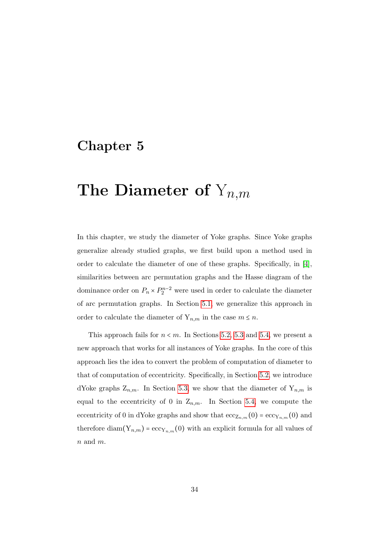# Chapter 5

# The Diameter of  $Y_{n,m}$

In this chapter, we study the diameter of Yoke graphs. Since Yoke graphs generalize already studied graphs, we first build upon a method used in order to calculate the diameter of one of these graphs. Specifically, in [\[4\]](#page-77-0), similarities between arc permutation graphs and the Hasse diagram of the dominance order on  $P_n \times P_2^{n-2}$  were used in order to calculate the diameter of arc permutation graphs. In Section [5.1,](#page-40-0) we generalize this approach in order to calculate the diameter of  $Y_{n,m}$  in the case  $m \leq n$ .

This approach fails for  $n \le m$ . In Sections [5.2,](#page-45-0) [5.3](#page-48-0) and [5.4,](#page-51-0) we present a new approach that works for all instances of Yoke graphs. In the core of this approach lies the idea to convert the problem of computation of diameter to that of computation of eccentricity. Specifically, in Section [5.2,](#page-45-0) we introduce dYoke graphs  $Z_{n,m}$ . In Section [5.3,](#page-48-0) we show that the diameter of  $Y_{n,m}$  is equal to the eccentricity of 0 in  $Z_{n,m}$ . In Section [5.4,](#page-51-0) we compute the eccentricity of 0 in dYoke graphs and show that  $\mathrm{ecc}_{Z_{n,m}}(0) = \mathrm{ecc}_{Y_{n,m}}(0)$  and therefore diam( $Y_{n,m}$ ) = ecc<sub>Y<sub>n,m</sub>(0) with an explicit formula for all values of</sub> n and m.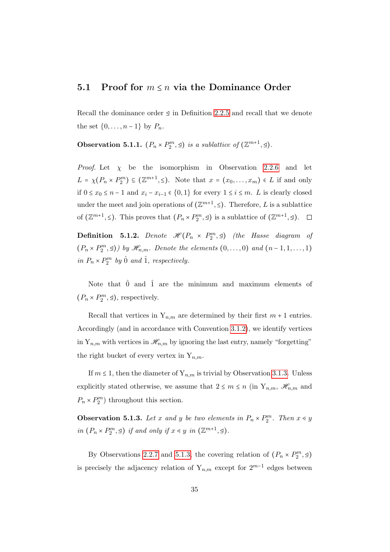### <span id="page-40-0"></span>5.1 Proof for  $m \leq n$  via the Dominance Order

Recall the dominance order ⊴ in Definition [2.2.5](#page-18-0) and recall that we denote the set  $\{0,\ldots,n-1\}$  by  $P_n$ .

<span id="page-40-2"></span>**Observation 5.1.1.**  $(P_n \times P_2^m, \trianglelefteq)$  is a sublattice of  $(\mathbb{Z}^{m+1}, \trianglelefteq)$ .

*Proof.* Let  $\chi$  be the isomorphism in Observation [2.2.6](#page-18-1) and let  $L = \chi(P_n \times P_2^m) \subseteq (\mathbb{Z}^{m+1}, \leq).$  Note that  $x = (x_0, \ldots, x_m) \in L$  if and only if  $0 \le x_0 \le n-1$  and  $x_i - x_{i-1} \in \{0, 1\}$  for every  $1 \le i \le m$ . L is clearly closed under the meet and join operations of  $(\mathbb{Z}^{m+1}, \leq)$ . Therefore, L is a sublattice of  $(\mathbb{Z}^{m+1}, \leq)$ . This proves that  $(P_n \times P_2^m, \leq)$  is a sublattice of  $(\mathbb{Z}^{m+1}, \leq)$ .

**Definition** 5.1.2. Denote  $\mathscr{H}(P_n \times P_2^m, \mathscr{Q})$  (the Hasse diagram of  $(P_n \times P_2^m, \triangleleft))$  by  $\mathcal{H}_{n,m}$ . Denote the elements  $(0, \ldots, 0)$  and  $(n-1, 1, \ldots, 1)$ in  $P_n \times P_2^m$  by  $\hat{0}$  and  $\hat{1}$ , respectively.

Note that  $\hat{0}$  and  $\hat{1}$  are the minimum and maximum elements of  $(P_n \times P_2^m, \triangleleft)$ , respectively.

Recall that vertices in  $Y_{n,m}$  are determined by their first  $m+1$  entries. Accordingly (and in accordance with Convention [3.1.2\)](#page-22-0), we identify vertices in  $Y_{n,m}$  with vertices in  $\mathcal{H}_{n,m}$  by ignoring the last entry, namely "forgetting" the right bucket of every vertex in  $Y_{n,m}$ .

If  $m \leq 1$ , then the diameter of  $Y_{n,m}$  is trivial by Observation [3.1.3.](#page-23-0) Unless explicitly stated otherwise, we assume that  $2 \le m \le n$  (in  $Y_{n,m}$ ,  $\mathcal{H}_{n,m}$  and  $P_n \times P_2^m$ ) throughout this section.

<span id="page-40-1"></span>**Observation 5.1.3.** Let x and y be two elements in  $P_n \times P_2^m$ . Then  $x \le y$ in  $(P_n \times P_2^m, \leq)$  if and only if  $x \lessdot y$  in  $(\mathbb{Z}^{m+1}, \leq)$ .

By Observations [2.2.7](#page-19-0) and [5.1.3,](#page-40-1) the covering relation of  $(P_n \times P_2^m, \leq)$ is precisely the adjacency relation of  $Y_{n,m}$  except for  $2^{m-1}$  edges between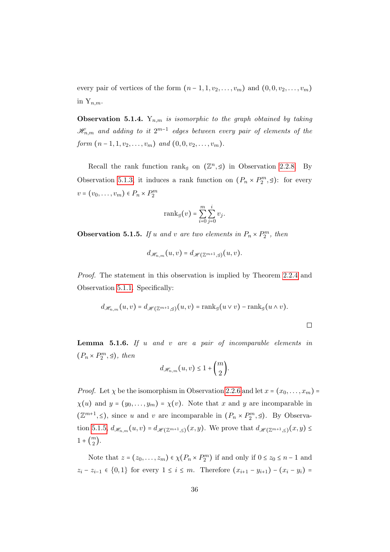every pair of vertices of the form  $(n-1, 1, v_2, \ldots, v_m)$  and  $(0, 0, v_2, \ldots, v_m)$ in  $Y_{n,m}$ .

<span id="page-41-1"></span>**Observation 5.1.4.**  $Y_{n,m}$  is isomorphic to the graph obtained by taking  $\mathscr{H}_{n,m}$  and adding to it  $2^{m-1}$  edges between every pair of elements of the form  $(n-1, 1, v_2, \ldots, v_m)$  and  $(0, 0, v_2, \ldots, v_m)$ .

Recall the rank function rank<sub>⊴</sub> on  $(\mathbb{Z}^n, \leq)$  in Observation [2.2.8.](#page-19-1) By Observation [5.1.3,](#page-40-1) it induces a rank function on  $(P_n \times P_2^m, \leq)$ : for every  $v = (v_0, \ldots, v_m) \in P_n \times P_2^m$ 

$$
\mathrm{rank}_{\mathcal{Q}}(v) = \sum_{i=0}^{m} \sum_{j=0}^{i} v_j.
$$

<span id="page-41-0"></span>**Observation 5.1.5.** If u and v are two elements in  $P_n \times P_2^m$ , then

$$
d_{\mathscr H_{n,m}}(u,v)=d_{\mathscr H(\mathbb{Z}^{m+1},\trianglelefteq)}(u,v).
$$

Proof. The statement in this observation is implied by Theorem [2.2.4](#page-18-2) and Observation [5.1.1.](#page-40-2) Specifically:

$$
d_{\mathscr{H}_{n,m}}(u,v) = d_{\mathscr{H}(\mathbb{Z}^{m+1},\mathfrak{q})}(u,v) = \operatorname{rank}_{\mathfrak{q}}(u \vee v) - \operatorname{rank}_{\mathfrak{q}}(u \wedge v).
$$

<span id="page-41-2"></span>**Lemma 5.1.6.** If  $u$  and  $v$  are a pair of incomparable elements in  $(P_n \times P_2^m, \trianglelefteq), \text{ then}$ 

$$
d_{\mathcal{H}_{n,m}}(u,v) \leq 1 + \binom{m}{2}.
$$

*Proof.* Let  $\chi$  be the isomorphism in Observation [2.2.6](#page-18-1) and let  $x = (x_0, \ldots, x_m)$  $\chi(u)$  and  $y = (y_0, \ldots, y_m) = \chi(v)$ . Note that x and y are incomparable in  $(\mathbb{Z}^{m+1}, \leq),$  since u and v are incomparable in  $(P_n \times P_2^m, \leq).$  By Observa-tion [5.1.5,](#page-41-0)  $d_{\mathscr{H}_{n,m}}(u, v) = d_{\mathscr{H}(\mathbb{Z}^{m+1}, \leq)}(x, y)$ . We prove that  $d_{\mathscr{H}(\mathbb{Z}^{m+1}, \leq)}(x, y) \leq$  $1 + \binom{m}{2}$  $\binom{n}{2}$ .

Note that  $z = (z_0, \ldots, z_m) \in \chi(P_n \times P_2^m)$  if and only if  $0 \le z_0 \le n - 1$  and  $z_i - z_{i-1}$  ∈ {0, 1} for every  $1 \le i \le m$ . Therefore  $(x_{i+1} - y_{i+1}) - (x_i - y_i) =$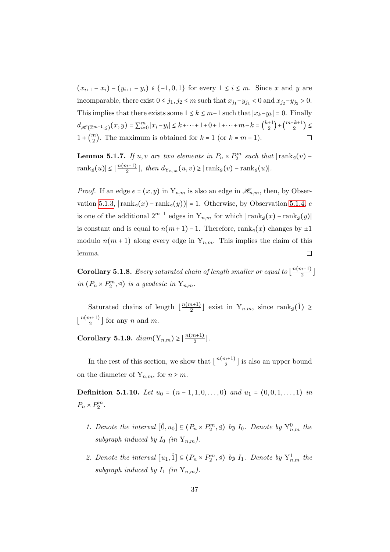$(x_{i+1} - x_i) - (y_{i+1} - y_i) \in \{-1, 0, 1\}$  for every  $1 \leq i \leq m$ . Since x and y are incomparable, there exist  $0 \le j_1, j_2 \le m$  such that  $x_{j_1} - y_{j_1} < 0$  and  $x_{j_2} - y_{j_2} > 0$ . This implies that there exists some  $1 \leq k \leq m-1$  such that  $|x_k-y_k| = 0$ . Finally  $d_{\mathscr{H}(\mathbb{Z}^{m+1},\leq)}(x,y) = \sum_{i=0}^{m} |x_i-y_i| \leq k+\cdots+1+0+1+\cdots+m-k = \binom{k+1}{2}$  $\binom{+1}{2} + \binom{m-k+1}{2}$  $\binom{k+1}{2}$  $1 + \binom{m}{2}$  $\binom{m}{2}$ . The maximum is obtained for  $k = 1$  (or  $k = m - 1$ ).  $\Box$ 

**Lemma 5.1.7.** If u, v are two elements in  $P_n \times P_2^m$  such that  $|\text{rank}_\mathcal{A}(v)$ rank⊴ $(u)$ | ≤  $\lfloor \frac{n(m+1)}{2} \rfloor$  $\frac{n+1}{2}$ , then  $d_{Y_{n,m}}(u,v) \geq |\text{rank}_{\mathcal{Q}}(v) - \text{rank}_{\mathcal{Q}}(u)|$ .

*Proof.* If an edge  $e = (x, y)$  in  $Y_{n,m}$  is also an edge in  $\mathcal{H}_{n,m}$ , then, by Obser-vation [5.1.3,](#page-40-1)  $|\text{rank}_{\leq}(x) - \text{rank}_{\leq}(y))| = 1$ . Otherwise, by Observation [5.1.4,](#page-41-1) e is one of the additional  $2^{m-1}$  edges in  $Y_{n,m}$  for which  $|\text{rank}_{\mathcal{A}}(x) - \text{rank}_{\mathcal{A}}(y)|$ is constant and is equal to  $n(m+1) - 1$ . Therefore, rank<sub>⊴</sub>(x) changes by  $\pm 1$ modulo  $n(m + 1)$  along every edge in  $Y_{n,m}$ . This implies the claim of this lemma.  $\Box$ 

<span id="page-42-0"></span>**Corollary 5.1.8.** Every saturated chain of length smaller or equal to  $\frac{n(m+1)}{2}$  $\frac{n+1j}{2}$ in  $(P_n \times P_2^m, \trianglelefteq)$  is a geodesic in  $Y_{n,m}$ .

Saturated chains of length  $\lfloor \frac{n(m+1)}{2} \rfloor$  $\frac{n+1}{2}$  exist in  $Y_{n,m}$ , since rank<sub>⊴</sub>(1) ≥  $\lfloor \frac{n(m+1)}{2} \rfloor$  $\frac{n+1}{2}$  for any *n* and *m*.

<span id="page-42-1"></span>Corollary 5.1.9.  $diam(Y_{n,m}) \geq \lfloor \frac{n(m+1)}{2} \rfloor$  $\frac{n+1j}{2}$ .

In the rest of this section, we show that  $\lfloor \frac{n(m+1)}{2} \rfloor$  $\frac{n+1}{2}$  is also an upper bound on the diameter of  $Y_{n,m}$ , for  $n \geq m$ .

Definition 5.1.10. Let  $u_0 = (n-1, 1, 0, \ldots, 0)$  and  $u_1 = (0, 0, 1, \ldots, 1)$  in  $P_n \times P_2^m$ .

- 1. Denote the interval  $[\hat{0}, u_0] \subseteq (P_n \times P_2^m, \trianglelefteq)$  by  $I_0$ . Denote by  $Y_{n,m}^0$  the subgraph induced by  $I_0$  (in  $Y_{n,m}$ ).
- 2. Denote the interval  $[u_1, \hat{1}] \subseteq (P_n \times P_2^m, \trianglelefteq)$  by  $I_1$ . Denote by  $Y_{n,m}^1$  the subgraph induced by  $I_1$  (in  $Y_{n,m}$ ).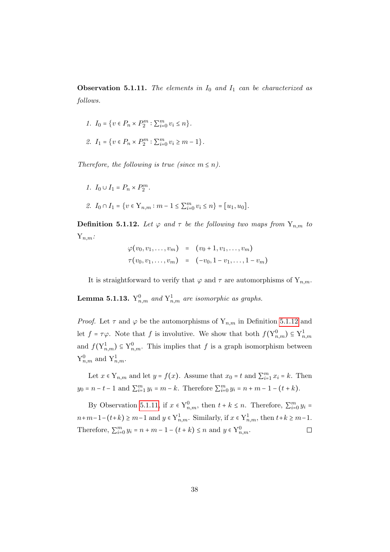<span id="page-43-1"></span>**Observation 5.1.11.** The elements in  $I_0$  and  $I_1$  can be characterized as follows.

$$
1. I_0 = \{v \in P_n \times P_2^m : \sum_{i=0}^m v_i \le n\}.
$$

$$
\mathcal{Z}. \ \ I_1 = \big\{ v \in P_n \times P_2^m : \textstyle \sum_{i=0}^m v_i \ge m-1 \big\}.
$$

Therefore, the following is true (since  $m \leq n$ ).

$$
1. I_0 \cup I_1 = P_n \times P_2^m.
$$

2. 
$$
I_0 \cap I_1 = \{v \in Y_{n,m} : m - 1 \le \sum_{i=0}^m v_i \le n\} = [u_1, u_0].
$$

<span id="page-43-0"></span>**Definition 5.1.12.** Let  $\varphi$  and  $\tau$  be the following two maps from  $Y_{n,m}$  to  $Y_{n,m}$ :

$$
\varphi(v_0, v_1, \dots, v_m) = (v_0 + 1, v_1, \dots, v_m) \n\tau(v_0, v_1, \dots, v_m) = (-v_0, 1 - v_1, \dots, 1 - v_m)
$$

It is straightforward to verify that  $\varphi$  and  $\tau$  are automorphisms of  $Y_{n,m}$ .

<span id="page-43-2"></span>**Lemma 5.1.13.**  $Y_{n,m}^0$  and  $Y_{n,m}^1$  are isomorphic as graphs.

*Proof.* Let  $\tau$  and  $\varphi$  be the automorphisms of  $Y_{n,m}$  in Definition [5.1.12](#page-43-0) and let  $f = \tau \varphi$ . Note that f is involutive. We show that both  $f(Y_{n,m}^0) \subseteq Y_{n,m}^1$ and  $f(Y_{n,m}^1) \subseteq Y_{n,m}^0$ . This implies that f is a graph isomorphism between  $Y_{n,m}^0$  and  $Y_{n,m}^1$ .

Let  $x \in Y_{n,m}$  and let  $y = f(x)$ . Assume that  $x_0 = t$  and  $\sum_{i=1}^{m} x_i = k$ . Then  $y_0 = n - t - 1$  and  $\sum_{i=1}^{m} y_i = m - k$ . Therefore  $\sum_{i=0}^{m} y_i = n + m - 1 - (t + k)$ .

By Observation [5.1.11,](#page-43-1) if  $x \in Y_{n,m}^0$ , then  $t + k \leq n$ . Therefore,  $\sum_{i=0}^{m} y_i =$  $n+m-1-(t+k) \geq m-1$  and  $y \in Y^1_{n,m}$ . Similarly, if  $x \in Y^1_{n,m}$ , then  $t+k \geq m-1$ . Therefore,  $\sum_{i=0}^{m} y_i = n + m - 1 - (t + k) \le n$  and  $y \in Y_{n,m}^0$ .  $\Box$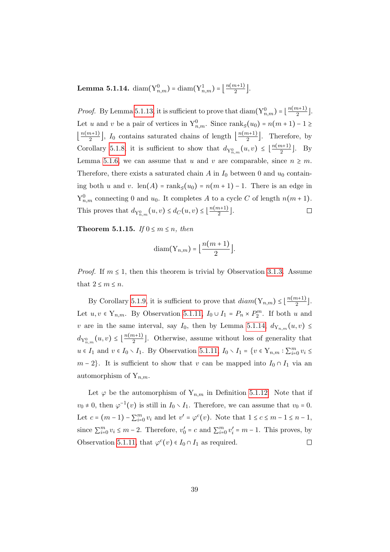<span id="page-44-0"></span> $\textbf{Lemma 5.1.14.} \; \text{diam}( \text{Y}_{n,m}^{0}) = \text{diam}( \text{Y}_{n,m}^{1}) = \big\lfloor \frac{n(m+1)}{2} \big\rfloor$  $\frac{n+1j}{2}$ .

*Proof.* By Lemma [5.1.13,](#page-43-2) it is sufficient to prove that  $\text{diam}(Y_{n,m}^0) = \lfloor \frac{n(m+1)}{2} \rfloor$  $\frac{n+1j}{2}$ . Let u and v be a pair of vertices in  $Y_{n,m}^0$ . Since rank<sub>⊴</sub>(u<sub>0</sub>) = n(m + 1) - 1 ≥  $\frac{n(m+1)}{2}$  $\left\lfloor \frac{n(n+1)}{2} \right\rfloor$ ,  $I_0$  contains saturated chains of length  $\left\lfloor \frac{n(m+1)}{2} \right\rfloor$  $\frac{n+1}{2}$ . Therefore, by Corollary [5.1.8,](#page-42-0) it is sufficient to show that  $d_{Y_{n,m}^0}(u,v) \leq \lfloor \frac{n(m+1)}{2} \rfloor$  $\frac{n+1}{2}$ . By Lemma [5.1.6,](#page-41-2) we can assume that u and v are comparable, since  $n \geq m$ . Therefore, there exists a saturated chain A in  $I_0$  between 0 and  $u_0$  containing both u and v. len(A) = rank<sub>⊴</sub>(u<sub>0</sub>) =  $n(m + 1) - 1$ . There is an edge in  $Y_{n,m}^0$  connecting 0 and  $u_0$ . It completes A to a cycle C of length  $n(m+1)$ . This proves that  $d_{\mathbf{Y}_{n,m}^0}(u,v) \leq d_{C}(u,v) \leq \lfloor \frac{n(m+1)}{2} \rfloor$  $\frac{n+1j}{2}$ .  $\Box$ 

Theorem 5.1.15. If  $0 \le m \le n$ , then

$$
diam(Y_{n,m}) = \left\lfloor \frac{n(m+1)}{2} \right\rfloor.
$$

*Proof.* If  $m \leq 1$ , then this theorem is trivial by Observation [3.1.3.](#page-23-0) Assume that  $2 \leq m \leq n$ .

By Corollary [5.1.9,](#page-42-1) it is sufficient to prove that  $diam(Y_{n,m}) \leq \lfloor \frac{n(m+1)}{2} \rfloor$  $\frac{n+1j}{2}$ . Let  $u, v \in Y_{n,m}$ . By Observation [5.1.11,](#page-43-1)  $I_0 \cup I_1 = P_n \times P_2^m$ . If both u and v are in the same interval, say  $I_0$ , then by Lemma [5.1.14,](#page-44-0)  $d_{Y_{n,m}}(u, v) \leq$  $d_{Y_{n,m}^0}(u,v) \leq \left\lfloor \frac{n(m+1)}{2} \right\rfloor$  $\frac{n+1}{2}$ . Otherwise, assume without loss of generality that  $u \in I_1$  and  $v \in I_0 \setminus I_1$ . By Observation [5.1.11,](#page-43-1)  $I_0 \setminus I_1 = \{v \in Y_{n,m} : \sum_{i=0}^m v_i \leq$  $m-2$ . It is sufficient to show that v can be mapped into  $I_0 \cap I_1$  via an automorphism of  $Y_{n,m}$ .

Let  $\varphi$  be the automorphism of  $Y_{n,m}$  in Definition [5.1.12.](#page-43-0) Note that if  $v_0 \neq 0$ , then  $\varphi^{-1}(v)$  is still in  $I_0 \setminus I_1$ . Therefore, we can assume that  $v_0 = 0$ . Let  $c = (m-1) - \sum_{i=0}^{m} v_i$  and let  $v' = \varphi^c(v)$ . Note that  $1 \le c \le m-1 \le n-1$ , since  $\sum_{i=0}^{m} v_i \le m-2$ . Therefore,  $v'_0 = c$  and  $\sum_{i=0}^{m} v'_i = m-1$ . This proves, by Observation [5.1.11,](#page-43-1) that  $\varphi^c(v) \in I_0 \cap I_1$  as required.  $\Box$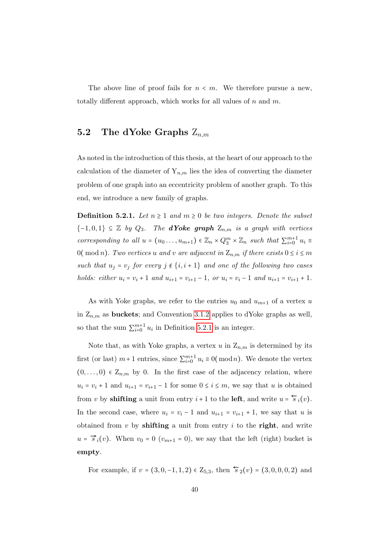The above line of proof fails for  $n < m$ . We therefore pursue a new, totally different approach, which works for all values of  $n$  and  $m$ .

## <span id="page-45-0"></span>5.2 The dYoke Graphs  $Z_{nm}$

As noted in the introduction of this thesis, at the heart of our approach to the calculation of the diameter of  $Y_{n,m}$  lies the idea of converting the diameter problem of one graph into an eccentricity problem of another graph. To this end, we introduce a new family of graphs.

<span id="page-45-1"></span>**Definition 5.2.1.** Let  $n \geq 1$  and  $m \geq 0$  be two integers. Denote the subset  ${-1,0,1} \subseteq \mathbb{Z}$  by  $Q_3$ . The **dYoke graph**  $Z_{n,m}$  is a graph with vertices corresponding to all  $u = (u_0 \ldots, u_{m+1}) \in \mathbb{Z}_n \times Q_3^m \times \mathbb{Z}_n$  such that  $\sum_{i=0}^{m+1} u_i \equiv$ 0( mod n). Two vertices u and v are adjacent in  $Z_{n,m}$  if there exists  $0 \le i \le m$ such that  $u_i = v_j$  for every  $j \notin \{i, i + 1\}$  and one of the following two cases holds: either  $u_i = v_i + 1$  and  $u_{i+1} = v_{i+1} - 1$ , or  $u_i = v_i - 1$  and  $u_{i+1} = v_{i+1} + 1$ .

As with Yoke graphs, we refer to the entries  $u_0$  and  $u_{m+1}$  of a vertex u in  $Z_{n,m}$  as **buckets**; and Convention [3.1.2](#page-22-0) applies to dYoke graphs as well, so that the sum  $\sum_{i=0}^{m+1} u_i$  in Definition [5.2.1](#page-45-1) is an integer.

Note that, as with Yoke graphs, a vertex u in  $Z_{n,m}$  is determined by its first (or last)  $m+1$  entries, since  $\sum_{i=0}^{m+1} u_i \equiv 0 \pmod{n}$ . We denote the vertex  $(0,\ldots,0) \in \mathbb{Z}_{n,m}$  by 0. In the first case of the adjacency relation, where  $u_i = v_i + 1$  and  $u_{i+1} = v_{i+1} - 1$  for some  $0 \le i \le m$ , we say that u is obtained from v by **shifting** a unit from entry  $i + 1$  to the **left**, and write  $u = \overleftarrow{s}_i(v)$ . In the second case, where  $u_i = v_i - 1$  and  $u_{i+1} = v_{i+1} + 1$ , we say that u is obtained from  $v$  by shifting a unit from entry  $i$  to the right, and write  $u = \vec{s}_i(v)$ . When  $v_0 = 0$   $(v_{m+1} = 0)$ , we say that the left (right) bucket is empty.

For example, if  $v = (3, 0, -1, 1, 2) \in \mathbb{Z}_{5,3}$ , then  $\overleftarrow{s}_2(v) = (3, 0, 0, 0, 2)$  and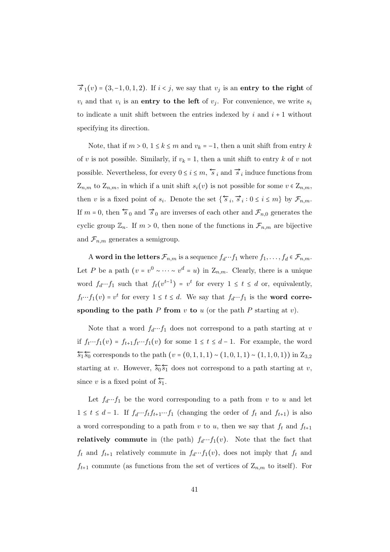$\vec{s}_1(v) = (3, -1, 0, 1, 2)$ . If  $i < j$ , we say that  $v_j$  is an entry to the right of  $v_i$  and that  $v_i$  is an entry to the left of  $v_j$ . For convenience, we write  $s_i$ to indicate a unit shift between the entries indexed by i and  $i + 1$  without specifying its direction.

Note, that if  $m > 0$ ,  $1 \le k \le m$  and  $v_k = -1$ , then a unit shift from entry k of v is not possible. Similarly, if  $v_k = 1$ , then a unit shift to entry k of v not possible. Nevertheless, for every  $0 \le i \le m$ ,  $\overleftarrow{s}_i$  and  $\overrightarrow{s}_i$  induce functions from  $Z_{n,m}$  to  $Z_{n,m}$ , in which if a unit shift  $s_i(v)$  is not possible for some  $v \in Z_{n,m}$ , then v is a fixed point of  $s_i$ . Denote the set  $\{\overleftarrow{s}_i, \overrightarrow{s}_i : 0 \le i \le m\}$  by  $\mathcal{F}_{n,m}$ . If  $m = 0$ , then  $\overleftarrow{s}_0$  and  $\overrightarrow{s}_0$  are inverses of each other and  $\mathcal{F}_{n,0}$  generates the cyclic group  $\mathbb{Z}_n$ . If  $m > 0$ , then none of the functions in  $\mathcal{F}_{n,m}$  are bijective and  $\mathcal{F}_{n,m}$  generates a semigroup.

A word in the letters  $\mathcal{F}_{n,m}$  is a sequence  $f_d \cdots f_1$  where  $f_1, \ldots, f_d \in \mathcal{F}_{n,m}$ . Let P be a path  $(v = v^0 \sim \cdots \sim v^d = u)$  in  $Z_{n,m}$ . Clearly, there is a unique word  $f_d \cdots f_1$  such that  $f_t(v^{t-1}) = v^t$  for every  $1 \le t \le d$  or, equivalently,  $f_t \cdots f_1(v) = v^t$  for every  $1 \le t \le d$ . We say that  $f_d \cdots f_1$  is the **word corre**sponding to the path P from  $v$  to  $u$  (or the path P starting at  $v$ ).

Note that a word  $f_d \cdots f_1$  does not correspond to a path starting at v if  $f_t \cdots f_1(v) = f_{t+1}f_t \cdots f_1(v)$  for some  $1 \le t \le d-1$ . For example, the word  $\overleftarrow{s_1 s_0}$  corresponds to the path  $(v = (0, 1, 1, 1) \sim (1, 0, 1, 1) \sim (1, 1, 0, 1))$  in  $Z_{3,2}$ starting at v. However,  $\overleftarrow{\mathfrak{so}}_{\mathfrak{b}_1}$  does not correspond to a path starting at v, since v is a fixed point of  $\overleftarrow{s_1}$ .

Let  $f_d \cdots f_1$  be the word corresponding to a path from v to u and let 1 ≤ t ≤ d − 1. If  $f_d \tcdot f_t f_{t+1} \tcdot f_1$  (changing the order of  $f_t$  and  $f_{t+1}$ ) is also a word corresponding to a path from v to u, then we say that  $f_t$  and  $f_{t+1}$ **relatively commute** in (the path)  $f_d \cdots f_1(v)$ . Note that the fact that  $f_t$  and  $f_{t+1}$  relatively commute in  $f_d \cdots f_1(v)$ , does not imply that  $f_t$  and  $f_{t+1}$  commute (as functions from the set of vertices of  $Z_{n,m}$  to itself). For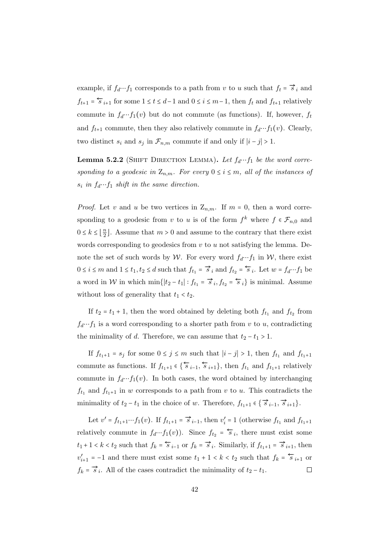example, if  $f_d \cdots f_1$  corresponds to a path from v to u such that  $f_t = \vec{s}_i$  and  $f_{t+1} = \overleftarrow{s}_{i+1}$  for some  $1 \le t \le d-1$  and  $0 \le i \le m-1$ , then  $f_t$  and  $f_{t+1}$  relatively commute in  $f_d \cdots f_1(v)$  but do not commute (as functions). If, however,  $f_t$ and  $f_{t+1}$  commute, then they also relatively commute in  $f_d \cdots f_1(v)$ . Clearly, two distinct  $s_i$  and  $s_j$  in  $\mathcal{F}_{n,m}$  commute if and only if  $|i-j| > 1$ .

<span id="page-47-0"></span>**Lemma 5.2.2** (SHIFT DIRECTION LEMMA). Let  $f_d \cdots f_1$  be the word corresponding to a geodesic in  $\mathbb{Z}_{n,m}$ . For every  $0 \leq i \leq m$ , all of the instances of  $s_i$  in  $f_d \cdots f_1$  shift in the same direction.

*Proof.* Let v and u be two vertices in  $Z_{n,m}$ . If  $m = 0$ , then a word corresponding to a geodesic from v to u is of the form  $f^k$  where  $f \in \mathcal{F}_{n,0}$  and  $0 \leq k \leq \left\lfloor \frac{n}{2} \right\rfloor$  $\frac{n}{2}$ . Assume that  $m > 0$  and assume to the contrary that there exist words corresponding to geodesics from  $v$  to  $u$  not satisfying the lemma. Denote the set of such words by W. For every word  $f_d \cdots f_1$  in W, there exist  $0 \le i \le m$  and  $1 \le t_1, t_2 \le d$  such that  $f_{t_1} = \overrightarrow{s}_i$  and  $f_{t_2} = \overleftarrow{s}_i$ . Let  $w = f_d \cdots f_1$  be a word in W in which min{ $|t_2-t_1|$ :  $f_{t_1} = \vec{s}_i, f_{t_2} = \vec{s}_i$ } is minimal. Assume without loss of generality that  $t_1 < t_2$ .

If  $t_2 = t_1 + 1$ , then the word obtained by deleting both  $f_{t_1}$  and  $f_{t_2}$  from  $f_d \cdots f_1$  is a word corresponding to a shorter path from v to u, contradicting the minimality of d. Therefore, we can assume that  $t_2 - t_1 > 1$ .

If  $f_{t_1+1} = s_j$  for some  $0 \le j \le m$  such that  $|i - j| > 1$ , then  $f_{t_1}$  and  $f_{t_1+1}$ commute as functions. If  $f_{t_1+1} \in {\overline{\left\{\overline{s}_{i-1}, \overline{s}_{i+1}\right\}}}$ , then  $f_{t_1}$  and  $f_{t_1+1}$  relatively commute in  $f_d \cdots f_1(v)$ . In both cases, the word obtained by interchanging  $f_{t_1}$  and  $f_{t_1+1}$  in w corresponds to a path from v to u. This contradicts the minimality of  $t_2 - t_1$  in the choice of w. Therefore,  $f_{t_1+1} \in \{ \overrightarrow{s}_{i-1}, \overrightarrow{s}_{i+1} \}.$ 

Let  $v' = f_{t_1+1} \cdots f_1(v)$ . If  $f_{t_1+1} = \vec{s}_{i-1}$ , then  $v'_i = 1$  (otherwise  $f_{t_1}$  and  $f_{t_1+1}$ relatively commute in  $f_d \cdots f_1(v)$ . Since  $f_{t_2} = \overleftarrow{s}_i$ , there must exist some  $t_1+1 < k < t_2$  such that  $f_k = \overleftarrow{s}_{i-1}$  or  $f_k = \overrightarrow{s}_i$ . Similarly, if  $f_{t_1+1} = \overrightarrow{s}_{i+1}$ , then  $v'_{i+1} = -1$  and there must exist some  $t_1 + 1 < k < t_2$  such that  $f_k = \overleftarrow{s}_{i+1}$  or  $f_k = \vec{s}_i$ . All of the cases contradict the minimality of  $t_2 - t_1$ .  $\Box$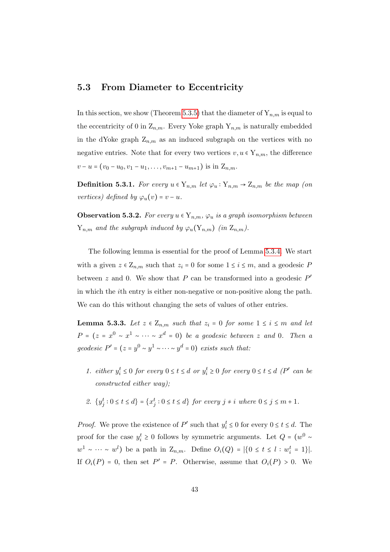### <span id="page-48-0"></span>5.3 From Diameter to Eccentricity

In this section, we show (Theorem [5.3.5\)](#page-50-0) that the diameter of  $Y_{n,m}$  is equal to the eccentricity of 0 in  $Z_{n,m}$ . Every Yoke graph  $Y_{n,m}$  is naturally embedded in the dYoke graph  $Z_{n,m}$  as an induced subgraph on the vertices with no negative entries. Note that for every two vertices  $v, u \in Y_{n,m}$ , the difference  $v - u = (v_0 - u_0, v_1 - u_1, \ldots, v_{m+1} - u_{m+1})$  is in  $Z_{n,m}$ .

**Definition 5.3.1.** For every  $u \in Y_{n,m}$  let  $\varphi_u : Y_{n,m} \to Z_{n,m}$  be the map (on vertices) defined by  $\varphi_u(v) = v - u$ .

<span id="page-48-1"></span>**Observation 5.3.2.** For every  $u \in Y_{n,m}$ ,  $\varphi_u$  is a graph isomorphism between  $Y_{n,m}$  and the subgraph induced by  $\varphi_u(Y_{n,m})$  (in  $Z_{n,m}$ ).

The following lemma is essential for the proof of Lemma [5.3.4.](#page-50-1) We start with a given  $z \in \mathbb{Z}_{n,m}$  such that  $z_i = 0$  for some  $1 \leq i \leq m$ , and a geodesic P between  $z$  and 0. We show that  $P$  can be transformed into a geodesic  $P'$ in which the ith entry is either non-negative or non-positive along the path. We can do this without changing the sets of values of other entries.

<span id="page-48-2"></span>**Lemma 5.3.3.** Let  $z \in \mathbb{Z}_{n,m}$  such that  $z_i = 0$  for some  $1 \leq i \leq m$  and let  $P = (z = x^0 \sim x^1 \sim \cdots \sim x^d = 0)$  be a geodesic between z and 0. Then a geodesic  $P' = (z = y^0 \sim y^1 \sim \cdots \sim y^d = 0)$  exists such that:

- 1. either  $y_i^t \leq 0$  for every  $0 \leq t \leq d$  or  $y_i^t \geq 0$  for every  $0 \leq t \leq d$  (P' can be constructed either way);
- 2.  $\{y_j^t : 0 \le t \le d\} = \{x_j^t : 0 \le t \le d\}$  for every  $j \ne i$  where  $0 \le j \le m + 1$ .

*Proof.* We prove the existence of  $P'$  such that  $y_i^t \leq 0$  for every  $0 \leq t \leq d$ . The proof for the case  $y_i^t \ge 0$  follows by symmetric arguments. Let  $Q = (w^0 \sim$  $w^1 \sim \cdots \sim w^l$  be a path in  $\mathbb{Z}_{n,m}$ . Define  $O_i(Q) = |\{0 \le t \le l : w_i^t = 1\}|$ . If  $O_i(P) = 0$ , then set  $P' = P$ . Otherwise, assume that  $O_i(P) > 0$ . We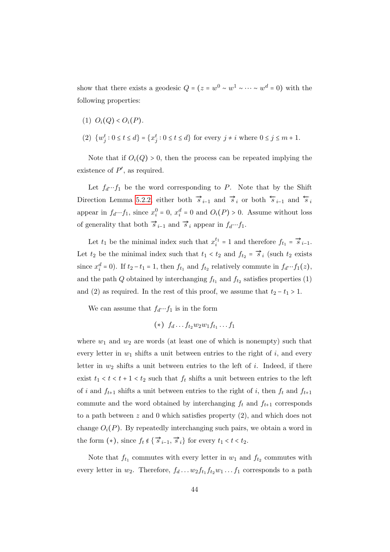show that there exists a geodesic  $Q = (z = w^0 \sim w^1 \sim \cdots \sim w^d = 0)$  with the following properties:

- (1)  $O_i(Q) < O_i(P)$ .
- (2)  $\{w_j^t : 0 \le t \le d\} = \{x_j^t : 0 \le t \le d\}$  for every  $j \ne i$  where  $0 \le j \le m + 1$ .

Note that if  $O_i(Q) > 0$ , then the process can be repeated implying the existence of  $P'$ , as required.

Let  $f_d \cdots f_1$  be the word corresponding to P. Note that by the Shift Direction Lemma [5.2.2,](#page-47-0) either both  $\vec{s}_{i-1}$  and  $\vec{s}_i$  or both  $\vec{s}_{i-1}$  and  $\vec{s}_i$ appear in  $f_d \cdots f_1$ , since  $x_i^0 = 0$ ,  $x_i^d = 0$  and  $O_i(P) > 0$ . Assume without loss of generality that both  $\vec{s}_{i-1}$  and  $\vec{s}_i$  appear in  $f_d \cdots f_1$ .

Let  $t_1$  be the minimal index such that  $x_i^{t_1} = 1$  and therefore  $f_{t_1} = \vec{s}_{i-1}$ . Let  $t_2$  be the minimal index such that  $t_1 < t_2$  and  $f_{t_2} = \overrightarrow{s}_i$  (such  $t_2$  exists since  $x_i^d = 0$ ). If  $t_2 - t_1 = 1$ , then  $f_{t_1}$  and  $f_{t_2}$  relatively commute in  $f_d \cdots f_1(z)$ , and the path Q obtained by interchanging  $f_{t_1}$  and  $f_{t_2}$  satisfies properties (1) and (2) as required. In the rest of this proof, we assume that  $t_2 - t_1 > 1$ .

We can assume that  $f_d \cdots f_1$  is in the form

$$
(*)\ f_d \ldots f_{t_2} w_2 w_1 f_{t_1} \ldots f_1
$$

where  $w_1$  and  $w_2$  are words (at least one of which is nonempty) such that every letter in  $w_1$  shifts a unit between entries to the right of i, and every letter in  $w_2$  shifts a unit between entries to the left of i. Indeed, if there exist  $t_1 < t < t + 1 < t_2$  such that  $f_t$  shifts a unit between entries to the left of i and  $f_{t+1}$  shifts a unit between entries to the right of i, then  $f_t$  and  $f_{t+1}$ commute and the word obtained by interchanging  $f_t$  and  $f_{t+1}$  corresponds to a path between  $z$  and 0 which satisfies property  $(2)$ , and which does not change  $O_i(P)$ . By repeatedly interchanging such pairs, we obtain a word in the form  $(\ast)$ , since  $f_t \notin \{ \overrightarrow{s}_{i-1}, \overrightarrow{s}_i \}$  for every  $t_1 < t < t_2$ .

Note that  $f_{t_1}$  commutes with every letter in  $w_1$  and  $f_{t_2}$  commutes with every letter in  $w_2$ . Therefore,  $f_d \dots w_2 f_{t_1} f_{t_2} w_1 \dots f_1$  corresponds to a path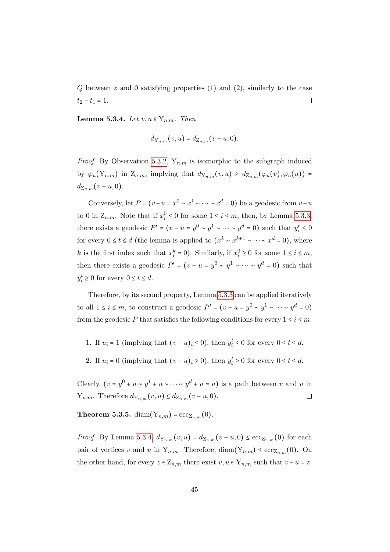Q between z and 0 satisfying properties (1) and (2), similarly to the case  $\Box$  $t_2 - t_1 = 1.$ 

<span id="page-50-1"></span>Lemma 5.3.4. Let  $v, u \in Y_{n,m}$ . Then

$$
d_{Y_{n,m}}(v,u) = d_{Z_{n,m}}(v-u,0).
$$

*Proof.* By Observation [5.3.2,](#page-48-1)  $Y_{n,m}$  is isomorphic to the subgraph induced by  $\varphi_u(Y_{n,m})$  in  $Z_{n,m}$ , implying that  $d_{Y_{n,m}}(v, u) \geq d_{Z_{n,m}}(\varphi_u(v), \varphi_u(u))$  =  $d_{Z_{n,m}}(v-u,0).$ 

Conversely, let  $P = (v - u = x^0 \sim x^1 \sim \cdots \sim x^d = 0)$  be a geodesic from  $v - u$ to 0 in  $\mathbb{Z}_{n,m}$ . Note that if  $x_i^0 \leq 0$  for some  $1 \leq i \leq m$ , then, by Lemma [5.3.3,](#page-48-2) there exists a geodesic  $P' = (v - u = y^0 \sim y^1 \sim \cdots \sim y^d = 0)$  such that  $y_i^t \leq 0$ for every  $0 \le t \le d$  (the lemma is applied to  $(x^k \sim x^{k+1} \sim \cdots \sim x^d = 0)$ ), where k is the first index such that  $x_i^k = 0$ ). Similarly, if  $x_i^0 \ge 0$  for some  $1 \le i \le m$ , then there exists a geodesic  $P' = (v - u = y^0 \sim y^1 \sim \cdots \sim y^d = 0)$  such that  $y_i^t \geq 0$  for every  $0 \leq t \leq d$ .

Therefore, by its second property, Lemma [5.3.3](#page-48-2) can be applied iteratively to all  $1 \le i \le m$ , to construct a geodesic  $P' = (v - u = y^0 \sim y^1 \sim \cdots \sim y^d = 0)$ from the geodesic P that satisfies the following conditions for every  $1 \le i \le m$ :

- 1. If  $u_i = 1$  (implying that  $(v u)_i \le 0$ ), then  $y_i^t \le 0$  for every  $0 \le t \le d$ .
- 2. If  $u_i = 0$  (implying that  $(v u)_i \ge 0$ ), then  $y_i^t \ge 0$  for every  $0 \le t \le d$ .

Clearly,  $(v = y^0 + u \sim y^1 + u \sim \cdots \sim y^d + u = u)$  is a path between v and u in  $Y_{n,m}$ . Therefore  $d_{Y_{n,m}}(v, u) \leq d_{Z_{n,m}}(v - u, 0)$ .  $\Box$ 

<span id="page-50-0"></span>**Theorem 5.3.5.** diam $(Y_{n,m}) = \mathrm{ecc}_{Z_{n,m}}(0)$ .

*Proof.* By Lemma [5.3.4,](#page-50-1)  $d_{Y_{n,m}}(v, u) = d_{Z_{n,m}}(v - u, 0) \leq \text{ecc}_{Z_{n,m}}(0)$  for each pair of vertices v and u in  $Y_{n,m}$ . Therefore, diam $(Y_{n,m}) \leq \mathrm{ecc}_{Z_{n,m}}(0)$ . On the other hand, for every  $z \in \mathbb{Z}_{n,m}$  there exist  $v, u \in \mathbb{Y}_{n,m}$  such that  $v - u = z$ .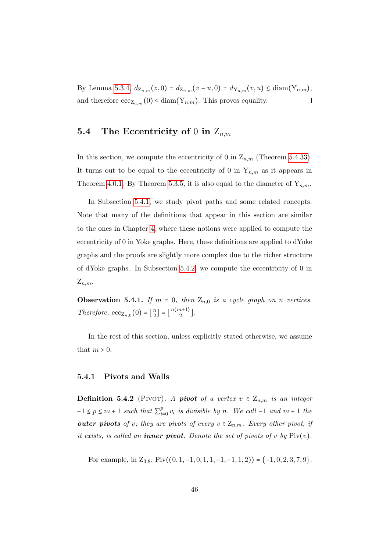By Lemma [5.3.4,](#page-50-1)  $d_{\mathbf{Z}_{n,m}}(z,0) = d_{\mathbf{Z}_{n,m}}(v-u,0) = d_{\mathbf{Y}_{n,m}}(v,u) \leq \text{diam}(\mathbf{Y}_{n,m}),$ and therefore  $\mathrm{ecc}_{Z_{n,m}}(0) \leq \mathrm{diam}(Y_{n,m})$ . This proves equality.  $\Box$ 

## <span id="page-51-0"></span>5.4 The Eccentricity of 0 in  $Z_{n,m}$

In this section, we compute the eccentricity of 0 in  $Z_{n,m}$  (Theorem [5.4.33\)](#page-61-0). It turns out to be equal to the eccentricity of 0 in  $Y_{n,m}$  as it appears in Theorem [4.0.1.](#page-29-0) By Theorem [5.3.5,](#page-50-0) it is also equal to the diameter of  $Y_{n,m}$ .

In Subsection [5.4.1,](#page-51-1) we study pivot paths and some related concepts. Note that many of the definitions that appear in this section are similar to the ones in Chapter [4,](#page-29-1) where these notions were applied to compute the eccentricity of 0 in Yoke graphs. Here, these definitions are applied to dYoke graphs and the proofs are slightly more complex due to the richer structure of dYoke graphs. In Subsection [5.4.2,](#page-57-0) we compute the eccentricity of 0 in  $Z_{n,m}$ .

<span id="page-51-2"></span>**Observation 5.4.1.** If  $m = 0$ , then  $Z_{n,0}$  is a cycle graph on n vertices. Therefore,  $ecc_{Z_{n,0}}(0) = \lfloor \frac{n}{2} \rfloor$  $\left\lfloor \frac{n}{2} \right\rfloor = \left\lfloor \frac{n(m+1)}{2} \right\rfloor$  $\frac{n+1j}{2}$ .

In the rest of this section, unless explicitly stated otherwise, we assume that  $m > 0$ .

#### <span id="page-51-1"></span>5.4.1 Pivots and Walls

**Definition 5.4.2** (PIVOT). A pivot of a vertex  $v \in Z_{n,m}$  is an integer  $-1 \leq p \leq m+1$  such that  $\sum_{i=1}^{p}$  $_{i=0}^{p} v_i$  is divisible by n. We call -1 and  $m+1$  the outer pivots of v; they are pivots of every  $v \in Z_{n,m}$ . Every other pivot, if it exists, is called an **inner pivot**. Denote the set of pivots of v by  $\text{Piv}(v)$ .

For example, in  $Z_{3,8}$ , Piv $((0, 1, -1, 0, 1, 1, -1, -1, 1, 2)) = \{-1, 0, 2, 3, 7, 9\}.$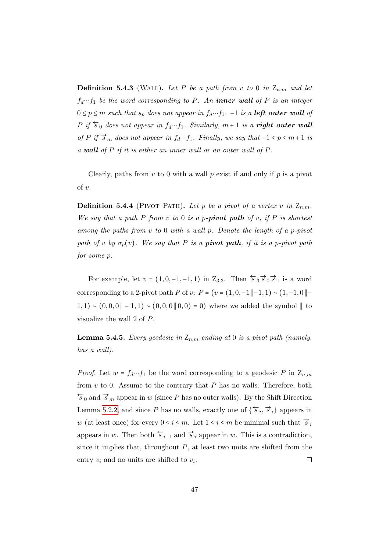**Definition 5.4.3** (WALL). Let P be a path from v to 0 in  $Z_{n,m}$  and let  $f_d \cdots f_1$  be the word corresponding to P. An **inner wall** of P is an integer  $0 \le p \le m$  such that  $s_p$  does not appear in  $f_d \cdots f_1$ . -1 is a **left outer wall** of P if  $\overleftarrow{s}_0$  does not appear in  $f_d \cdots f_1$ . Similarly,  $m + 1$  is a **right outer wall** of P if  $\overrightarrow{s}_m$  does not appear in  $f_d \cdots f_1$ . Finally, we say that  $-1 \le p \le m+1$  is a wall of P if it is either an inner wall or an outer wall of P.

Clearly, paths from  $v$  to 0 with a wall  $p$  exist if and only if  $p$  is a pivot of v.

**Definition 5.4.4** (PIVOT PATH). Let p be a pivot of a vertex v in  $Z_{n,m}$ . We say that a path P from  $v$  to 0 is a p-pivot path of  $v$ , if P is shortest among the paths from v to 0 with a wall p. Denote the length of a p-pivot path of v by  $\sigma_p(v)$ . We say that P is a **pivot path**, if it is a p-pivot path for some p.

For example, let  $v = (1, 0, -1, -1, 1)$  in  $Z_{3,3}$ . Then  $\overleftarrow{s}_3 \overrightarrow{s}_0 \overrightarrow{s}_1$  is a word corresponding to a 2-pivot path P of v:  $P = (v = (1, 0, -1 \n\mid -1, 1) \n\sim (1, -1, 0 \n\mid -1)$ 1, 1) ~  $(0,0,0 \parallel -1,1)$  ~  $(0,0,0 \parallel 0,0) = 0$ ) where we added the symbol  $\parallel$  to visualize the wall 2 of P.

<span id="page-52-0"></span>**Lemma 5.4.5.** Every geodesic in  $Z_{n,m}$  ending at 0 is a pivot path (namely, has a wall).

*Proof.* Let  $w = f_d \cdots f_1$  be the word corresponding to a geodesic P in  $Z_{n,m}$ from  $v$  to 0. Assume to the contrary that  $P$  has no walls. Therefore, both  $\overleftarrow{s}_0$  and  $\overrightarrow{s}_m$  appear in w (since P has no outer walls). By the Shift Direction Lemma [5.2.2,](#page-47-0) and since P has no walls, exactly one of  $\{\overleftarrow{s}_i, \overrightarrow{s}_i\}$  appears in w (at least once) for every  $0 \leq i \leq m$ . Let  $1 \leq i \leq m$  be minimal such that  $\overrightarrow{s}_i$ appears in w. Then both  $\overleftarrow{s}_{i-1}$  and  $\overrightarrow{s}_i$  appear in w. This is a contradiction, since it implies that, throughout  $P$ , at least two units are shifted from the entry  $v_i$  and no units are shifted to  $v_i$ .  $\Box$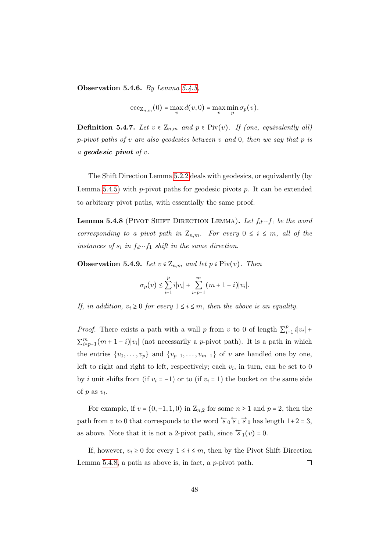<span id="page-53-2"></span>Observation 5.4.6. By Lemma [5.4.5,](#page-52-0)

$$
\mathrm{ecc}_{\mathbf{Z}_{n,m}}(0) = \max_{v} d(v,0) = \max_{v} \min_{p} \sigma_p(v).
$$

**Definition 5.4.7.** Let  $v \in Z_{n,m}$  and  $p \in \text{Piv}(v)$ . If (one, equivalently all) p-pivot paths of v are also geodesics between v and 0, then we say that p is a geodesic pivot of v.

The Shift Direction Lemma [5.2.2](#page-47-0) deals with geodesics, or equivalently (by Lemma [5.4.5\)](#page-52-0) with  $p$ -pivot paths for geodesic pivots  $p$ . It can be extended to arbitrary pivot paths, with essentially the same proof.

<span id="page-53-0"></span>**Lemma 5.4.8** (PIVOT SHIFT DIRECTION LEMMA). Let  $f_d \cdots f_1$  be the word corresponding to a pivot path in  $Z_{n,m}$ . For every  $0 \leq i \leq m$ , all of the instances of  $s_i$  in  $f_d \cdots f_1$  shift in the same direction.

<span id="page-53-1"></span>**Observation 5.4.9.** Let  $v \in Z_{n,m}$  and let  $p \in \text{Piv}(v)$ . Then

$$
\sigma_p(v) \le \sum_{i=1}^p i |v_i| + \sum_{i=p+1}^m (m+1-i)|v_i|.
$$

If, in addition,  $v_i \geq 0$  for every  $1 \leq i \leq m$ , then the above is an equality.

*Proof.* There exists a path with a wall p from v to 0 of length  $\sum_{i=1}^{p}$  $\sum_{i=1}^{p} i|v_i| +$  $\sum_{i=p+1}^{m}(m+1-i)|v_i|$  (not necessarily a *p*-pivot path). It is a path in which the entries  $\{v_0, \ldots, v_p\}$  and  $\{v_{p+1}, \ldots, v_{m+1}\}$  of v are handled one by one, left to right and right to left, respectively; each  $v_i$ , in turn, can be set to 0 by i unit shifts from (if  $v_i = -1$ ) or to (if  $v_i = 1$ ) the bucket on the same side of  $p$  as  $v_i$ .

For example, if  $v = (0, -1, 1, 0)$  in  $\mathbb{Z}_{n,2}$  for some  $n \geq 1$  and  $p = 2$ , then the path from v to 0 that corresponds to the word  $\overleftarrow{s}_0 \overleftarrow{s}_1 \overrightarrow{s}_0$  has length  $1+2=3$ , as above. Note that it is not a 2-pivot path, since  $\overleftarrow{s}_1(v) = 0$ .

If, however,  $v_i \geq 0$  for every  $1 \leq i \leq m$ , then by the Pivot Shift Direction  $\Box$ Lemma [5.4.8,](#page-53-0) a path as above is, in fact, a  $p$ -pivot path.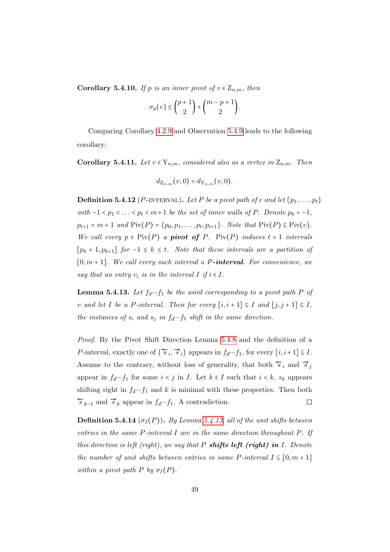<span id="page-54-2"></span>**Corollary 5.4.10.** If p is an inner pivot of  $v \in Z_{n,m}$ , then

$$
\sigma_p(v) \leq {p+1 \choose 2} + {m-p+1 \choose 2}.
$$

Comparing Corollary [4.2.9](#page-33-0) and Observation [5.4.9](#page-53-1) leads to the following corollary:

<span id="page-54-1"></span>**Corollary 5.4.11.** Let  $v \in Y_{n,m}$ , considered also as a vertex in  $Z_{n,m}$ . Then

$$
d_{\mathbf{Z}_{n,m}}(v,0) = d_{\mathbf{Y}_{n,m}}(v,0).
$$

**Definition 5.4.12** (P-INTERVAL). Let P be a pivot path of v and let  $\{p_1, \ldots, p_t\}$ with  $-1 < p_1 < \ldots < p_t < m+1$  be the set of inner walls of P. Denote  $p_0 = -1$ ,  $p_{t+1} = m + 1$  and  $\text{Piv}(P) = \{p_0, p_1, \ldots, p_t, p_{t+1}\}.$  Note that  $\text{Piv}(P) \subseteq \text{Piv}(v)$ . We call every  $p \in \text{Piv}(P)$  a **pivot of** P.  $\text{Piv}(P)$  induces  $t + 1$  intervals  $[p_k + 1, p_{k+1}]$  for  $-1 \leq k \leq t$ . Note that these intervals are a partition of  $[0, m+1]$ . We call every such interval a P-interval. For convenience, we say that an entry  $v_i$  is in the interval I if  $i \in I$ .

<span id="page-54-0"></span>**Lemma 5.4.13.** Let  $f_d \cdots f_1$  be the word corresponding to a pivot path P of v and let I be a P-interval. Then for every  $[i, i + 1] \subseteq I$  and  $[j, j + 1] \subseteq I$ , the instances of  $s_i$  and  $s_j$  in  $f_d \cdots f_1$  shift in the same direction.

Proof. By the Pivot Shift Direction Lemma [5.4.8](#page-53-0) and the definition of a P-interval, exactly one of  $\{\overleftarrow{s}_i, \overrightarrow{s}_i\}$  appears in  $f_d \cdots f_1$ , for every  $[i, i+1] \subseteq I$ . Assume to the contrary, without loss of generality, that both  $\overleftarrow{s}_i$  and  $\overrightarrow{s}_j$ appear in  $f_d \cdots f_1$  for some  $i < j$  in I. Let  $k \in I$  such that  $i < k$ ,  $s_k$  appears shifting right in  $f_d \cdots f_1$  and k is minimal with these properties. Then both  $\overleftarrow{s}_{k-1}$  and  $\overrightarrow{s}_k$  appear in  $f_d \cdots f_1$ . A contradiction.  $\Box$ 

**Definition 5.4.14** ( $\sigma_I(P)$ ). By Lemma [5.4.13,](#page-54-0) all of the unit shifts between entries in the same  $P$ -interval I are in the same direction throughout  $P$ . If this direction is left (right), we say that P **shifts left (right)** in I. Denote the number of unit shifts between entries in some P-interval  $I \subseteq [0, m + 1]$ within a pivot path P by  $\sigma_I(P)$ .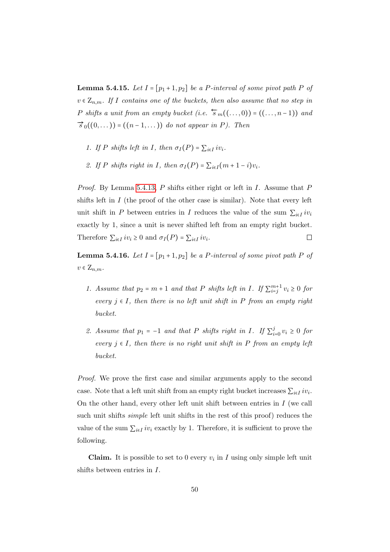<span id="page-55-0"></span>**Lemma 5.4.15.** Let  $I = [p_1 + 1, p_2]$  be a P-interval of some pivot path P of  $v \in Z_{n,m}$ . If I contains one of the buckets, then also assume that no step in P shifts a unit from an empty bucket (i.e.  $\overleftarrow{s}_{m}((\ldots,0)) = ((\ldots,n-1))$  and  $\vec{s}_0((0,\dots)) = ((n-1,\dots))$  do not appear in P). Then

- 1. If P shifts left in I, then  $\sigma_I(P) = \sum_{i \in I} i v_i$ .
- 2. If P shifts right in I, then  $\sigma_I(P) = \sum_{i \in I} (m + 1 i)v_i$ .

Proof. By Lemma [5.4.13,](#page-54-0) P shifts either right or left in I. Assume that P shifts left in  $I$  (the proof of the other case is similar). Note that every left unit shift in P between entries in I reduces the value of the sum  $\sum_{i\in I} iv_i$ exactly by 1, since a unit is never shifted left from an empty right bucket. Therefore  $\sum_{i \in I} iv_i \geq 0$  and  $\sigma_I(P) = \sum_{i \in I} iv_i$ .  $\Box$ 

<span id="page-55-1"></span>**Lemma 5.4.16.** Let  $I = [p_1 + 1, p_2]$  be a P-interval of some pivot path P of  $v \in \mathbb{Z}_{n,m}$ .

- 1. Assume that  $p_2 = m + 1$  and that P shifts left in I. If  $\sum_{i=j}^{m+1} v_i \geq 0$  for every  $j \in I$ , then there is no left unit shift in P from an empty right bucket.
- 2. Assume that  $p_1 = -1$  and that P shifts right in I. If  $\sum_{i=1}^{j}$  $\sum_{i=0}^{j} v_i \geq 0$  for every  $j \in I$ , then there is no right unit shift in P from an empty left bucket.

Proof. We prove the first case and similar arguments apply to the second case. Note that a left unit shift from an empty right bucket increases  $\sum_{i \in I} i v_i$ . On the other hand, every other left unit shift between entries in  $I$  (we call such unit shifts simple left unit shifts in the rest of this proof) reduces the value of the sum  $\sum_{i \in I} i v_i$  exactly by 1. Therefore, it is sufficient to prove the following.

**Claim.** It is possible to set to 0 every  $v_i$  in I using only simple left unit shifts between entries in I.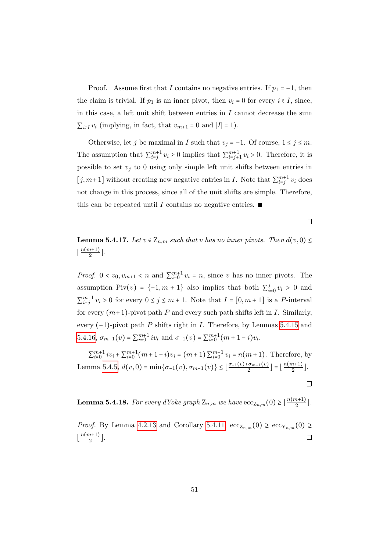Proof. Assume first that I contains no negative entries. If  $p_1 = -1$ , then the claim is trivial. If  $p_1$  is an inner pivot, then  $v_i = 0$  for every  $i \in I$ , since, in this case, a left unit shift between entries in  $I$  cannot decrease the sum  $\sum_{i\in I} v_i$  (implying, in fact, that  $v_{m+1} = 0$  and  $|I| = 1$ ).

Otherwise, let j be maximal in I such that  $v_j = -1$ . Of course,  $1 \le j \le m$ . The assumption that  $\sum_{i=j}^{m+1} v_i \ge 0$  implies that  $\sum_{i=j+1}^{m+1} v_i > 0$ . Therefore, it is possible to set  $v_j$  to 0 using only simple left unit shifts between entries in [j, m+1] without creating new negative entries in I. Note that  $\sum_{i=j}^{m+1} v_i$  does not change in this process, since all of the unit shifts are simple. Therefore, this can be repeated until I contains no negative entries. ■

 $\Box$ 

<span id="page-56-1"></span>**Lemma 5.4.17.** Let  $v \in Z_{n,m}$  such that v has no inner pivots. Then  $d(v, 0) \leq$  $\lfloor \frac{n(m+1)}{2} \rfloor$  $\frac{n+1j}{2}$ .

*Proof.*  $0 < v_0, v_{m+1} < n$  and  $\sum_{i=0}^{m+1} v_i = n$ , since v has no inner pivots. The assumption Piv(v) = {-1, m + 1} also implies that both  $\sum_{i=1}^{j}$  $v_{i=0}^{j} v_i > 0$  and  $\sum_{i=j}^{m+1} v_i > 0$  for every  $0 \le j \le m+1$ . Note that  $I = [0, m+1]$  is a P-interval for every  $(m+1)$ -pivot path P and every such path shifts left in I. Similarly, every  $(-1)$ -pivot path P shifts right in I. Therefore, by Lemmas [5.4.15](#page-55-0) and [5.4.16,](#page-55-1)  $\sigma_{m+1}(v) = \sum_{i=0}^{m+1} iv_i$  and  $\sigma_{-1}(v) = \sum_{i=0}^{m+1} (m+1-i)v_i$ .

 $\sum_{i=0}^{m+1} i v_i + \sum_{i=0}^{m+1} (m+1-i)v_i = (m+1) \sum_{i=0}^{m+1} v_i = n(m+1)$ . Therefore, by Lemma [5.4.5,](#page-52-0)  $d(v, 0) = \min\{\sigma_{-1}(v), \sigma_{m+1}(v)\} \leq \lfloor \frac{\sigma_{-1}(v) + \sigma_{m+1}(v)}{2} \rfloor$  $\left\lfloor \frac{\sigma_{m+1}(v)}{2} \right\rfloor = \left\lfloor \frac{n(m+1)}{2} \right\rfloor$  $\frac{n+1j}{2}$ .

 $\Box$ 

<span id="page-56-0"></span>**Lemma 5.4.18.** For every dYoke graph  $\mathbb{Z}_{n,m}$  we have  $\mathrm{ecc}_{\mathbb{Z}_{n,m}}(0) \geq \lfloor \frac{n(m+1)}{2} \rfloor$  $\frac{n+1j}{2}$ .

*Proof.* By Lemma [4.2.13](#page-34-1) and Corollary [5.4.11,](#page-54-1)  $\mathrm{ecc}_{Z_{n,m}}(0) \geq \mathrm{ecc}_{Y_{n,m}}(0) \geq$  $\lfloor \frac{n(m+1)}{2} \rfloor$  $\frac{n+1j}{2}$ .  $\Box$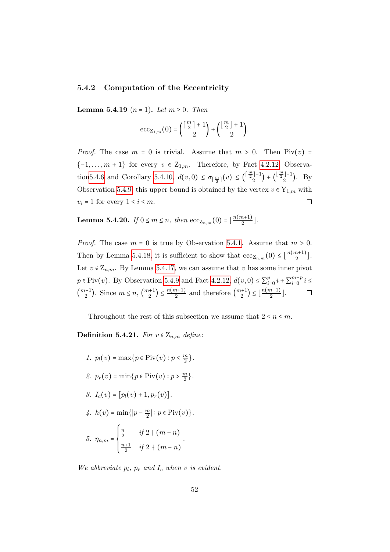#### <span id="page-57-0"></span>5.4.2 Computation of the Eccentricity

<span id="page-57-1"></span>**Lemma 5.4.19**  $(n = 1)$ . Let  $m \ge 0$ . Then

$$
\mathrm{ecc}_{\mathrm{Z}_{1,m}}(0) = \binom{\lceil\frac{m}{2}\rceil+1}{2} + \binom{\lfloor\frac{m}{2}\rfloor+1}{2}.
$$

*Proof.* The case  $m = 0$  is trivial. Assume that  $m > 0$ . Then  $\text{Piv}(v) =$  $\{-1,\ldots,m+1\}$  for every  $v \in \mathbb{Z}_{1,m}$ . Therefore, by Fact [4.2.12,](#page-33-2) Observatio[n5.4.6](#page-53-2) and Corollary [5.4.10,](#page-54-2)  $d(v, 0) \leq \sigma_{\lceil \frac{m}{2} \rceil}(v) \leq {\lceil \frac{m}{2} \rceil + 1}$  $\binom{\lfloor \frac{m}{2} \rfloor + 1}{2}$  +  $\binom{\lfloor \frac{m}{2} \rfloor + 1}{2}$  $\binom{(-1)^{1}}{2}$ . By Observation [5.4.9,](#page-53-1) this upper bound is obtained by the vertex  $v \in Y_{1,m}$  with  $v_i = 1$  for every  $1 \leq i \leq m$ .  $\Box$ 

<span id="page-57-2"></span>**Lemma 5.4.20.** If  $0 \le m \le n$ , then  $\mathrm{ecc}_{\mathbb{Z}_{n,m}}(0) = \lfloor \frac{n(m+1)}{2} \rfloor$  $\frac{n+1j}{2}$ .

*Proof.* The case  $m = 0$  is true by Observation [5.4.1.](#page-51-2) Assume that  $m > 0$ . Then by Lemma [5.4.18,](#page-56-0) it is sufficient to show that  $\mathrm{ecc}_{Z_{n,m}}(0) \leq \lfloor \frac{n(m+1)}{2} \rfloor$  $\frac{n+1j}{2}$ . Let  $v \in Z_{n,m}$ . By Lemma [5.4.17,](#page-56-1) we can assume that v has some inner pivot  $p \in \text{Piv}(v)$ . By Observation [5.4.9](#page-53-1) and Fact [4.2.12,](#page-33-2)  $d(v, 0) \leq \sum_{i=1}^{p}$  $_{i=0}^{p} i + \sum_{i=0}^{m-p}$  $\sum_{i=0}^{m-p} i \leq$  $\binom{m+1}{2}$  $\binom{n+1}{2}$ . Since  $m \leq n, \binom{m+1}{2}$  $\binom{n+1}{2} \leq \frac{n(m+1)}{2}$  $\frac{(m+1)}{2}$  and therefore  $\binom{m+1}{2}$  $\binom{n+1}{2} \leq \left\lfloor \frac{n(m+1)}{2} \right\rfloor$  $\frac{n+1j}{2}$ .  $\Box$ 

Throughout the rest of this subsection we assume that  $2 \le n \le m$ .

Definition 5.4.21. For  $v \in Z_{n,m}$  define:

1. 
$$
p_l(v) = \max\{p \in \text{Piv}(v) : p \le \frac{m}{2}\}.
$$
  
\n2.  $p_r(v) = \min\{p \in \text{Piv}(v) : p > \frac{m}{2}\}.$   
\n3.  $I_c(v) = [p_l(v) + 1, p_r(v)].$   
\n4.  $h(v) = \min\{|p - \frac{m}{2}| : p \in \text{Piv}(v)\}.$   
\n5.  $\eta_{n,m} = \begin{cases} \frac{n}{2} & \text{if } 2 \mid (m-n) \\ \frac{n+1}{2} & \text{if } 2 \nmid (m-n) \end{cases}.$ 

We abbreviate  $p_l$ ,  $p_r$  and  $I_c$  when v is evident.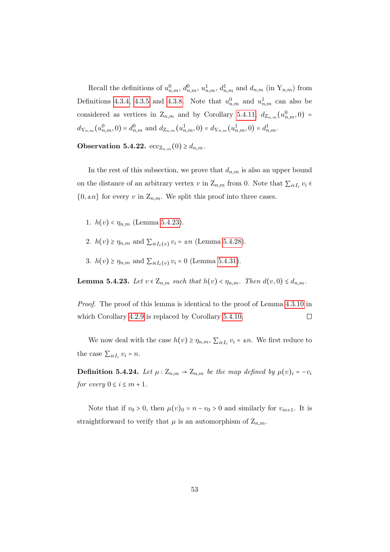Recall the definitions of  $u_{n,m}^0$ ,  $d_{n,m}^0$ ,  $u_{n,m}^1$ ,  $d_{n,m}^1$  and  $d_{n,m}$  (in  $Y_{n,m}$ ) from Definitions [4.3.4,](#page-36-0) [4.3.5](#page-36-1) and [4.3.8.](#page-37-2) Note that  $u_{n,m}^0$  and  $u_{n,m}^1$  can also be considered as vertices in  $Z_{n,m}$  and by Corollary [5.4.11,](#page-54-1)  $d_{Z_{n,m}}(u_{n,m}^0,0)$  =  $d_{Y_{n,m}}(u_{n,m}^0,0) = d_{n,m}^0$  and  $d_{Z_{n,m}}(u_{n,m}^1,0) = d_{Y_{n,m}}(u_{n,m}^1,0) = d_{n,m}^1$ .

<span id="page-58-2"></span>Observation 5.4.22.  $ecc_{Z_{n,m}}(0) \geq d_{n,m}$ .

In the rest of this subsection, we prove that  $d_{n,m}$  is also an upper bound on the distance of an arbitrary vertex v in  $Z_{n,m}$  from 0. Note that  $\sum_{i\in I_c} v_i \in$  $\{0, \pm n\}$  for every v in  $\mathbb{Z}_{n,m}$ . We split this proof into three cases.

- 1.  $h(v) < \eta_{n,m}$  (Lemma [5.4.23\)](#page-58-0).
- 2.  $h(v) \ge \eta_{n,m}$  and  $\sum_{i \in I_c(v)} v_i = \pm n$  (Lemma [5.4.28\)](#page-60-0).
- 3.  $h(v) \ge \eta_{n,m}$  and  $\sum_{i \in I_c(v)} v_i = 0$  (Lemma [5.4.31\)](#page-61-1).

<span id="page-58-0"></span>**Lemma 5.4.23.** Let  $v \in \mathbb{Z}_{n,m}$  such that  $h(v) < \eta_{n,m}$ . Then  $d(v, 0) \leq d_{n,m}$ .

Proof. The proof of this lemma is identical to the proof of Lemma [4.3.10](#page-38-0) in  $\Box$ which Corollary [4.2.9](#page-33-0) is replaced by Corollary [5.4.10.](#page-54-2)

We now deal with the case  $h(v) \ge \eta_{n,m}$ ,  $\sum_{i \in I_c} v_i = \pm n$ . We first reduce to the case  $\sum_{i\in I_c} v_i = n$ .

<span id="page-58-1"></span>**Definition 5.4.24.** Let  $\mu$  :  $Z_{n,m} \to Z_{n,m}$  be the map defined by  $\mu(v)_i = -v_i$ for every  $0 \leq i \leq m+1$ .

Note that if  $v_0 > 0$ , then  $\mu(v)_0 = n - v_0 > 0$  and similarly for  $v_{m+1}$ . It is straightforward to verify that  $\mu$  is an automorphism of  $Z_{n,m}$ .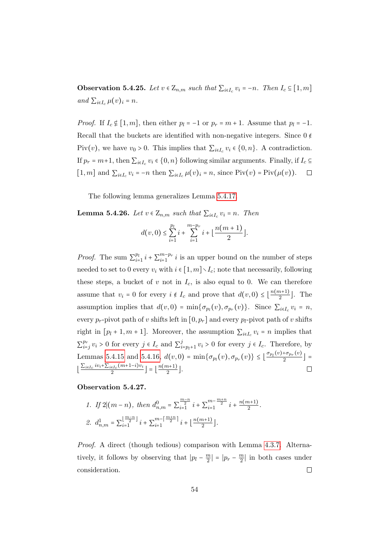<span id="page-59-0"></span>**Observation 5.4.25.** Let  $v \in \mathbb{Z}_{n,m}$  such that  $\sum_{i \in I_c} v_i = -n$ . Then  $I_c \subseteq [1, m]$ and  $\sum_{i\in I_c} \mu(v)_i = n$ .

*Proof.* If  $I_c \notin [1, m]$ , then either  $p_l = -1$  or  $p_r = m + 1$ . Assume that  $p_l = -1$ . Recall that the buckets are identified with non-negative integers. Since  $0 \notin \mathbb{R}$ Piv(*v*), we have  $v_0 > 0$ . This implies that  $\sum_{i \in I_c} v_i \in \{0, n\}$ . A contradiction. If  $p_r = m+1$ , then  $\sum_{i \in I_c} v_i \in \{0, n\}$  following similar arguments. Finally, if  $I_c \subseteq$ [1, m] and  $\sum_{i \in I_c} v_i = -n$  then  $\sum_{i \in I_c} \mu(v)_i = n$ , since  $\text{Piv}(v) = \text{Piv}(\mu(v))$ .  $\Box$ 

The following lemma generalizes Lemma [5.4.17.](#page-56-1)

<span id="page-59-1"></span>**Lemma 5.4.26.** Let  $v \in Z_{n,m}$  such that  $\sum_{i \in I_c} v_i = n$ . Then

$$
d(v,0) \le \sum_{i=1}^{p_l} i + \sum_{i=1}^{m-p_r} i + \lfloor \frac{n(m+1)}{2} \rfloor.
$$

*Proof.* The sum  $\sum_{i=1}^{p_i}$  $_{i=1}^{p_l} i + \sum_{i=1}^{m-p_r}$  $\lim_{i=1}^{m-p_r} i$  is an upper bound on the number of steps needed to set to 0 every  $v_i$  with  $i \in [1, m] \setminus I_c$ ; note that necessarily, following these steps, a bucket of  $v$  not in  $I_c$ , is also equal to 0. We can therefore assume that  $v_i = 0$  for every  $i \notin I_c$  and prove that  $d(v, 0) \leq \lfloor \frac{n(m+1)}{2} \rfloor$  $\frac{n+1}{2}$ . The assumption implies that  $d(v, 0) = \min{\{\sigma_{p_l}(v), \sigma_{p_r}(v)\}}$ . Since  $\sum_{i \in I_c} v_i = n$ , every  $p_r$ -pivot path of v shifts left in  $[0, p_r]$  and every  $p_l$ -pivot path of v shifts right in  $[p_l + 1, m + 1]$ . Moreover, the assumption  $\sum_{i \in I_c} v_i = n$  implies that  $\sum_{i=1}^{p_r}$  $_{i=j}^{p_r} v_i > 0$  for every  $j \in I_c$  and  $\sum_i^j$  $\sum_{i=p_l+1}^{j} v_i > 0$  for every  $j \in I_c$ . Therefore, by Lemmas [5.4.15](#page-55-0) and [5.4.16,](#page-55-1)  $d(v, 0) = \min\{\sigma_{p_l}(v), \sigma_{p_r}(v)\} \leq \left\lfloor \frac{\sigma_{p_l}(v) + \sigma_{p_r}(v)}{2} \right\rfloor$  $\left[\frac{1}{2} \right]$  =  $\frac{\sum_{i\in I_c}iv_i+\sum_{i\in I_c}(m+1-i)v_i}{2}$  $\left\lfloor \frac{\epsilon I_c (m+1-i)v_i}{2} \right\rfloor = \left\lfloor \frac{n(m+1)}{2} \right\rfloor$  $\frac{n+1j}{2}$ .  $\Box$ 

#### Observation 5.4.27.

1. If 
$$
2|(m-n)
$$
, then  $d_{n,m}^0 = \sum_{i=1}^{\frac{m-n}{2}} i + \sum_{i=1}^{m-\frac{m+n}{2}} i + \frac{n(m+1)}{2}$ .  
\n2.  $d_{n,m}^1 = \sum_{i=1}^{\lfloor \frac{m-n}{2} \rfloor} i + \sum_{i=1}^{m-\lceil \frac{m+n}{2} \rceil} i + \lfloor \frac{n(m+1)}{2} \rfloor$ .

Proof. A direct (though tedious) comparison with Lemma [4.3.7.](#page-37-0) Alternatively, it follows by observing that  $|p_l - \frac{m}{2}|$  $\frac{m}{2}$ | =  $|p_r - \frac{m}{2}$  $\frac{m}{2}$  in both cases under  $\Box$ consideration.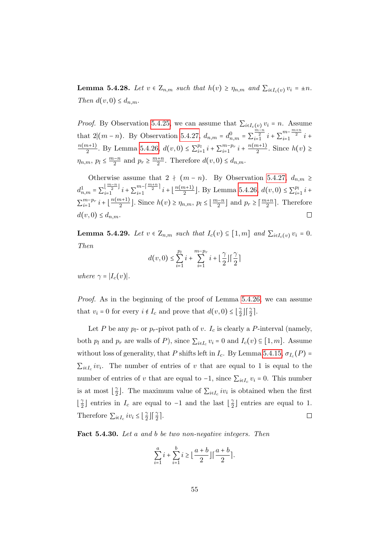<span id="page-60-0"></span>**Lemma 5.4.28.** Let  $v \in \mathbb{Z}_{n,m}$  such that  $h(v) \geq \eta_{n,m}$  and  $\sum_{i \in I_c(v)} v_i = \pm n$ . Then  $d(v, 0) \leq d_{n,m}$ .

*Proof.* By Observation [5.4.25,](#page-59-0) we can assume that  $\sum_{i \in I_c(v)} v_i = n$ . Assume that 2 $|(m-n)$ . By Observation [5.4.27,](#page-0-0)  $d_{n,m} = d_{n,m}^0 = \sum_{i=1}^{\frac{m-n}{2}} i + \sum_{i=1}^{m-\frac{m+n}{2}} i +$  $n(m+1)$  $\frac{n+1}{2}$ . By Lemma [5.4.26,](#page-59-1)  $d(v, 0) \le \sum_{i=1}^{p_i}$  $_{i=1}^{p_l} i + \sum_{i=1}^{m-p_r}$  $_{i=1}^{m-p_r} i + \frac{n(m+1)}{2}$  $\frac{n+1}{2}$ . Since  $h(v) \geq$  $\eta_{n,m}, p_l \leq \frac{m-n}{2}$  and  $p_r \geq \frac{m+n}{2}$ . Therefore  $d(v, 0) \leq d_{n,m}$ .

Otherwise assume that  $2 + (m - n)$ . By Observation [5.4.27,](#page-0-0)  $d_{n,m} \ge$  $d_{n,m}^1 = \sum_{i=1}^{\lfloor \frac{m-n}{2} \rfloor}$  $\lfloor \frac{m-n}{2} \rfloor$   $i + \sum_{i=1}^{m-\lceil \frac{m+n}{2} \rceil}$  $\frac{m-|\frac{m+n}{2}|}{i+|\frac{n(m+1)}{2}}$  $\frac{(n+1)}{2}$ . By Lemma [5.4.26,](#page-59-1)  $d(v, 0) \le \sum_{i=1}^{p}$  $\frac{p_l}{i=1} i +$  $\sum_{i=1}^{m-p_r}$  $_{i=1}^{m-p_r} i + \left\lfloor \frac{n(m+1)}{2} \right\rfloor$  $\lfloor \frac{m+1}{2} \rfloor$ . Since  $h(v) \ge \eta_{n,m}, p_l \le \lfloor \frac{m-n}{2} \rfloor$  and  $p_r \ge \lceil \frac{m+n}{2} \rceil$ . Therefore  $d(v, 0) \leq d_{n,m}$ .

<span id="page-60-1"></span>**Lemma 5.4.29.** Let  $v \in Z_{n,m}$  such that  $I_c(v) \subseteq [1,m]$  and  $\sum_{i \in I_c(v)} v_i = 0$ . Then

$$
d(v,0) \le \sum_{i=1}^{p_l} i + \sum_{i=1}^{m-p_r} i + \left\lfloor \frac{\gamma}{2} \right\rfloor \left\lceil \frac{\gamma}{2} \right\rceil
$$

where  $\gamma = |I_c(v)|$ .

Proof. As in the beginning of the proof of Lemma [5.4.26,](#page-59-1) we can assume that  $v_i = 0$  for every  $i \notin I_c$  and prove that  $d(v, 0) \leq \left\lfloor \frac{2}{2} \right\rfloor$  $\frac{\gamma}{2}$   $\left| \frac{\gamma}{2} \right|$ .

Let P be any  $p_l$ - or  $p_r$ -pivot path of v.  $I_c$  is clearly a P-interval (namely, both  $p_l$  and  $p_r$  are walls of P), since  $\sum_{i \in I_c} v_i = 0$  and  $I_c(v) \subseteq [1, m]$ . Assume without loss of generality, that P shifts left in  $I_c$ . By Lemma [5.4.15,](#page-55-0)  $\sigma_{I_c}(P)$  =  $\sum_{i\in I_c} iv_i$ . The number of entries of v that are equal to 1 is equal to the number of entries of v that are equal to  $-1$ , since  $\sum_{i \in I_c} v_i = 0$ . This number is at most  $\frac{3}{2}$  $\frac{\gamma}{2}$ . The maximum value of  $\sum_{i \in I_c} i v_i$  is obtained when the first  $\frac{\gamma}{2}$  $\frac{\gamma}{2}$  entries in  $I_c$  are equal to -1 and the last  $\lfloor \frac{\gamma}{2} \rfloor$  $\frac{\gamma}{2}$  entries are equal to 1. Therefore  $\sum_{i \in I_c} iv_i \leq \left\lfloor \frac{\gamma}{2} \right\rfloor$  $\frac{\gamma}{2}$   $\left| \frac{\gamma}{2} \right|$ .  $\Box$ 

<span id="page-60-2"></span>Fact 5.4.30. Let a and b be two non-negative integers. Then

$$
\sum_{i=1}^{a} i + \sum_{i=1}^{b} i \ge \left\lfloor \frac{a+b}{2} \right\rfloor \left\lceil \frac{a+b}{2} \right\rceil.
$$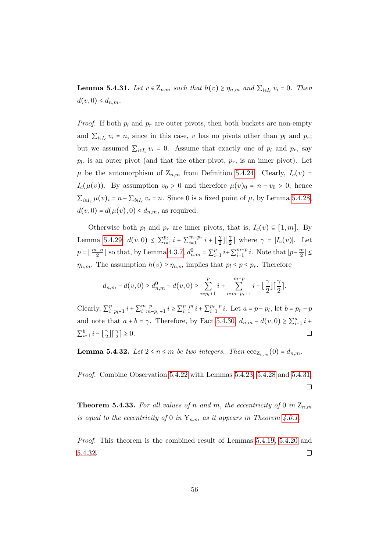<span id="page-61-1"></span>**Lemma 5.4.31.** Let  $v \in \mathbb{Z}_{n,m}$  such that  $h(v) \geq \eta_{n,m}$  and  $\sum_{i \in I_c} v_i = 0$ . Then  $d(v, 0) \leq d_{n,m}$ .

*Proof.* If both  $p_l$  and  $p_r$  are outer pivots, then both buckets are non-empty and  $\sum_{i\in I_c} v_i = n$ , since in this case, v has no pivots other than  $p_l$  and  $p_r$ ; but we assumed  $\sum_{i \in I_c} v_i = 0$ . Assume that exactly one of  $p_l$  and  $p_r$ , say  $p_l$ , is an outer pivot (and that the other pivot,  $p_r$ , is an inner pivot). Let  $\mu$  be the automorphism of  $Z_{n,m}$  from Definition [5.4.24.](#page-58-1) Clearly,  $I_c(v)$  $I_c(\mu(v))$ . By assumption  $v_0 > 0$  and therefore  $\mu(v)_0 = n - v_0 > 0$ ; hence  $\sum_{i \in I_c} \mu(v)_i = n - \sum_{i \in I_c} v_i = n$ . Since 0 is a fixed point of  $\mu$ , by Lemma [5.4.28,](#page-60-0)  $d(v, 0) = d(\mu(v), 0) \leq d_{n,m}$ , as required.

Otherwise both  $p_l$  and  $p_r$  are inner pivots, that is,  $I_c(v) \subseteq [1, m]$ . By Lemma [5.4.29,](#page-60-1)  $d(v, 0) \leq \sum_{i=1}^{p_i}$  $_{i=1}^{p_l} i + \sum_{i=1}^{m-p_r}$  $_{i=1}^{m-p_r} i + \left\lfloor \frac{\gamma}{2} \right\rfloor$  $\frac{\gamma}{2} \left| \left[ \frac{\gamma}{2} \right] \right|$  where  $\gamma = |I_c(v)|$ . Let  $p = \lfloor \frac{m+n}{2} \rfloor$  so that, by Lemma [4.3.7,](#page-37-0)  $d_{n,m}^0 = \sum_{i=1}^p p_i^0$  $_{i=1}^{p}$   $i+\sum_{i=1}^{m-p}$  $_{i=1}^{m-p}$  *i*. Note that  $|p-\frac{m}{2}\rangle$  $\frac{m}{2}$ |  $\leq$  $\eta_{n,m}$ . The assumption  $h(v) \geq \eta_{n,m}$  implies that  $p_l \leq p \leq p_r$ . Therefore

$$
d_{n,m} - d(v,0) \geq d_{n,m}^0 - d(v,0) \geq \sum_{i=p_l+1}^p i + \sum_{i=m-p_r+1}^{m-p} i - \left\lfloor \frac{\gamma}{2} \right\rfloor \left\lceil \frac{\gamma}{2} \right\rceil.
$$

Clearly,  $\sum_{i=1}^{p}$  $_{i=p_l+1}^{p} i + \sum_{i=m}^{m-p}$  $_{i=m-p_r+1}^{m-p} i \geq \sum_{i=1}^{p-p_l} i$  $_{i=1}^{p-p_l} i + \sum_{i=1}^{p_r-p}$  $p_r^{-p} i$ . Let  $a = p - p_l$ , let  $b = p_r - p_l$ and note that  $a + b = \gamma$ . Therefore, by Fact [5.4.30,](#page-60-2)  $d_{n,m} - d(v,0) \ge \sum_{i=1}^{a} i +$  $\sum_{i=1}^{b} i - \left\lfloor \frac{\gamma}{2} \right\rfloor$  $\frac{\gamma}{2} \int \left[ \frac{\gamma}{2} \right] \geq 0.$  $\Box$ 

<span id="page-61-2"></span>**Lemma 5.4.32.** Let  $2 \le n \le m$  be two integers. Then  $\mathrm{ecc}_{Z_{n,m}}(0) = d_{n,m}$ .

Proof. Combine Observation [5.4.22](#page-58-2) with Lemmas [5.4.23,](#page-58-0) [5.4.28](#page-60-0) and [5.4.31.](#page-61-1)  $\Box$ 

<span id="page-61-0"></span>**Theorem 5.4.33.** For all values of n and m, the eccentricity of 0 in  $Z_{n,m}$ is equal to the eccentricity of 0 in  $Y_{n,m}$  as it appears in Theorem [4.0.1.](#page-29-0)

Proof. This theorem is the combined result of Lemmas [5.4.19,](#page-57-1) [5.4.20](#page-57-2) and [5.4.32.](#page-61-2)  $\Box$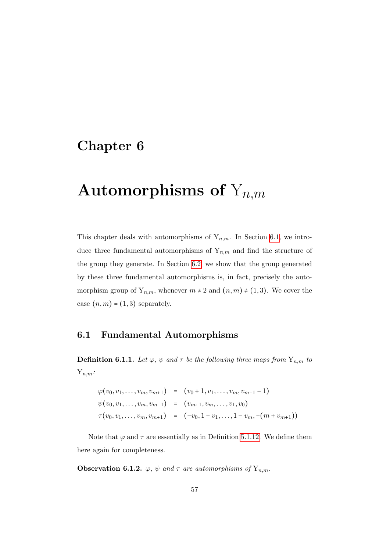# Chapter 6

# Automorphisms of  $Y_{n,m}$

This chapter deals with automorphisms of  $Y_{n,m}$ . In Section [6.1,](#page-62-0) we introduce three fundamental automorphisms of  $Y_{n,m}$  and find the structure of the group they generate. In Section [6.2,](#page-66-0) we show that the group generated by these three fundamental automorphisms is, in fact, precisely the automorphism group of  $Y_{n,m}$ , whenever  $m \neq 2$  and  $(n,m) \neq (1,3)$ . We cover the case  $(n, m) = (1, 3)$  separately.

# <span id="page-62-0"></span>6.1 Fundamental Automorphisms

<span id="page-62-1"></span>**Definition 6.1.1.** Let  $\varphi$ ,  $\psi$  and  $\tau$  be the following three maps from  $Y_{n,m}$  to  $Y_{n,m}$ :

$$
\varphi(v_0, v_1, \dots, v_m, v_{m+1}) = (v_0 + 1, v_1, \dots, v_m, v_{m+1} - 1)
$$
  

$$
\psi(v_0, v_1, \dots, v_m, v_{m+1}) = (v_{m+1}, v_m, \dots, v_1, v_0)
$$
  

$$
\tau(v_0, v_1, \dots, v_m, v_{m+1}) = (-v_0, 1 - v_1, \dots, 1 - v_m, -(m + v_{m+1}))
$$

Note that  $\varphi$  and  $\tau$  are essentially as in Definition [5.1.12.](#page-43-0) We define them here again for completeness.

**Observation 6.1.2.**  $\varphi$ ,  $\psi$  and  $\tau$  are automorphisms of  $Y_{n,m}$ .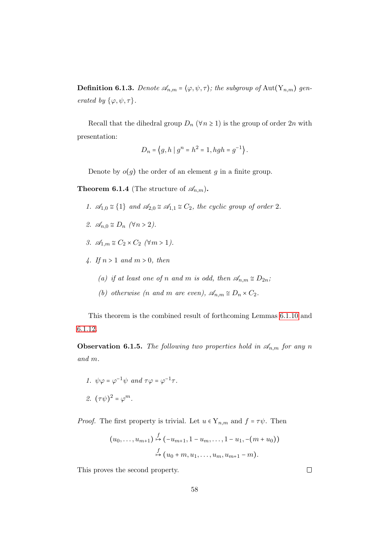**Definition 6.1.3.** Denote  $\mathscr{A}_{n,m} = \langle \varphi, \psi, \tau \rangle$ ; the subgroup of Aut $(Y_{n,m})$  generated by  $\{\varphi, \psi, \tau\}.$ 

Recall that the dihedral group  $D_n$  ( $\forall n \geq 1$ ) is the group of order  $2n$  with presentation:

$$
D_n = \left\{ g, h \mid g^n = h^2 = 1, hgh = g^{-1} \right\}.
$$

Denote by  $o(g)$  the order of an element g in a finite group.

**Theorem 6.1.4** (The structure of  $\mathscr{A}_{n,m}$ ).

- 1.  $\mathcal{A}_{1,0} \cong \{1\}$  and  $\mathcal{A}_{2,0} \cong \mathcal{A}_{1,1} \cong C_2$ , the cyclic group of order 2.
- 2.  $\mathscr{A}_{n,0} \cong D_n \ (\forall n > 2).$
- 3.  $\mathscr{A}_{1,m} \cong C_2 \times C_2 \quad (\forall m > 1).$
- 4. If  $n > 1$  and  $m > 0$ , then
	- (a) if at least one of n and m is odd, then  $\mathscr{A}_{n,m} \cong D_{2n}$ ;
	- (b) otherwise (n and m are even),  $\mathscr{A}_{n,m} \cong D_n \times C_2$ .

This theorem is the combined result of forthcoming Lemmas [6.1.10](#page-0-0) and [6.1.12.](#page-65-0)

<span id="page-63-0"></span>**Observation 6.1.5.** The following two properties hold in  $\mathscr{A}_{n,m}$  for any n and m.

\n- 1. 
$$
\psi\varphi = \varphi^{-1}\psi
$$
 and  $\tau\varphi = \varphi^{-1}\tau$ .
\n- 2.  $(\tau\psi)^2 = \varphi^m$ .
\n

*Proof.* The first property is trivial. Let  $u \in Y_{n,m}$  and  $f = \tau \psi$ . Then

$$
(u_0, \ldots, u_{m+1}) \stackrel{f}{\mapsto} (-u_{m+1}, 1 - u_m, \ldots, 1 - u_1, -(m + u_0))
$$
  

$$
\stackrel{f}{\mapsto} (u_0 + m, u_1, \ldots, u_m, u_{m+1} - m).
$$

This proves the second property.

 $\Box$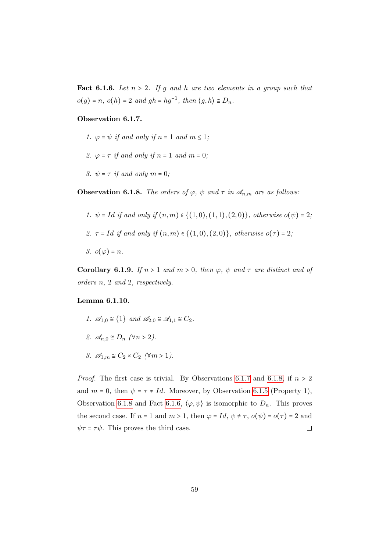<span id="page-64-1"></span>**Fact 6.1.6.** Let  $n > 2$ . If g and h are two elements in a group such that  $o(g) = n, o(h) = 2$  and  $gh = hg^{-1}$ , then  $\langle g, h \rangle \cong D_n$ .

#### Observation 6.1.7.

- 1.  $\varphi = \psi$  if and only if  $n = 1$  and  $m \leq 1$ ;
- 2.  $\varphi = \tau$  if and only if  $n = 1$  and  $m = 0$ ;
- 3.  $\psi = \tau$  if and only  $m = 0$ ;

<span id="page-64-0"></span>**Observation 6.1.8.** The orders of  $\varphi$ ,  $\psi$  and  $\tau$  in  $\mathscr{A}_{n,m}$  are as follows:

- 1.  $\psi = Id$  if and only if  $(n, m) \in \{(1, 0), (1, 1), (2, 0)\}\$ , otherwise  $o(\psi) = 2$ ;
- 2.  $\tau = Id$  if and only if  $(n, m) \in \{(1, 0), (2, 0)\}\text{, otherwise } o(\tau) = 2$ ;
- 3.  $o(\varphi) = n$ .

<span id="page-64-2"></span>Corollary 6.1.9. If  $n > 1$  and  $m > 0$ , then  $\varphi$ ,  $\psi$  and  $\tau$  are distinct and of orders n, 2 and 2, respectively.

#### Lemma 6.1.10.

1.  $\mathscr{A}_{1,0} \cong \{1\}$  and  $\mathscr{A}_{2,0} \cong \mathscr{A}_{1,1} \cong C_2$ . 2.  $\mathscr{A}_{n,0} \cong D_n \quad (\forall n > 2).$ 3.  $\mathcal{A}_{1,m} \cong C_2 \times C_2 \quad (\forall m > 1).$ 

*Proof.* The first case is trivial. By Observations [6.1.7](#page-0-0) and [6.1.8,](#page-64-0) if  $n > 2$ and  $m = 0$ , then  $\psi = \tau \neq Id$ . Moreover, by Observation [6.1.5](#page-63-0) (Property 1), Observation [6.1.8](#page-64-0) and Fact [6.1.6,](#page-64-1)  $\langle \varphi, \psi \rangle$  is isomorphic to  $D_n$ . This proves the second case. If  $n = 1$  and  $m > 1$ , then  $\varphi = Id$ ,  $\psi \neq \tau$ ,  $o(\psi) = o(\tau) = 2$  and  $\psi \tau = \tau \psi$ . This proves the third case.  $\Box$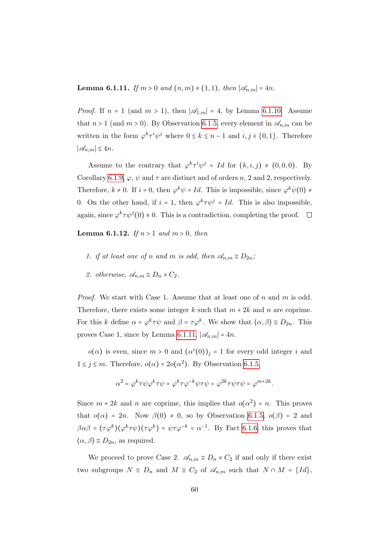<span id="page-65-1"></span>**Lemma 6.1.11.** If  $m > 0$  and  $(n, m) \neq (1, 1)$ , then  $|\mathscr{A}_{n,m}| = 4n$ .

*Proof.* If  $n = 1$  (and  $m > 1$ ), then  $|\mathcal{A}_{1,m}| = 4$ , by Lemma [6.1.10.](#page-0-0) Assume that  $n > 1$  (and  $m > 0$ ). By Observation [6.1.5,](#page-63-0) every element in  $\mathscr{A}_{n,m}$  can be written in the form  $\varphi^k \tau^i \psi^j$  where  $0 \leq k \leq n-1$  and  $i, j \in \{0, 1\}$ . Therefore  $|\mathcal{A}_{n,m}|$  ≤ 4n.

Assume to the contrary that  $\varphi^k \tau^i \psi^j = Id$  for  $(k, i, j) \neq (0, 0, 0)$ . By Corollary [6.1.9,](#page-64-2)  $\varphi$ ,  $\psi$  and  $\tau$  are distinct and of orders n, 2 and 2, respectively. Therefore,  $k \neq 0$ . If  $i = 0$ , then  $\varphi^k \psi = Id$ . This is impossible, since  $\varphi^k \psi(0) \neq 0$ 0. On the other hand, if  $i = 1$ , then  $\varphi^k \tau \psi^j = Id$ . This is also impossible, again, since  $\varphi^k \tau \psi^j(0) \neq 0$ . This is a contradiction, completing the proof.

<span id="page-65-0"></span>**Lemma 6.1.12.** If  $n > 1$  and  $m > 0$ , then

- 1. if at least one of n and m is odd, then  $\mathscr{A}_{n,m} \cong D_{2n}$ ;
- 2. otherwise,  $\mathscr{A}_{n,m} \cong D_n \times C_2$ .

Proof. We start with Case 1. Assume that at least one of n and m is odd. Therefore, there exists some integer k such that  $m + 2k$  and n are coprime. For this k define  $\alpha = \varphi^k \tau \psi$  and  $\beta = \tau \varphi^k$ . We show that  $\langle \alpha, \beta \rangle \cong D_{2n}$ . This proves Case 1, since by Lemma [6.1.11,](#page-65-1)  $|\mathscr{A}_{n,m}| = 4n$ .

 $o(\alpha)$  is even, since  $m > 0$  and  $(\alpha^i(0))_j = 1$  for every odd integer i and  $1 \leq j \leq m$ . Therefore,  $o(\alpha) = 2o(\alpha^2)$ . By Observation [6.1.5,](#page-63-0)

$$
\alpha^2 = \varphi^k \tau \psi \varphi^k \tau \psi = \varphi^k \tau \varphi^{-k} \psi \tau \psi = \varphi^{2k} \tau \psi \tau \psi = \varphi^{m+2k}.
$$

Since  $m + 2k$  and n are coprime, this implies that  $o(\alpha^2) = n$ . This proves that  $o(\alpha) = 2n$ . Now  $\beta(0) \neq 0$ , so by Observation [6.1.5,](#page-63-0)  $o(\beta) = 2$  and  $\beta \alpha \beta = (\tau \varphi^k)(\varphi^k \tau \psi)(\tau \varphi^k) = \psi \tau \varphi^{-k} = \alpha^{-1}$ . By Fact [6.1.6,](#page-64-1) this proves that  $\langle \alpha, \beta \rangle \cong D_{2n}$ , as required.

We proceed to prove Case 2.  $\mathscr{A}_{n,m} \cong D_n \times C_2$  if and only if there exist two subgroups  $N \cong D_n$  and  $M \cong C_2$  of  $\mathscr{A}_{n,m}$  such that  $N \cap M = \{Id\},$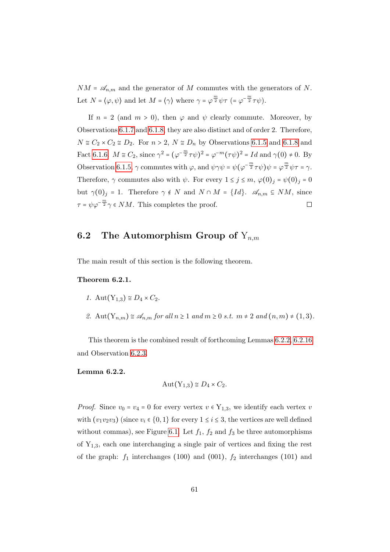$NM = \mathscr{A}_{n,m}$  and the generator of M commutes with the generators of N. Let  $N = \langle \varphi, \psi \rangle$  and let  $M = \langle \gamma \rangle$  where  $\gamma = \varphi^{\frac{m}{2}} \psi \tau = \varphi^{-\frac{m}{2}} \tau \psi$ .

If  $n = 2$  (and  $m > 0$ ), then  $\varphi$  and  $\psi$  clearly commute. Moreover, by Observations [6.1.7](#page-0-0) and [6.1.8,](#page-64-0) they are also distinct and of order 2. Therefore,  $N \cong C_2 \times C_2 \cong D_2$ . For  $n > 2$ ,  $N \cong D_n$  by Observations [6.1.5](#page-63-0) and [6.1.8](#page-64-0) and Fact [6.1.6.](#page-64-1)  $M \cong C_2$ , since  $\gamma^2 = (\varphi^{-\frac{m}{2}} \tau \psi)^2 = \varphi^{-m} (\tau \psi)^2 = Id$  and  $\gamma(0) \neq 0$ . By Observation [6.1.5,](#page-63-0)  $\gamma$  commutes with  $\varphi$ , and  $\psi \gamma \psi = \psi (\varphi^{-\frac{m}{2}} \tau \psi) \psi = \varphi^{\frac{m}{2}} \psi \tau = \gamma$ . Therefore,  $\gamma$  commutes also with  $\psi$ . For every  $1 \leq j \leq m$ ,  $\varphi(0)_j = \psi(0)_j = 0$ but  $\gamma(0)_j = 1$ . Therefore  $\gamma \notin N$  and  $N \cap M = \{Id\}$ .  $\mathscr{A}_{n,m} \subseteq NM$ , since  $\tau = \psi \varphi^{-\frac{m}{2}} \gamma \in NM$ . This completes the proof.  $\Box$ 

# <span id="page-66-0"></span>**6.2** The Automorphism Group of  $Y_{n,m}$

The main result of this section is the following theorem.

#### Theorem 6.2.1.

- 1. Aut $(Y_{1,3}) \cong D_4 \times C_2$ .
- 2. Aut $(Y_{n,m}) \cong \mathscr{A}_{n,m}$  for all  $n \geq 1$  and  $m \geq 0$  s.t.  $m \neq 2$  and  $(n,m) \neq (1,3)$ .

This theorem is the combined result of forthcoming Lemmas [6.2.2,](#page-66-1) [6.2.16](#page-76-0) and Observation [6.2.3.](#page-67-0)

<span id="page-66-1"></span>Lemma 6.2.2.

$$
Aut(Y_{1,3}) \cong D_4 \times C_2.
$$

*Proof.* Since  $v_0 = v_4 = 0$  for every vertex  $v \in Y_{1,3}$ , we identify each vertex v with  $(v_1v_2v_3)$  (since  $v_i \in \{0,1\}$  for every  $1 \le i \le 3$ , the vertices are well defined without commas), see Figure [6.1.](#page-67-1) Let  $f_1$ ,  $f_2$  and  $f_3$  be three automorphisms of  $Y_{1,3}$ , each one interchanging a single pair of vertices and fixing the rest of the graph:  $f_1$  interchanges (100) and (001),  $f_2$  interchanges (101) and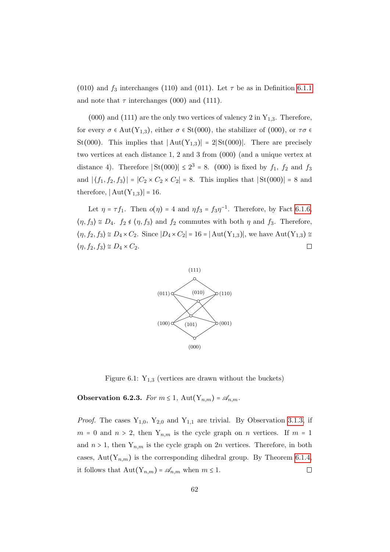(010) and  $f_3$  interchanges (110) and (011). Let  $\tau$  be as in Definition [6.1.1](#page-62-1) and note that  $\tau$  interchanges (000) and (111).

(000) and (111) are the only two vertices of valency 2 in  $Y_{1,3}$ . Therefore, for every  $\sigma \in \text{Aut}(Y_{1,3})$ , either  $\sigma \in \text{St}(000)$ , the stabilizer of  $(000)$ , or  $\tau \sigma \in$ St(000). This implies that  $|Aut(Y_{1,3})| = 2|St(000)|$ . There are precisely two vertices at each distance 1, 2 and 3 from (000) (and a unique vertex at distance 4). Therefore  $|\text{St}(000)| \leq 2^3 = 8$ . (000) is fixed by  $f_1$ ,  $f_2$  and  $f_3$ and  $|\langle f_1, f_2, f_3 \rangle| = |C_2 \times C_2 \times C_2| = 8$ . This implies that  $|{\rm St}(000)| = 8$  and therefore,  $|Aut(Y_{1,3})| = 16$ .

Let  $\eta = \tau f_1$ . Then  $o(\eta) = 4$  and  $\eta f_3 = f_3 \eta^{-1}$ . Therefore, by Fact [6.1.6,](#page-64-1)  $\langle \eta, f_3 \rangle \cong D_4$ .  $f_2 \notin \langle \eta, f_3 \rangle$  and  $f_2$  commutes with both  $\eta$  and  $f_3$ . Therefore,  $\langle \eta, f_2, f_3 \rangle \cong D_4 \times C_2$ . Since  $|D_4 \times C_2| = 16 = |\text{Aut}(Y_{1,3})|$ , we have  $\text{Aut}(Y_{1,3}) \cong$  $\langle \eta, f_2, f_3 \rangle \cong D_4 \times C_2.$  $\Box$ 



<span id="page-67-1"></span>Figure 6.1:  $Y_{1,3}$  (vertices are drawn without the buckets)

<span id="page-67-0"></span>**Observation 6.2.3.** For  $m \leq 1$ , Aut $(Y_{n,m}) = \mathscr{A}_{n,m}$ .

*Proof.* The cases  $Y_{1,0}$ ,  $Y_{2,0}$  and  $Y_{1,1}$  are trivial. By Observation [3.1.3,](#page-23-0) if  $m = 0$  and  $n > 2$ , then  $Y_{n,m}$  is the cycle graph on n vertices. If  $m = 1$ and  $n > 1$ , then  $Y_{n,m}$  is the cycle graph on  $2n$  vertices. Therefore, in both cases, Aut $(Y_{n,m})$  is the corresponding dihedral group. By Theorem [6.1.4,](#page-0-0) it follows that  $\text{Aut}(Y_{n,m}) = \mathscr{A}_{n,m}$  when  $m \leq 1$ .  $\Box$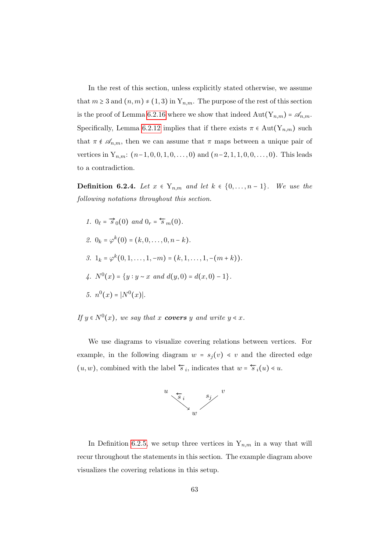In the rest of this section, unless explicitly stated otherwise, we assume that  $m \geq 3$  and  $(n, m) \neq (1, 3)$  in  $Y_{n,m}$ . The purpose of the rest of this section is the proof of Lemma [6.2.16](#page-76-0) where we show that indeed  $\text{Aut}(Y_{n,m}) = \mathcal{A}_{n,m}$ . Specifically, Lemma [6.2.12](#page-74-0) implies that if there exists  $\pi \in \text{Aut}(Y_{n,m})$  such that  $\pi \notin \mathscr{A}_{n,m}$ , then we can assume that  $\pi$  maps between a unique pair of vertices in  $Y_{n,m}$ :  $(n-1,0,0,1,0,\ldots,0)$  and  $(n-2,1,1,0,0,\ldots,0)$ . This leads to a contradiction.

**Definition 6.2.4.** Let  $x \in Y_{n,m}$  and let  $k \in \{0, \ldots, n-1\}$ . We use the following notations throughout this section.

1.  $0_{\ell} = \vec{s}_0(0)$  and  $0_r = \vec{s}_m(0)$ . 2.  $0_k = \varphi^k(0) = (k, 0, \ldots, 0, n - k).$ 3.  $1_k = \varphi^k(0, 1, \ldots, 1, -m) = (k, 1, \ldots, 1, -(m+k)).$ 4.  $N^0(x) = \{y : y \sim x \text{ and } d(y,0) = d(x,0) - 1\}.$ 5.  $n^0(x) = |N^0(x)|$ .

If  $y \in N^0(x)$ , we say that x **covers** y and write  $y \leq x$ .

We use diagrams to visualize covering relations between vertices. For example, in the following diagram  $w = s_j(v) \triangleleft v$  and the directed edge  $(u, w)$ , combined with the label  $\overleftarrow{s}_i$ , indicates that  $w = \overleftarrow{s}_i(u) \leq u$ .



In Definition [6.2.5,](#page-69-0) we setup three vertices in  $Y_{n,m}$  in a way that will recur throughout the statements in this section. The example diagram above visualizes the covering relations in this setup.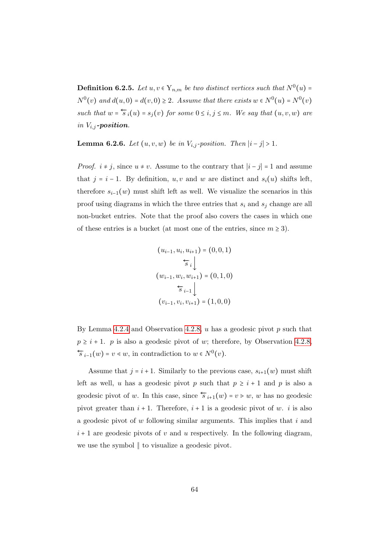<span id="page-69-0"></span>**Definition 6.2.5.** Let  $u, v \in Y_{n,m}$  be two distinct vertices such that  $N^0(u)$  =  $N^0(v)$  and  $d(u, 0) = d(v, 0) \ge 2$ . Assume that there exists  $w \in N^0(u) = N^0(v)$ such that  $w = \overleftarrow{s}_i(u) = s_j(v)$  for some  $0 \leq i, j \leq m$ . We say that  $(u, v, w)$  are in  $V_{i,j}$ -position.

Lemma 6.2.6. Let  $(u, v, w)$  be in  $V_{i,j}$ -position. Then  $|i - j| > 1$ .

*Proof.*  $i \neq j$ , since  $u \neq v$ . Assume to the contrary that  $|i - j| = 1$  and assume that  $j = i - 1$ . By definition, u, v and w are distinct and  $s_i(u)$  shifts left, therefore  $s_{i-1}(w)$  must shift left as well. We visualize the scenarios in this proof using diagrams in which the three entries that  $s_i$  and  $s_j$  change are all non-bucket entries. Note that the proof also covers the cases in which one of these entries is a bucket (at most one of the entries, since  $m \geq 3$ ).

$$
(u_{i-1}, u_i, u_{i+1}) = (0, 0, 1)
$$

$$
\overleftarrow{s}_i \downarrow
$$

$$
(w_{i-1}, w_i, w_{i+1}) = (0, 1, 0)
$$

$$
\overleftarrow{s}_{i-1} \downarrow
$$

$$
(v_{i-1}, v_i, v_{i+1}) = (1, 0, 0)
$$

By Lemma [4.2.4](#page-32-0) and Observation [4.2.8,](#page-33-3)  $u$  has a geodesic pivot  $p$  such that  $p \geq i + 1$ . p is also a geodesic pivot of w; therefore, by Observation [4.2.8,](#page-33-3)  $\overleftarrow{s}_{i-1}(w) = v \leq w$ , in contradiction to  $w \in N^0(v)$ .

Assume that  $j = i + 1$ . Similarly to the previous case,  $s_{i+1}(w)$  must shift left as well, u has a geodesic pivot p such that  $p \geq i+1$  and p is also a geodesic pivot of w. In this case, since  $\overleftarrow{s}_{i+1}(w) = v \geq w$ , w has no geodesic pivot greater than  $i + 1$ . Therefore,  $i + 1$  is a geodesic pivot of w. i is also a geodesic pivot of  $w$  following similar arguments. This implies that  $i$  and  $i+1$  are geodesic pivots of v and u respectively. In the following diagram, we use the symbol ∥ to visualize a geodesic pivot.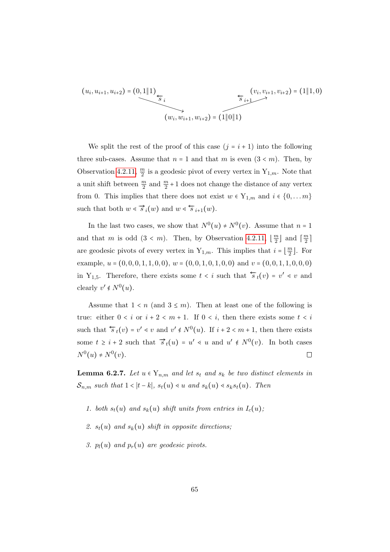$$
(u_i, u_{i+1}, u_{i+2}) = (0, 1 \parallel 1) \underbrace{\begin{cases} (v_i, v_{i+1}, v_{i+2}) = (1 \parallel 1, 0) \\ \hline s_i \end{cases}}_{(w_i, w_{i+1}, w_{i+2}) = (1 \parallel 0 \parallel 1)}
$$

We split the rest of the proof of this case  $(j = i + 1)$  into the following three sub-cases. Assume that  $n = 1$  and that m is even  $(3 \lt m)$ . Then, by Observation [4.2.11,](#page-33-1)  $\frac{m}{2}$  is a geodesic pivot of every vertex in  $Y_{1,m}$ . Note that a unit shift between  $\frac{m}{2}$  and  $\frac{m}{2}+1$  does not change the distance of any vertex from 0. This implies that there does not exist  $w \in Y_{1,m}$  and  $i \in \{0, \ldots m\}$ such that both  $w \leqslant \overrightarrow{s}_i(w)$  and  $w \leqslant \overleftarrow{s}_{i+1}(w)$ .

In the last two cases, we show that  $N^0(u) \neq N^0(v)$ . Assume that  $n = 1$ and that m is odd  $(3 < m)$ . Then, by Observation [4.2.11,](#page-33-1)  $\left\lfloor \frac{m}{2} \right\rfloor$  $\frac{m}{2}$  and  $\lceil \frac{m}{2} \rceil$  $\frac{m}{2}$ ] are geodesic pivots of every vertex in  $Y_{1,m}$ . This implies that  $i = \lfloor \frac{m}{2} \rfloor$  $\frac{m}{2}$ . For example,  $u = (0, 0, 0, 1, 1, 0, 0), w = (0, 0, 1, 0, 1, 0, 0)$  and  $v = (0, 0, 1, 1, 0, 0, 0)$ in Y<sub>1,5</sub>. Therefore, there exists some  $t < i$  such that  $\overleftarrow{s}_t(v) = v' \le v$  and clearly  $v' \notin N^0(u)$ .

Assume that  $1 \leq n$  (and  $3 \leq m$ ). Then at least one of the following is true: either  $0 < i$  or  $i + 2 < m + 1$ . If  $0 < i$ , then there exists some  $t < i$ such that  $\overleftarrow{s}_t(v) = v' \leq v$  and  $v' \notin N^0(u)$ . If  $i + 2 \leq m + 1$ , then there exists some  $t \geq i + 2$  such that  $\vec{s}_t(u) = u' \leq u$  and  $u' \notin N^0(v)$ . In both cases  $N^{0}(u) \neq N^{0}(v).$  $\Box$ 

**Lemma 6.2.7.** Let  $u \in Y_{n,m}$  and let  $s_t$  and  $s_k$  be two distinct elements in  $\mathcal{S}_{n,m}$  such that  $1 < |t - k|$ ,  $s_t(u) \le u$  and  $s_k(u) \le s_k s_t(u)$ . Then

- 1. both  $s_t(u)$  and  $s_k(u)$  shift units from entries in  $I_c(u)$ ;
- 2.  $s_t(u)$  and  $s_k(u)$  shift in opposite directions;
- 3.  $p_l(u)$  and  $p_r(u)$  are geodesic pivots.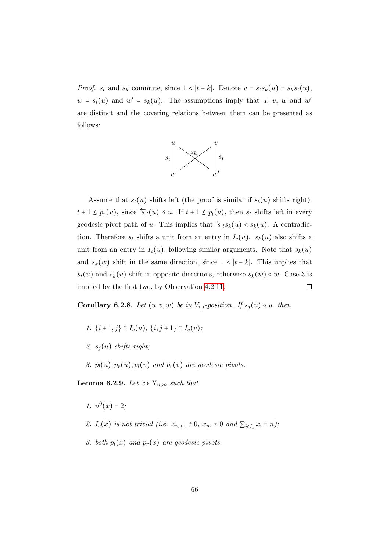*Proof.*  $s_t$  and  $s_k$  commute, since  $1 < |t - k|$ . Denote  $v = s_ts_k(u) = s_ks_t(u)$ ,  $w = s_t(u)$  and  $w' = s_k(u)$ . The assumptions imply that u, v, w and w' are distinct and the covering relations between them can be presented as follows:



Assume that  $s_t(u)$  shifts left (the proof is similar if  $s_t(u)$  shifts right).  $t + 1 \leq p_r(u)$ , since  $\overleftarrow{s}_t(u) \leq u$ . If  $t + 1 \leq p_l(u)$ , then  $s_t$  shifts left in every geodesic pivot path of u. This implies that  $\overleftarrow{s}_t s_k(u) \leftarrow s_k(u)$ . A contradiction. Therefore  $s_t$  shifts a unit from an entry in  $I_c(u)$ .  $s_k(u)$  also shifts a unit from an entry in  $I_c(u)$ , following similar arguments. Note that  $s_k(u)$ and  $s_k(w)$  shift in the same direction, since  $1 < |t - k|$ . This implies that  $s_t(u)$  and  $s_k(u)$  shift in opposite directions, otherwise  $s_k(w) \leq w$ . Case 3 is implied by the first two, by Observation [4.2.11.](#page-33-1)  $\Box$ 

**Corollary 6.2.8.** Let  $(u, v, w)$  be in  $V_{i,j}$ -position. If  $s_j(u) \leq u$ , then

- 1.  $\{i+1, j\} \subseteq I_c(u)$ ,  $\{i, j+1\} \subseteq I_c(v)$ ;
- 2.  $s_i(u)$  shifts right;
- 3.  $p_l(u), p_r(u), p_l(v)$  and  $p_r(v)$  are geodesic pivots.

Lemma 6.2.9. Let  $x \in Y_{n,m}$  such that

- 1.  $n^0(x) = 2;$
- 2.  $I_c(x)$  is not trivial (i.e.  $x_{p_l+1} \neq 0$ ,  $x_{p_r} \neq 0$  and  $\sum_{i \in I_c} x_i = n$ );
- 3. both  $p_l(x)$  and  $p_r(x)$  are geodesic pivots.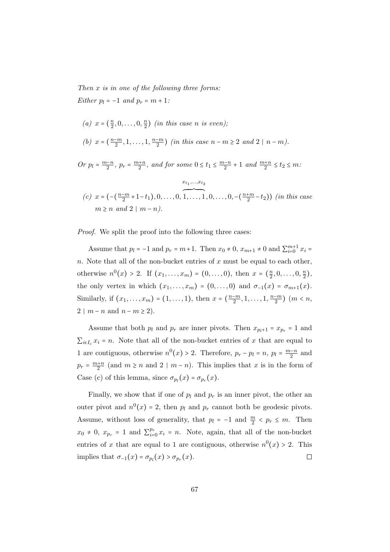Then x is in one of the following three forms: Either  $p_l = -1$  and  $p_r = m + 1$ :

(a) 
$$
x = (\frac{n}{2}, 0, ..., 0, \frac{n}{2})
$$
 (in this case n is even);  
(b)  $x = (\frac{n-m}{2}, 1, ..., 1, \frac{n-m}{2})$  (in this case  $n - m \ge 2$  and  $2 \mid n - m$ ).

Or  $p_l = \frac{m-n}{2}$ ,  $p_r = \frac{m+n}{2}$ , and for some  $0 \le t_1 \le \frac{m-n}{2} + 1$  and  $\frac{m+n}{2} \le t_2 \le m$ .

(c) 
$$
x = (-(\frac{n-m}{2}+1-t_1), 0, ..., 0, \overbrace{1, ..., 1}^{x_{t_1}, ..., x_{t_2}}
$$
  
\n $m \ge n$  and  $2 | m-n$ ).

Proof. We split the proof into the following three cases:

Assume that  $p_l = -1$  and  $p_r = m+1$ . Then  $x_0 \neq 0$ ,  $x_{m+1} \neq 0$  and  $\sum_{i=0}^{m+1} x_i =$ n. Note that all of the non-bucket entries of  $x$  must be equal to each other, otherwise  $n^0(x) > 2$ . If  $(x_1, ..., x_m) = (0, ..., 0)$ , then  $x = (\frac{n}{2})$  $\frac{n}{2}, 0, \ldots, 0, \frac{n}{2}$  $\frac{n}{2}$ ), the only vertex in which  $(x_1, \ldots, x_m) = (0, \ldots, 0)$  and  $\sigma_{-1}(x) = \sigma_{m+1}(x)$ . Similarly, if  $(x_1, ..., x_m) = (1, ..., 1)$ , then  $x = (\frac{n-m}{2}, 1, ..., 1, \frac{n-m}{2})$   $(m < n,$  $2 \mid m-n \text{ and } n-m \geq 2$ .

Assume that both  $p_l$  and  $p_r$  are inner pivots. Then  $x_{p_l+1} = x_{p_r} = 1$  and  $\sum_{i\in I_c} x_i = n$ . Note that all of the non-bucket entries of x that are equal to 1 are contiguous, otherwise  $n^0(x) > 2$ . Therefore,  $p_r - p_l = n$ ,  $p_l = \frac{m-n}{2}$  and  $p_r = \frac{m+n}{2}$  (and  $m \ge n$  and  $2 \mid m-n$ ). This implies that x is in the form of Case (c) of this lemma, since  $\sigma_{p_l}(x) = \sigma_{p_r}(x)$ .

Finally, we show that if one of  $p_l$  and  $p_r$  is an inner pivot, the other an outer pivot and  $n^0(x) = 2$ , then  $p_l$  and  $p_r$  cannot both be geodesic pivots. Assume, without loss of generality, that  $p_l = -1$  and  $\frac{m}{2} < p_r \le m$ . Then  $x_0 \neq 0, x_{p_r} = 1$  and  $\sum_{i=1}^{p_r}$  $e_{i=0}^{p_r} x_i = n$ . Note, again, that all of the non-bucket entries of x that are equal to 1 are contiguous, otherwise  $n^0(x) > 2$ . This  $\Box$ implies that  $\sigma_{-1}(x) = \sigma_{p_l}(x) > \sigma_{p_r}(x)$ .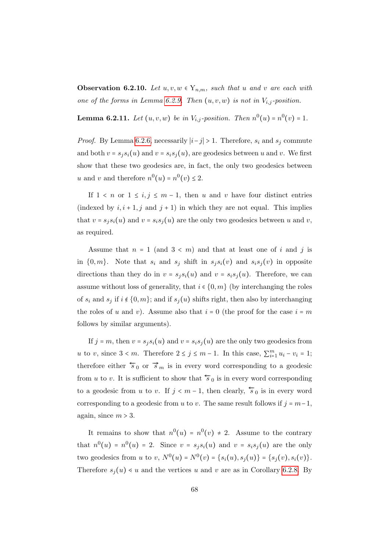<span id="page-73-0"></span>**Observation 6.2.10.** Let  $u, v, w \in Y_{n,m}$ , such that u and v are each with one of the forms in Lemma [6.2.9.](#page-71-0) Then  $(u, v, w)$  is not in  $V_{i,j}$ -position.

<span id="page-73-1"></span>**Lemma 6.2.11.** Let  $(u, v, w)$  be in  $V_{i,j}$ -position. Then  $n^0(u) = n^0(v) = 1$ .

*Proof.* By Lemma [6.2.6,](#page-69-0) necessarily  $|i-j| > 1$ . Therefore,  $s_i$  and  $s_j$  commute and both  $v = s_i s_i(u)$  and  $v = s_i s_j(u)$ , are geodesics between u and v. We first show that these two geodesics are, in fact, the only two geodesics between u and v and therefore  $n^0(u) = n^0(v) \leq 2$ .

If  $1 \leq n$  or  $1 \leq i, j \leq m-1$ , then u and v have four distinct entries (indexed by  $i, i + 1, j$  and  $j + 1$ ) in which they are not equal. This implies that  $v = s_i s_i(u)$  and  $v = s_i s_i(u)$  are the only two geodesics between u and v, as required.

Assume that  $n = 1$  (and  $3 < m$ ) and that at least one of i and j is in  $\{0,m\}$ . Note that  $s_i$  and  $s_j$  shift in  $s_js_i(v)$  and  $s_is_j(v)$  in opposite directions than they do in  $v = s_i s_i(u)$  and  $v = s_i s_i(u)$ . Therefore, we can assume without loss of generality, that  $i \in \{0, m\}$  (by interchanging the roles of  $s_i$  and  $s_j$  if  $i \notin \{0, m\}$ ; and if  $s_j(u)$  shifts right, then also by interchanging the roles of u and v). Assume also that  $i = 0$  (the proof for the case  $i = m$ follows by similar arguments).

If  $j = m$ , then  $v = s_i s_i(u)$  and  $v = s_i s_j(u)$  are the only two geodesics from u to v, since  $3 < m$ . Therefore  $2 \le j \le m-1$ . In this case,  $\sum_{i=1}^{m} u_i - v_i = 1$ ; therefore either  $\overleftarrow{s}_0$  or  $\overrightarrow{s}_m$  is in every word corresponding to a geodesic from u to v. It is sufficient to show that  $\overleftarrow{s}_0$  is in every word corresponding to a geodesic from u to v. If  $j < m-1$ , then clearly,  $\overline{s}_0$  is in every word corresponding to a geodesic from u to v. The same result follows if  $j = m-1$ , again, since  $m > 3$ .

It remains to show that  $n^0(u) = n^0(v) \neq 2$ . Assume to the contrary that  $n^0(u) = n^0(u) = 2$ . Since  $v = s_j s_i(u)$  and  $v = s_i s_j(u)$  are the only two geodesics from u to v,  $N^0(u) = N^0(v) = \{s_i(u), s_j(u)\} = \{s_j(v), s_i(v)\}.$ Therefore  $s_i(u) \ll u$  and the vertices u and v are as in Corollary [6.2.8.](#page-71-1) By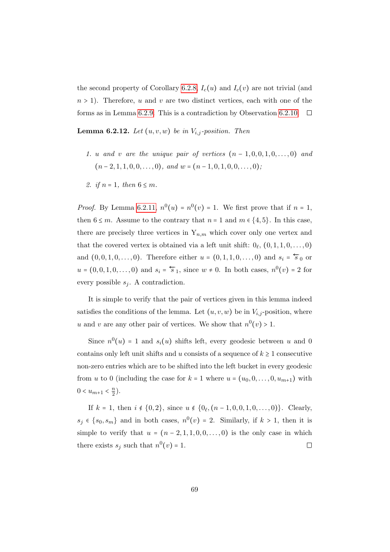the second property of Corollary [6.2.8,](#page-71-1)  $I_c(u)$  and  $I_c(v)$  are not trivial (and  $n > 1$ ). Therefore, u and v are two distinct vertices, each with one of the forms as in Lemma [6.2.9.](#page-71-0) This is a contradiction by Observation [6.2.10.](#page-73-0)  $\Box$ 

<span id="page-74-0"></span>**Lemma 6.2.12.** Let  $(u, v, w)$  be in  $V_{i,j}$ -position. Then

- 1. u and v are the unique pair of vertices  $(n-1,0,0,1,0,\ldots,0)$  and  $(n-2, 1, 1, 0, 0, \ldots, 0)$ , and  $w = (n-1, 0, 1, 0, 0, \ldots, 0)$ ;
- 2. if  $n = 1$ , then  $6 \leq m$ .

*Proof.* By Lemma [6.2.11,](#page-73-1)  $n^0(u) = n^0(v) = 1$ . We first prove that if  $n = 1$ , then  $6 \leq m$ . Assume to the contrary that  $n = 1$  and  $m \in \{4, 5\}$ . In this case, there are precisely three vertices in  $Y_{n,m}$  which cover only one vertex and that the covered vertex is obtained via a left unit shift:  $0_\ell$ ,  $(0, 1, 1, 0, \ldots, 0)$ and  $(0, 0, 1, 0, \ldots, 0)$ . Therefore either  $u = (0, 1, 1, 0, \ldots, 0)$  and  $s_i = \overleftarrow{s}_0$  or  $u = (0, 0, 1, 0, \dots, 0)$  and  $s_i = \overleftarrow{s}_1$ , since  $w \neq 0$ . In both cases,  $n^0(v) = 2$  for every possible  $s_i$ . A contradiction.

It is simple to verify that the pair of vertices given in this lemma indeed satisfies the conditions of the lemma. Let  $(u, v, w)$  be in  $V_{i,j}$ -position, where u and v are any other pair of vertices. We show that  $n^0(v) > 1$ .

Since  $n^0(u) = 1$  and  $s_i(u)$  shifts left, every geodesic between u and 0 contains only left unit shifts and u consists of a sequence of  $k \geq 1$  consecutive non-zero entries which are to be shifted into the left bucket in every geodesic from u to 0 (including the case for  $k = 1$  where  $u = (u_0, 0, \ldots, 0, u_{m+1})$  with  $0 < u_{m+1} < \frac{n}{2}$  $\frac{n}{2}$ ).

If  $k = 1$ , then  $i \notin \{0, 2\}$ , since  $u \notin \{0, (n - 1, 0, 0, 1, 0, \ldots, 0)\}$ . Clearly,  $s_j \in \{s_0, s_m\}$  and in both cases,  $n^0(v) = 2$ . Similarly, if  $k > 1$ , then it is simple to verify that  $u = (n-2, 1, 1, 0, 0, \ldots, 0)$  is the only case in which there exists  $s_j$  such that  $n^0(v) = 1$ .  $\Box$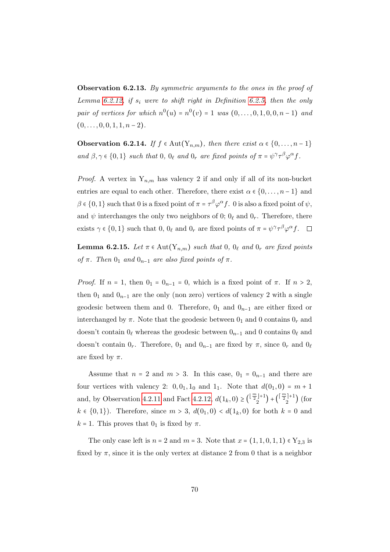Observation 6.2.13. By symmetric arguments to the ones in the proof of Lemma [6.2.12,](#page-74-0) if  $s_i$  were to shift right in Definition [6.2.5,](#page-69-1) then the only pair of vertices for which  $n^{0}(u) = n^{0}(v) = 1$  was  $(0, \ldots, 0, 1, 0, 0, n - 1)$  and  $(0, \ldots, 0, 0, 1, 1, n-2).$ 

<span id="page-75-0"></span>**Observation 6.2.14.** If  $f \in Aut(Y_{n,m})$ , then there exist  $\alpha \in \{0, \ldots, n-1\}$ and  $\beta, \gamma \in \{0, 1\}$  such that  $0, 0_\ell$  and  $0_r$  are fixed points of  $\pi = \psi^\gamma \tau^\beta \varphi^\alpha f$ .

*Proof.* A vertex in  $Y_{n,m}$  has valency 2 if and only if all of its non-bucket entries are equal to each other. Therefore, there exist  $\alpha \in \{0, \ldots, n-1\}$  and  $\beta \in \{0,1\}$  such that 0 is a fixed point of  $\pi = \tau^{\beta} \varphi^{\alpha} f$ . 0 is also a fixed point of  $\psi$ , and  $\psi$  interchanges the only two neighbors of 0;  $0_\ell$  and  $0_r$ . Therefore, there exists  $\gamma \in \{0, 1\}$  such that  $0, 0_\ell$  and  $0_r$  are fixed points of  $\pi = \psi^\gamma \tau^\beta \varphi^\alpha f$ .

<span id="page-75-1"></span>**Lemma 6.2.15.** Let  $\pi \in \text{Aut}(Y_{n,m})$  such that 0,  $0_\ell$  and  $0_r$  are fixed points of  $\pi$ . Then  $0_1$  and  $0_{n-1}$  are also fixed points of  $\pi$ .

*Proof.* If  $n = 1$ , then  $0<sub>1</sub> = 0<sub>n-1</sub> = 0$ , which is a fixed point of  $\pi$ . If  $n > 2$ , then  $0_1$  and  $0_{n-1}$  are the only (non zero) vertices of valency 2 with a single geodesic between them and 0. Therefore,  $0_1$  and  $0_{n-1}$  are either fixed or interchanged by  $\pi$ . Note that the geodesic between  $0_1$  and 0 contains  $0_r$  and doesn't contain  $0_\ell$  whereas the geodesic between  $0_{n-1}$  and 0 contains  $0_\ell$  and doesn't contain  $0_r$ . Therefore,  $0_1$  and  $0_{n-1}$  are fixed by  $\pi$ , since  $0_r$  and  $0_\ell$ are fixed by  $\pi$ .

Assume that  $n = 2$  and  $m > 3$ . In this case,  $0<sub>1</sub> = 0<sub>n-1</sub>$  and there are four vertices with valency 2:  $0, 0<sub>1</sub>, 1<sub>0</sub>$  and  $1<sub>1</sub>$ . Note that  $d(0<sub>1</sub>, 0) = m + 1$ and, by Observation [4.2.11](#page-33-0) and Fact [4.2.12,](#page-33-1)  $d(1_k,0) \geq {\frac{\lfloor \frac{m}{2} \rfloor + 1}{2}}$  $\binom{\lfloor \frac{m}{2} \rfloor + 1}{2} + \binom{\lceil \frac{m}{2} \rceil + 1}{2}$  $\binom{1}{2}$  (for  $k \in \{0, 1\}$ . Therefore, since  $m > 3$ ,  $d(0_1, 0) < d(1_k, 0)$  for both  $k = 0$  and  $k = 1$ . This proves that  $0<sub>1</sub>$  is fixed by  $\pi$ .

The only case left is  $n = 2$  and  $m = 3$ . Note that  $x = (1, 1, 0, 1, 1) \in Y_{2,3}$  is fixed by  $\pi$ , since it is the only vertex at distance 2 from 0 that is a neighbor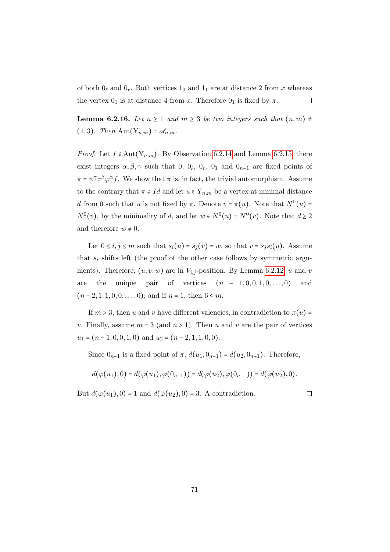of both  $0_\ell$  and  $0_r$ . Both vertices  $1_0$  and  $1_1$  are at distance 2 from x whereas the vertex  $0_1$  is at distance 4 from x. Therefore  $0_1$  is fixed by  $\pi$ .  $\Box$ 

**Lemma 6.2.16.** Let  $n \geq 1$  and  $m \geq 3$  be two integers such that  $(n, m) \neq$  $(1,3)$ . Then Aut $(Y_{n,m}) = \mathscr{A}_{n,m}$ .

*Proof.* Let  $f \in Aut(Y_{n,m})$ . By Observation [6.2.14](#page-75-0) and Lemma [6.2.15,](#page-75-1) there exist integers  $\alpha, \beta, \gamma$  such that 0,  $0_\ell$ ,  $0_r$ ,  $0_1$  and  $0_{n-1}$  are fixed points of  $\pi = \psi^{\gamma} \tau^{\beta} \varphi^{\alpha} f$ . We show that  $\pi$  is, in fact, the trivial automorphism. Assume to the contrary that  $\pi \neq Id$  and let  $u \in Y_{n,m}$  be a vertex at minimal distance d from 0 such that u is not fixed by  $\pi$ . Denote  $v = \pi(u)$ . Note that  $N^0(u)$  $N^0(v)$ , by the minimality of d, and let  $w \in N^0(u) = N^0(v)$ . Note that  $d \geq 2$ and therefore  $w \neq 0$ .

Let  $0 \le i, j \le m$  such that  $s_i(u) = s_j(v) = w$ , so that  $v = s_j s_i(u)$ . Assume that  $s_i$  shifts left (the proof of the other case follows by symmetric arguments). Therefore,  $(u, v, w)$  are in  $V_{i,j}$ -position. By Lemma [6.2.12,](#page-74-0) u and v are the unique pair of vertices  $(n - 1, 0, 0, 1, 0, \ldots, 0)$  and  $(n-2, 1, 1, 0, 0, \ldots, 0);$  and if  $n = 1$ , then  $6 \leq m$ .

If  $m > 3$ , then u and v have different valencies, in contradiction to  $\pi(u)$  = v. Finally, assume  $m = 3$  (and  $n > 1$ ). Then u and v are the pair of vertices  $u_1 = (n-1, 0, 0, 1, 0)$  and  $u_2 = (n-2, 1, 1, 0, 0)$ .

Since  $0_{n-1}$  is a fixed point of  $\pi$ ,  $d(u_1, 0_{n-1}) = d(u_2, 0_{n-1})$ . Therefore,

$$
d(\varphi(u_1),0) = d(\varphi(u_1),\varphi(0_{n-1})) = d(\varphi(u_2),\varphi(0_{n-1})) = d(\varphi(u_2),0).
$$

But  $d(\varphi(u_1), 0) = 1$  and  $d(\varphi(u_2), 0) = 3$ . A contradiction.

 $\Box$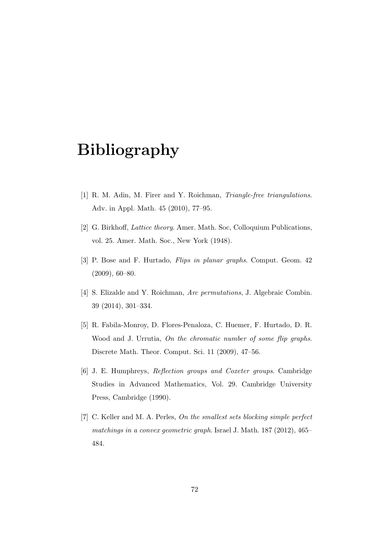## Bibliography

- [1] R. M. Adin, M. Firer and Y. Roichman, *Triangle-free triangulations*. Adv. in Appl. Math. 45 (2010), 77–95.
- [2] G. Birkhoff, Lattice theory. Amer. Math. Soc, Colloquium Publications, vol. 25. Amer. Math. Soc., New York (1948).
- [3] P. Bose and F. Hurtado, Flips in planar graphs. Comput. Geom. 42 (2009), 60–80.
- [4] S. Elizalde and Y. Roichman, Arc permutations, J. Algebraic Combin. 39 (2014), 301–334.
- [5] R. Fabila-Monroy, D. Flores-Penaloza, C. Huemer, F. Hurtado, D. R. Wood and J. Urrutia, On the chromatic number of some flip graphs. Discrete Math. Theor. Comput. Sci. 11 (2009), 47–56.
- [6] J. E. Humphreys, Reflection groups and Coxeter groups. Cambridge Studies in Advanced Mathematics, Vol. 29. Cambridge University Press, Cambridge (1990).
- [7] C. Keller and M. A. Perles, On the smallest sets blocking simple perfect matchings in a convex geometric graph. Israel J. Math. 187 (2012), 465– 484.